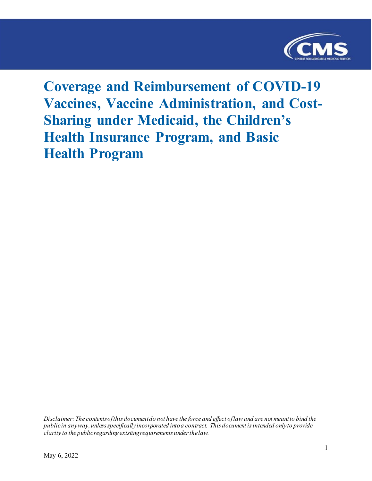

# **Coverage and Reimbursement of COVID-19 Vaccines, Vaccine Administration, and Cost-Sharing under Medicaid, the Children's Health Insurance Program, and Basic Health Program**

*Disclaimer: The contents of this document do not have the force and effect of law and are not meant to bind the public in any way, unless specifically incorporated into a contract. This document is intended only to provide clarity to the public regarding existing requirements under the law.*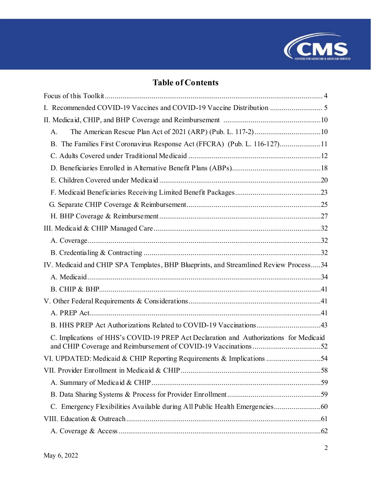

# **Table of Contents**

| I. Recommended COVID-19 Vaccines and COVID-19 Vaccine Distribution  5                                                                                     |
|-----------------------------------------------------------------------------------------------------------------------------------------------------------|
|                                                                                                                                                           |
| A.                                                                                                                                                        |
| B. The Families First Coronavirus Response Act (FFCRA) (Pub. L. 116-127)11                                                                                |
|                                                                                                                                                           |
|                                                                                                                                                           |
|                                                                                                                                                           |
|                                                                                                                                                           |
|                                                                                                                                                           |
|                                                                                                                                                           |
|                                                                                                                                                           |
|                                                                                                                                                           |
|                                                                                                                                                           |
| IV. Medicaid and CHIP SPA Templates, BHP Blueprints, and Streamlined Review Process34                                                                     |
|                                                                                                                                                           |
|                                                                                                                                                           |
|                                                                                                                                                           |
|                                                                                                                                                           |
| B. HHS PREP Act Authorizations Related to COVID-19 Vaccinations43                                                                                         |
| C. Implications of HHS's COVID-19 PREP Act Declaration and Authorizations for Medicaid<br>and CHIP Coverage and Reimbursement of COVID-19 Vaccinations 52 |
| VI. UPDATED: Medicaid & CHIP Reporting Requirements & Implications 54                                                                                     |
|                                                                                                                                                           |
|                                                                                                                                                           |
|                                                                                                                                                           |
|                                                                                                                                                           |
|                                                                                                                                                           |
|                                                                                                                                                           |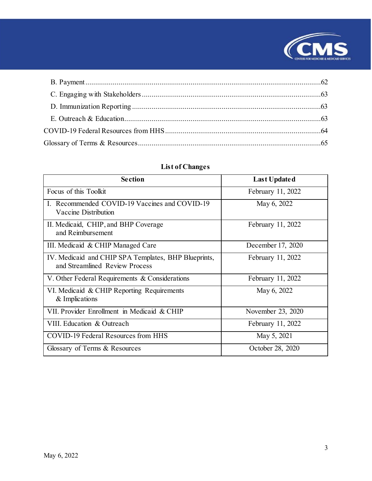

# **List of Changes**

| <b>Section</b>                                                                         | <b>Last Updated</b> |
|----------------------------------------------------------------------------------------|---------------------|
| Focus of this Toolkit                                                                  | February 11, 2022   |
| I. Recommended COVID-19 Vaccines and COVID-19<br>Vaccine Distribution                  | May 6, 2022         |
| II. Medicaid, CHIP, and BHP Coverage<br>and Reimbursement                              | February 11, 2022   |
| III. Medicaid & CHIP Managed Care                                                      | December 17, 2020   |
| IV. Medicaid and CHIP SPA Templates, BHP Blueprints,<br>and Streamlined Review Process | February 11, 2022   |
| V. Other Federal Requirements & Considerations                                         | February 11, 2022   |
| VI. Medicaid & CHIP Reporting Requirements<br>& Implications                           | May 6, 2022         |
| VII. Provider Enrollment in Medicaid & CHIP                                            | November 23, 2020   |
| VIII. Education & Outreach                                                             | February 11, 2022   |
| COVID-19 Federal Resources from HHS                                                    | May 5, 2021         |
| Glossary of Terms & Resources                                                          | October 28, 2020    |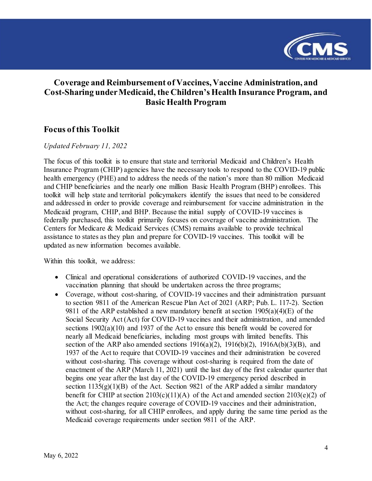

### **Coverage and Reimbursement of Vaccines, Vaccine Administration, and Cost-Sharing under Medicaid, the Children's Health Insurance Program, and Basic Health Program**

### <span id="page-3-0"></span>**Focus of this Toolkit**

#### *Updated February 11, 2022*

The focus of this toolkit is to ensure that state and territorial Medicaid and Children's Health Insurance Program (CHIP) agencies have the necessary tools to respond to the COVID-19 public health emergency (PHE) and to address the needs of the nation's more than 80 million Medicaid and CHIP beneficiaries and the nearly one million Basic Health Program (BHP) enrollees. This toolkit will help state and territorial policymakers identify the issues that need to be considered and addressed in order to provide coverage and reimbursement for vaccine administration in the Medicaid program, CHIP, and BHP. Because the initial supply of COVID-19 vaccines is federally purchased, this toolkit primarily focuses on coverage of vaccine administration. The Centers for Medicare & Medicaid Services (CMS) remains available to provide technical assistance to states as they plan and prepare for COVID-19 vaccines. This toolkit will be updated as new information becomes available.

Within this toolkit, we address:

- Clinical and operational considerations of authorized COVID-19 vaccines, and the vaccination planning that should be undertaken across the three programs;
- Coverage, without cost-sharing, of COVID-19 vaccines and their administration pursuant to section 9811 of the American Rescue Plan Act of 2021 (ARP; Pub. L. 117-2). Section 9811 of the ARP established a new mandatory benefit at section  $1905(a)(4)(E)$  of the Social Security Act (Act) for COVID-19 vaccines and their administration, and amended sections 1902(a)(10) and 1937 of the Act to ensure this benefit would be covered for nearly all Medicaid beneficiaries, including most groups with limited benefits. This section of the ARP also amended sections  $1916(a)(2)$ ,  $1916(b)(2)$ ,  $1916A(b)(3)(B)$ , and 1937 of the Act to require that COVID-19 vaccines and their administration be covered without cost-sharing. This coverage without cost-sharing is required from the date of enactment of the ARP (March 11, 2021) until the last day of the first calendar quarter that begins one year after the last day of the COVID-19 emergency period described in section  $1135(g)(1)(B)$  of the Act. Section 9821 of the ARP added a similar mandatory benefit for CHIP at section  $2103(c)(11)(A)$  of the Act and amended section  $2103(e)(2)$  of the Act; the changes require coverage of COVID-19 vaccines and their administration, without cost-sharing, for all CHIP enrollees, and apply during the same time period as the Medicaid coverage requirements under section 9811 of the ARP.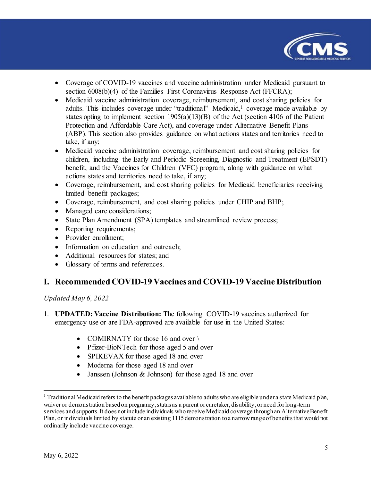

- Coverage of COVID-19 vaccines and vaccine administration under Medicaid pursuant to section 6008(b)(4) of the Families First Coronavirus Response Act (FFCRA);
- Medicaid vaccine administration coverage, reimbursement, and cost sharing policies for adults. This includes coverage under "traditional" Medicaid, [1](#page-4-1) coverage made available by states opting to implement section 1905(a)(13)(B) of the Act (section 4106 of the Patient Protection and Affordable Care Act), and coverage under Alternative Benefit Plans (ABP). This section also provides guidance on what actions states and territories need to take, if any;
- Medicaid vaccine administration coverage, reimbursement and cost sharing policies for children, including the Early and Periodic Screening, Diagnostic and Treatment (EPSDT) benefit, and the Vaccines for Children (VFC) program, along with guidance on what actions states and territories need to take, if any;
- Coverage, reimbursement, and cost sharing policies for Medicaid beneficiaries receiving limited benefit packages;
- Coverage, reimbursement, and cost sharing policies under CHIP and BHP;
- Managed care considerations;
- State Plan Amendment (SPA) templates and streamlined review process;
- Reporting requirements;
- Provider enrollment;
- Information on education and outreach;
- Additional resources for states: and
- Glossary of terms and references.

### <span id="page-4-0"></span>**I. Recommended COVID-19 Vaccines and COVID-19 Vaccine Distribution**

*Updated May 6, 2022*

- 1. **UPDATED: Vaccine Distribution:** The following COVID-19 vaccines authorized for emergency use or are FDA-approved are available for use in the United States:
	- COMIRNATY for those 16 and over  $\setminus$
	- Pfizer-BioNTech for those aged 5 and over
	- SPIKEVAX for those aged 18 and over
	- Moderna for those aged 18 and over
	- Janssen (Johnson & Johnson) for those aged 18 and over

<span id="page-4-1"></span><sup>&</sup>lt;sup>1</sup> Traditional Medicaid refers to the benefit packages available to adults who are eligible under a state Medicaid plan, waiver or demonstration based on pregnancy, status as a parent or caretaker, disability, or need for long-term services and supports. It does not include individuals who receive Medicaid coverage through an Alternative Benefit Plan, or individuals limited by statute or an existing 1115 demonstration toa narrow range of benefits that would not ordinarily include vaccine coverage.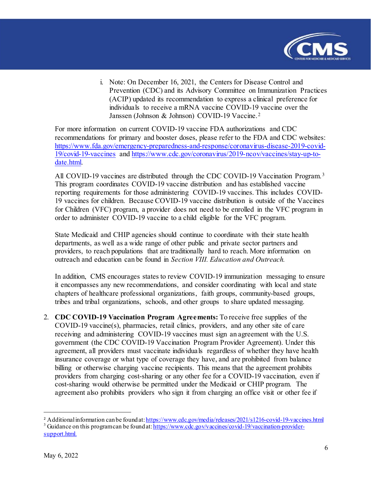

i. Note: On December 16, 2021, the Centers for Disease Control and Prevention (CDC) and its Advisory Committee on Immunization Practices (ACIP) updated its recommendation to express a clinical preference for individuals to receive a mRNA vaccine COVID-19 vaccine over the Janssen (Johnson & Johnson) COVID-19 Vaccine.[2](#page-5-0) 

For more information on current COVID-19 vaccine FDA authorizations and CDC recommendations for primary and booster doses, please refer to the FDA and CDC websites: [https://www.fda.gov/emergency-preparedness-and-response/coronavirus-disease-2019-covid-](https://www.fda.gov/emergency-preparedness-and-response/coronavirus-disease-2019-covid-19/covid-19-vaccines)[19/covid-19-vaccines](https://www.fda.gov/emergency-preparedness-and-response/coronavirus-disease-2019-covid-19/covid-19-vaccines) an[d https://www.cdc.gov/coronavirus/2019-ncov/vaccines/stay-up-to](https://www.cdc.gov/coronavirus/2019-ncov/vaccines/stay-up-to-date.html)[date.html.](https://www.cdc.gov/coronavirus/2019-ncov/vaccines/stay-up-to-date.html) 

All COVID-19 vaccines are distributed through the CDC COVID-19 Vaccination Program.<sup>[3](#page-5-1)</sup> This program coordinates COVID-19 vaccine distribution and has established vaccine reporting requirements for those administering COVID-19 vaccines. This includes COVID-19 vaccines for children. Because COVID-19 vaccine distribution is outside of the Vaccines for Children (VFC) program, a provider does not need to be enrolled in the VFC program in order to administer COVID-19 vaccine to a child eligible for the VFC program.

State Medicaid and CHIP agencies should continue to coordinate with their state health departments, as well as a wide range of other public and private sector partners and providers, to reach populations that are traditionally hard to reach. More information on outreach and education can be found in *Section VIII. Education and Outreach.*

In addition, CMS encourages states to review COVID-19 immunization messaging to ensure it encompasses any new recommendations, and consider coordinating with local and state chapters of healthcare professional organizations, faith groups, community-based groups, tribes and tribal organizations, schools, and other groups to share updated messaging.

2. **CDC COVID-19 Vaccination Program Agreements:** To receive free supplies of the COVID-19 vaccine(s), pharmacies, retail clinics, providers, and any other site of care receiving and administering COVID-19 vaccines must sign an agreement with the U.S. government (the CDC COVID-19 Vaccination Program Provider Agreement). Under this agreement, all providers must vaccinate individuals regardless of whether they have health insurance coverage or what type of coverage they have, and are prohibited from balance billing or otherwise charging vaccine recipients. This means that the agreement prohibits providers from charging cost-sharing or any other fee for a COVID-19 vaccination, even if cost-sharing would otherwise be permitted under the Medicaid or CHIP program. The agreement also prohibits providers who sign it from charging an office visit or other fee if

<span id="page-5-0"></span><sup>&</sup>lt;sup>2</sup> Additional information can be found at:  $\frac{https://www.cdc.gov/media/relases/2021/s1216-covid-19-vaccines.html}{\frac{3}{3}}$  Guidance on this programcan be found at:  $\frac{https://www.cdc.gov/vaccines/covid-19/vaccination-provider-}$ 

<span id="page-5-1"></span>[support.html.](https://www.cdc.gov/vaccines/covid-19/vaccination-provider-support.html)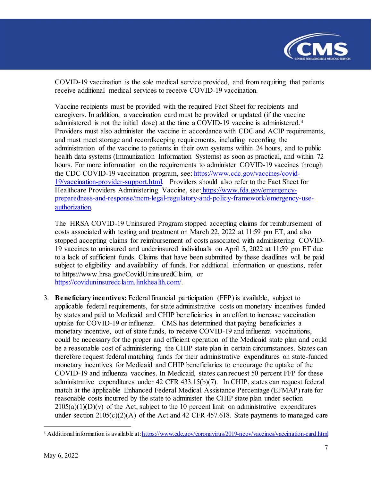

COVID-19 vaccination is the sole medical service provided, and from requiring that patients receive additional medical services to receive COVID-19 vaccination.

Vaccine recipients must be provided with the required Fact Sheet for recipients and caregivers. In addition, a vaccination card must be provided or updated (if the vaccine administered is not the initial dose) at the time a COVID-19 vaccine is administered. [4](#page-6-0) Providers must also administer the vaccine in accordance with CDC and ACIP requirements, and must meet storage and recordkeeping requirements, including recording the administration of the vaccine to patients in their own systems within 24 hours, and to public health data systems (Immunization Information Systems) as soon as practical, and within 72 hours. For more information on the requirements to administer COVID-19 vaccines through the CDC COVID-19 vaccination program, see: [https://www.cdc.gov/vaccines/covid-](https://www.cdc.gov/vaccines/covid-19/vaccination-provider-support.html)[19/vaccination-provider-support.html.](https://www.cdc.gov/vaccines/covid-19/vaccination-provider-support.html) Providers should also refer to the Fact Sheet for Healthcare Providers Administering Vaccine, see: https://www.fda.gov/emergencypreparedness-and-response/mcm-legal-regulatory-and-policy-framework/emergency-useauthorization.

The HRSA COVID-19 Uninsured Program stopped accepting claims for reimbursement of costs associated with testing and treatment on March 22, 2022 at 11:59 pm ET, and also stopped accepting claims for reimbursement of costs associated with administering COVID-19 vaccines to uninsured and underinsured individuals on April 5, 2022 at 11:59 pm ET due to a lack of sufficient funds. Claims that have been submitted by these deadlines will be paid subject to eligibility and availability of funds. For additional information or questions, refer to https://www.hrsa.gov/CovidUninsuredClaim, or [https://coviduninsuredclaim.linkhealth.com/.](https://coviduninsuredclaim.linkhealth.com/) 

3. **Beneficiary incentives:** Federal financial participation (FFP) is available, subject to applicable federal requirements, for state administrative costs on monetary incentives funded by states and paid to Medicaid and CHIP beneficiaries in an effort to increase vaccination uptake for COVID-19 or influenza. CMS has determined that paying beneficiaries a monetary incentive, out of state funds, to receive COVID-19 and influenza vaccinations, could be necessary for the proper and efficient operation of the Medicaid state plan and could be a reasonable cost of administering the CHIP state plan in certain circumstances. States can therefore request federal matching funds for their administrative expenditures on state-funded monetary incentives for Medicaid and CHIP beneficiaries to encourage the uptake of the COVID-19 and influenza vaccines. In Medicaid, states can request 50 percent FFP for these administrative expenditures under 42 CFR 433.15(b)(7). In CHIP, states can request federal match at the applicable Enhanced Federal Medical Assistance Percentage (EFMAP) rate for reasonable costs incurred by the state to administer the CHIP state plan under section  $2105(a)(1)(D)(v)$  of the Act, subject to the 10 percent limit on administrative expenditures under section  $2105(c)(2)(A)$  of the Act and 42 CFR 457.618. State payments to managed care

<span id="page-6-0"></span><sup>4</sup> Additional information is available at[: https://www.cdc.gov/coronavirus/2019-ncov/vaccines/vaccination-card.html](https://www.cdc.gov/coronavirus/2019-ncov/vaccines/vaccination-card.html)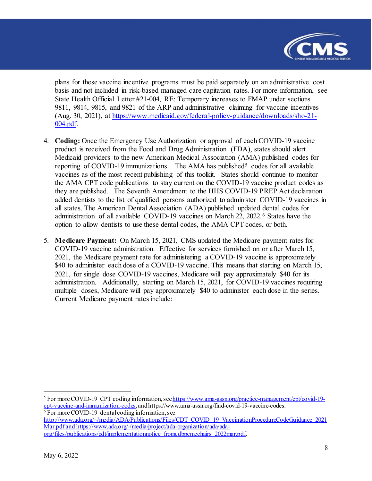

plans for these vaccine incentive programs must be paid separately on an administrative cost basis and not included in risk-based managed care capitation rates. For more information, see State Health Official Letter #21-004, RE: Temporary increases to FMAP under sections 9811, 9814, 9815, and 9821 of the ARP and administrative claiming for vaccine incentives (Aug. 30, 2021), at [https://www.medicaid.gov/federal-policy-guidance/downloads/sho-21-](https://www.medicaid.gov/federal-policy-guidance/downloads/sho-21-004.pdf) [004.pdf.](https://www.medicaid.gov/federal-policy-guidance/downloads/sho-21-004.pdf) 

- 4. **Coding:** Once the Emergency Use Authorization or approval of each COVID-19 vaccine product is received from the Food and Drug Administration (FDA), states should alert Medicaid providers to the new American Medical Association (AMA) published codes for reporting of COVID-19 immunizations. The AMA has published<sup>[5](#page-7-0)</sup> codes for all available vaccines as of the most recent publishing of this toolkit. States should continue to monitor the AMA CPT code publications to stay current on the COVID-19 vaccine product codes as they are published.The Seventh Amendment to the HHS COVID-19 PREP Act declaration added dentists to the list of qualified persons authorized to administer COVID-19 vaccines in all states. The American Dental Association (ADA) published updated dental codes for administration of all available COVID-19 vaccines on March 22, 2022.[6](#page-7-1) States have the option to allow dentists to use these dental codes, the AMA CPT codes, or both.
- 5. **Medicare Payment:** On March 15, 2021, CMS updated the Medicare payment rates for COVID-19 vaccine administration. Effective for services furnished on or after March 15, 2021, the Medicare payment rate for administering a COVID-19 vaccine is approximately \$40 to administer each dose of a COVID-19 vaccine. This means that starting on March 15, 2021, for single dose COVID-19 vaccines, Medicare will pay approximately \$40 for its administration. Additionally, starting on March 15, 2021, for COVID-19 vaccines requiring multiple doses, Medicare will pay approximately \$40 to administer each dose in the series. Current Medicare payment rates include:

<span id="page-7-0"></span><sup>5</sup> For more COVID-19 CPT coding information, se[e https://www.ama-assn.org/practice-management/cpt/covid-19](https://www.ama-assn.org/practice-management/cpt/covid-19-cpt-vaccine-and-immunization-codes) [cpt-vaccine-and-immunization-codes](https://www.ama-assn.org/practice-management/cpt/covid-19-cpt-vaccine-and-immunization-codes), and https://www.ama-assn.org/find-covid-19-vaccine-codes. 6 For more COVID-19 dental coding information, see

<span id="page-7-1"></span>[http://www.ada.org/~/media/ADA/Publications/Files/CDT\\_COVID\\_19\\_VaccinationProcedureCodeGuidance\\_2021](http://www.ada.org/%7E/media/ADA/Publications/Files/CDT_COVID_19_VaccinationProcedureCodeGuidance_2021Mar.pdf) [Mar.pdf](http://www.ada.org/%7E/media/ADA/Publications/Files/CDT_COVID_19_VaccinationProcedureCodeGuidance_2021Mar.pdf) an[d https://www.ada.org/-/media/project/ada-organization/ada/ada](https://www.ada.org/-/media/project/ada-organization/ada/ada-org/files/publications/cdt/implementationnotice_fromcdbpcmcchairs_2022mar.pdf)[org/files/publications/cdt/implementationnotice\\_fromcdbpcmcchairs\\_2022mar.pdf.](https://www.ada.org/-/media/project/ada-organization/ada/ada-org/files/publications/cdt/implementationnotice_fromcdbpcmcchairs_2022mar.pdf)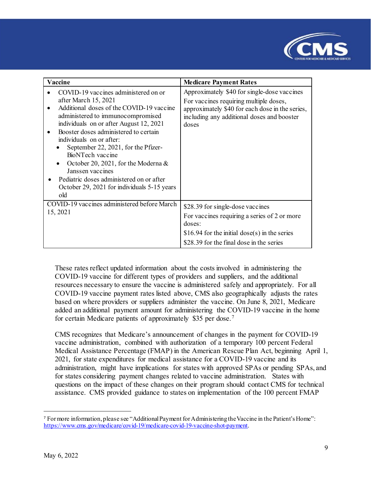

| Vaccine                                                                                                                                                                                                                                                                                                                                                                                                                                                                                  | <b>Medicare Payment Rates</b>                                                                                                                                                                   |
|------------------------------------------------------------------------------------------------------------------------------------------------------------------------------------------------------------------------------------------------------------------------------------------------------------------------------------------------------------------------------------------------------------------------------------------------------------------------------------------|-------------------------------------------------------------------------------------------------------------------------------------------------------------------------------------------------|
| COVID-19 vaccines administered on or<br>after March 15, 2021<br>Additional doses of the COVID-19 vaccine<br>administered to immunocompromised<br>individuals on or after August 12, 2021<br>Booster doses administered to certain<br>individuals on or after:<br>September 22, 2021, for the Pfizer-<br>BioNTech vaccine<br>October 20, 2021, for the Moderna $\&$<br>Janssen vaccines<br>Pediatric doses administered on or after<br>October 29, 2021 for individuals 5-15 years<br>old | Approximately \$40 for single-dose vaccines<br>For vaccines requiring multiple doses,<br>approximately \$40 for each dose in the series,<br>including any additional doses and booster<br>doses |
| COVID-19 vaccines administered before March<br>15, 2021                                                                                                                                                                                                                                                                                                                                                                                                                                  | \$28.39 for single-dose vaccines<br>For vaccines requiring a series of 2 or more<br>doses:<br>\$16.94 for the initial dose(s) in the series<br>\$28.39 for the final dose in the series         |

These rates reflect updated information about the costs involved in administering the COVID-19 vaccine for different types of providers and suppliers, and the additional resources necessary to ensure the vaccine is administered safely and appropriately. For all COVID-19 vaccine payment rates listed above, CMS also geographically adjusts the rates based on where providers or suppliers administer the vaccine. On June 8, 2021, Medicare added an additional payment amount for administering the COVID-19 vaccine in the home for certain Medicare patients of approximately \$35 per dose. [7](#page-8-0)

CMS recognizes that Medicare's announcement of changes in the payment for COVID-19 vaccine administration, combined with authorization of a temporary 100 percent Federal Medical Assistance Percentage (FMAP) in the American Rescue Plan Act, beginning April 1, 2021, for state expenditures for medical assistance for a COVID-19 vaccine and its administration, might have implications for states with approved SPAs or pending SPAs, and for states considering payment changes related to vaccine administration. States with questions on the impact of these changes on their program should contact CMS for technical assistance. CMS provided guidance to states on implementation of the 100 percent FMAP

<span id="page-8-0"></span><sup>7</sup> For more information, please see "Additional Payment for Administering the Vaccine in the Patient's Home": <https://www.cms.gov/medicare/covid-19/medicare-covid-19-vaccine-shot-payment>.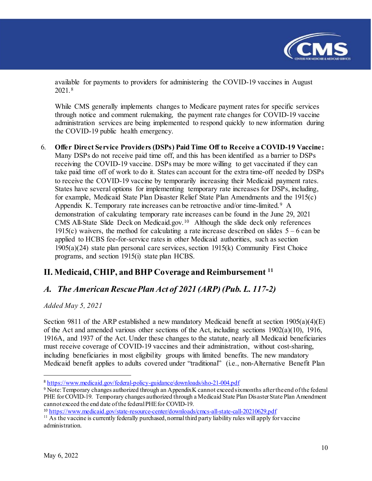

available for payments to providers for administering the COVID-19 vaccines in August 2021.[8](#page-9-2)

While CMS generally implements changes to Medicare payment rates for specific services through notice and comment rulemaking, the payment rate changes for COVID-19 vaccine administration services are being implemented to respond quickly to new information during the COVID-19 public health emergency.

6. **Offer Direct Service Providers (DSPs) Paid Time Off to Receive a COVID-19 Vaccine:**  Many DSPs do not receive paid time off, and this has been identified as a barrier to DSPs receiving the COVID-19 vaccine. DSPs may be more willing to get vaccinated if they can take paid time off of work to do it. States can account for the extra time-off needed by DSPs to receive the COVID-19 vaccine by temporarily increasing their Medicaid payment rates. States have several options for implementing temporary rate increases for DSPs, including, for example, Medicaid State Plan Disaster Relief State Plan Amendments and the 1915(c) Appendix K. Temporary rate increases can be retroactive and/or time-limited. [9](#page-9-3) A demonstration of calculating temporary rate increases can be found in the June 29, 2021 CMS All-State Slide Deck on Medicaid.gov.[10](#page-9-4) Although the slide deck only references 1915(c) waivers, the method for calculating a rate increase described on slides  $5 - 6$  can be applied to HCBS fee-for-service rates in other Medicaid authorities, such as section 1905(a)(24) state plan personal care services, section 1915(k) Community First Choice programs, and section 1915(i) state plan HCBS.

### <span id="page-9-0"></span>**II. Medicaid, CHIP, and BHP Coverage and Reimbursement [11](#page-9-5)**

### <span id="page-9-1"></span>*A. The American Rescue Plan Act of 2021 (ARP) (Pub. L. 117-2)*

*Added May 5, 2021*

Section 9811 of the ARP established a new mandatory Medicaid benefit at section 1905(a)(4)(E) of the Act and amended various other sections of the Act, including sections  $1902(a)(10)$ , 1916, 1916A, and 1937 of the Act. Under these changes to the statute, nearly all Medicaid beneficiaries must receive coverage of COVID-19 vaccines and their administration, without cost-sharing, including beneficiaries in most eligibility groups with limited benefits. The new mandatory Medicaid benefit applies to adults covered under "traditional" (i.e., non-Alternative Benefit Plan

<span id="page-9-2"></span><sup>8</sup> <https://www.medicaid.gov/federal-policy-guidance/downloads/sho-21-004.pdf>

<span id="page-9-3"></span><sup>9</sup> Note: Temporary changes authorized through an Appendix K cannot exceed six months after the end of the federal PHE for COVID-19. Temporary changes authorized through a Medicaid State Plan Disaster State Plan Amendment cannot exceed the end date of the federal PHE for COVID-19.<br><sup>10</sup> https://www.medicaid.gov/state-resource-center/downloads/cmcs-all-state-call-20210629.pdf

<span id="page-9-4"></span>

<span id="page-9-5"></span> $11$  As the vaccine is currently federally purchased, normal third party liability rules will apply for vaccine administration.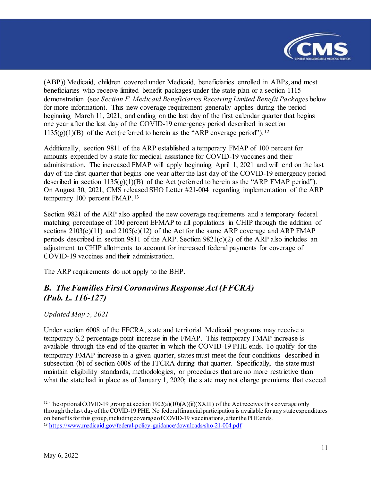

(ABP)) Medicaid, children covered under Medicaid, beneficiaries enrolled in ABPs, and most beneficiaries who receive limited benefit packages under the state plan or a section 1115 demonstration (see *Section F. Medicaid Beneficiaries Receiving Limited Benefit Packages* below for more information). This new coverage requirement generally applies during the period beginning March 11, 2021, and ending on the last day of the first calendar quarter that begins one year after the last day of the COVID-19 emergency period described in section  $1135(g)(1)(B)$  of the Act (referred to herein as the "ARP coverage period").<sup>[12](#page-10-1)</sup>

Additionally, section 9811 of the ARP established a temporary FMAP of 100 percent for amounts expended by a state for medical assistance for COVID-19 vaccines and their administration. The increased FMAP will apply beginning April 1, 2021 and will end on the last day of the first quarter that begins one year after the last day of the COVID-19 emergency period described in section 1135(g)(1)(B) of the Act (referred to herein as the "ARP FMAP period"). On August 30, 2021, CMS released SHO Letter #21-004 regarding implementation of the ARP temporary 100 percent FMAP.[13](#page-10-2)

Section 9821 of the ARP also applied the new coverage requirements and a temporary federal matching percentage of 100 percent EFMAP to all populations in CHIP through the addition of sections  $2103(c)(11)$  and  $2105(c)(12)$  of the Act for the same ARP coverage and ARP FMAP periods described in section 9811 of the ARP. Section 9821(c)(2) of the ARP also includes an adjustment to CHIP allotments to account for increased federal payments for coverage of COVID-19 vaccines and their administration.

The ARP requirements do not apply to the BHP.

## <span id="page-10-0"></span>*B. The Families First Coronavirus Response Act (FFCRA) (Pub. L. 116-127)*

*Updated May 5, 2021*

Under section 6008 of the FFCRA, state and territorial Medicaid programs may receive a temporary 6.2 percentage point increase in the FMAP. This temporary FMAP increase is available through the end of the quarter in which the COVID-19 PHE ends. To qualify for the temporary FMAP increase in a given quarter, states must meet the four conditions described in subsection (b) of section 6008 of the FFCRA during that quarter. Specifically, the state must maintain eligibility standards, methodologies, or procedures that are no more restrictive than what the state had in place as of January 1, 2020; the state may not charge premiums that exceed

<span id="page-10-2"></span><span id="page-10-1"></span> $\overline{a}$ <sup>12</sup> The optional COVID-19 group at section 1902(a)(10)(A)(ii)(XXIII) of the Act receives this coverage only through the last day of the COVID-19 PHE. No federal financial participation is available for any state expenditures on benefits for this group, including coverage of COVID-19 vaccinations, after the PHE ends. <sup>13</sup> <https://www.medicaid.gov/federal-policy-guidance/downloads/sho-21-004.pdf>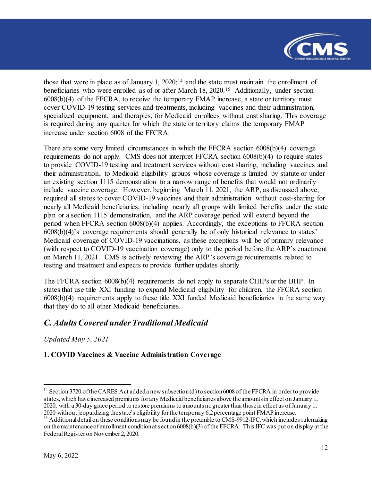

those that were in place as of January 1,  $2020$ ;<sup>[14](#page-11-1)</sup> and the state must maintain the enrollment of beneficiaries who were enrolled as of or after March 18, 2020.<sup>[15](#page-11-2)</sup> Additionally, under section 6008(b)(4) of the FFCRA, to receive the temporary FMAP increase, a state or territory must cover COVID-19 testing services and treatments, including vaccines and their administration, specialized equipment, and therapies, for Medicaid enrollees without cost sharing. This coverage is required during any quarter for which the state or territory claims the temporary FMAP increase under section 6008 of the FFCRA.

There are some very limited circumstances in which the FFCRA section 6008(b)(4) coverage requirements do not apply. CMS does not interpret FFCRA section 6008(b)(4) to require states to provide COVID-19 testing and treatment services without cost sharing, including vaccines and their administration, to Medicaid eligibility groups whose coverage is limited by statute or under an existing section 1115 demonstration to a narrow range of benefits that would not ordinarily include vaccine coverage. However, beginning March 11, 2021, the ARP, as discussed above, required all states to cover COVID-19 vaccines and their administration without cost-sharing for nearly all Medicaid beneficiaries, including nearly all groups with limited benefits under the state plan or a section 1115 demonstration, and the ARP coverage period will extend beyond the period when FFCRA section 6008(b)(4) applies. Accordingly, the exceptions to FFCRA section 6008(b)(4)'s coverage requirements should generally be of only historical relevance to states' Medicaid coverage of COVID-19 vaccinations, as these exceptions will be of primary relevance (with respect to COVID-19 vaccination coverage) only to the period before the ARP's enactment on March 11, 2021. CMS is actively reviewing the ARP's coverage requirements related to testing and treatment and expects to provide further updates shortly.

The FFCRA section 6008(b)(4) requirements do not apply to separate CHIPs or the BHP. In states that use title XXI funding to expand Medicaid eligibility for children, the FFCRA section 6008(b)(4) requirements apply to these title XXI funded Medicaid beneficiaries in the same way that they do to all other Medicaid beneficiaries.

### <span id="page-11-0"></span>*C. Adults Covered under Traditional Medicaid*

*Updated May 5, 2021*

#### **1. COVID Vaccines & Vaccine Administration Coverage**

<span id="page-11-1"></span><sup>&</sup>lt;sup>14</sup> Section 3720 of the CARES Act added a new subsection (d) to section 6008 of the FFCRA in order to provide states, which have increased premiums for any Medicaid beneficiaries above the amounts in effect on January 1, 2020, with a 30-day grace period to restore premiums to amounts no greater than those in effect as of January 1, 2020 without jeopardizing the state's eligibility for the temporary 6.2 percentage point FMAP increase.

<span id="page-11-2"></span><sup>&</sup>lt;sup>15</sup> Additional detail on these conditions may be found in the preamble to CMS-9912-IFC, which includes rulemaking on the maintenance of enrollment condition at section 6008(b)(3) of the FFCRA. This IFC was put on display at the Federal Register on November 2, 2020.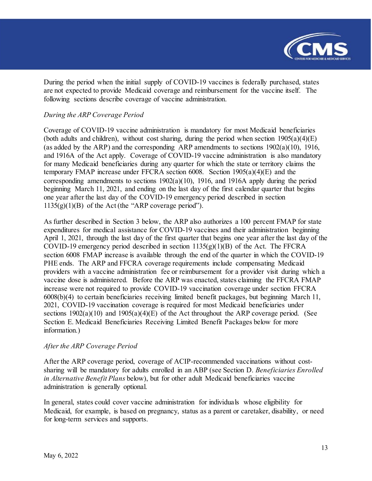

During the period when the initial supply of COVID-19 vaccines is federally purchased, states are not expected to provide Medicaid coverage and reimbursement for the vaccine itself. The following sections describe coverage of vaccine administration.

#### *During the ARP Coverage Period*

Coverage of COVID-19 vaccine administration is mandatory for most Medicaid beneficiaries (both adults and children), without cost sharing, during the period when section  $1905(a)(4)(E)$ (as added by the ARP) and the corresponding ARP amendments to sections  $1902(a)(10)$ , 1916, and 1916A of the Act apply. Coverage of COVID-19 vaccine administration is also mandatory for many Medicaid beneficiaries during any quarter for which the state or territory claims the temporary FMAP increase under FFCRA section 6008. Section 1905(a)(4)(E) and the corresponding amendments to sections 1902(a)(10), 1916, and 1916A apply during the period beginning March 11, 2021, and ending on the last day of the first calendar quarter that begins one year after the last day of the COVID-19 emergency period described in section  $1135(g)(1)(B)$  of the Act (the "ARP coverage period").

As further described in Section 3 below, the ARP also authorizes a 100 percent FMAP for state expenditures for medical assistance for COVID-19 vaccines and their administration beginning April 1, 2021, through the last day of the first quarter that begins one year after the last day of the COVID-19 emergency period described in section  $1135(g)(1)(B)$  of the Act. The FFCRA section 6008 FMAP increase is available through the end of the quarter in which the COVID-19 PHE ends. The ARP and FFCRA coverage requirements include compensating Medicaid providers with a vaccine administration fee or reimbursement for a provider visit during which a vaccine dose is administered. Before the ARP was enacted, states claiming the FFCRA FMAP increase were not required to provide COVID-19 vaccination coverage under section FFCRA 6008(b)(4) to certain beneficiaries receiving limited benefit packages, but beginning March 11, 2021, COVID-19 vaccination coverage is required for most Medicaid beneficiaries under sections  $1902(a)(10)$  and  $1905(a)(4)(E)$  of the Act throughout the ARP coverage period. (See Section E. Medicaid Beneficiaries Receiving Limited Benefit Packages below for more information.)

#### *After the ARP Coverage Period*

After the ARP coverage period, coverage of ACIP-recommended vaccinations without costsharing will be mandatory for adults enrolled in an ABP (see Section D. *Beneficiaries Enrolled in Alternative Benefit Plans* below), but for other adult Medicaid beneficiaries vaccine administration is generally optional.

In general, states could cover vaccine administration for individuals whose eligibility for Medicaid, for example, is based on pregnancy, status as a parent or caretaker, disability, or need for long-term services and supports.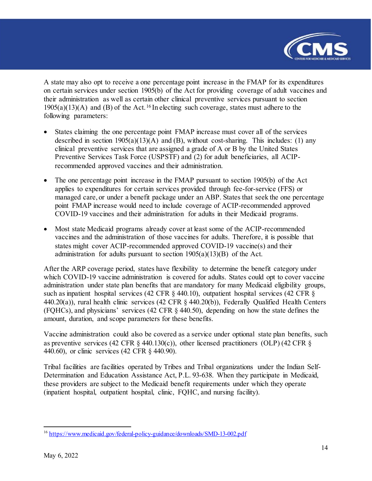

A state may also opt to receive a one percentage point increase in the FMAP for its expenditures on certain services under section 1905(b) of the Act for providing coverage of adult vaccines and their administration as well as certain other clinical preventive services pursuant to section  $1905(a)(13)(A)$  and (B) of the Act.<sup>[16](#page-13-0)</sup> In electing such coverage, states must adhere to the following parameters:

- States claiming the one percentage point FMAP increase must cover all of the services described in section  $1905(a)(13)(A)$  and (B), without cost-sharing. This includes: (1) any clinical preventive services that are assigned a grade of A or B by the United States Preventive Services Task Force (USPSTF) and (2) for adult beneficiaries, all ACIPrecommended approved vaccines and their administration.
- The one percentage point increase in the FMAP pursuant to section 1905(b) of the Act applies to expenditures for certain services provided through fee-for-service (FFS) or managed care, or under a benefit package under an ABP. States that seek the one percentage point FMAP increase would need to include coverage of ACIP-recommended approved COVID-19 vaccines and their administration for adults in their Medicaid programs.
- Most state Medicaid programs already cover at least some of the ACIP-recommended vaccines and the administration of those vaccines for adults. Therefore, it is possible that states might cover ACIP-recommended approved COVID-19 vaccine(s) and their administration for adults pursuant to section  $1905(a)(13)(B)$  of the Act.

After the ARP coverage period, states have flexibility to determine the benefit category under which COVID-19 vaccine administration is covered for adults. States could opt to cover vaccine administration under state plan benefits that are mandatory for many Medicaid eligibility groups, such as inpatient hospital services (42 CFR § 440.10), outpatient hospital services (42 CFR § 440.20(a)), rural health clinic services (42 CFR § 440.20(b)), Federally Qualified Health Centers (FQHCs), and physicians' services (42 CFR § 440.50), depending on how the state defines the amount, duration, and scope parameters for these benefits.

Vaccine administration could also be covered as a service under optional state plan benefits, such as preventive services (42 CFR  $\S$  440.130(c)), other licensed practitioners (OLP) (42 CFR  $\S$ 440.60), or clinic services (42 CFR § 440.90).

Tribal facilities are facilities operated by Tribes and Tribal organizations under the Indian Self-Determination and Education Assistance Act, P.L. 93-638. When they participate in Medicaid, these providers are subject to the Medicaid benefit requirements under which they operate (inpatient hospital, outpatient hospital, clinic, FQHC, and nursing facility).

<span id="page-13-0"></span>l <sup>16</sup> <https://www.medicaid.gov/federal-policy-guidance/downloads/SMD-13-002.pdf>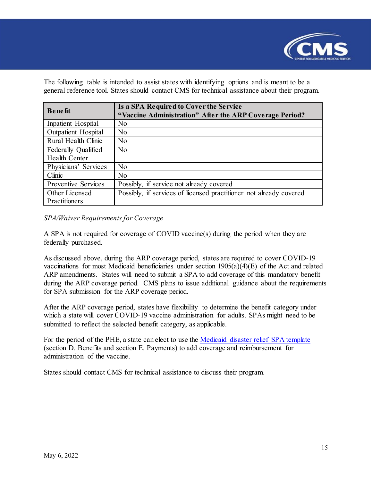

The following table is intended to assist states with identifying options and is meant to be a general reference tool. States should contact CMS for technical assistance about their program.

| <b>Benefit</b>             | Is a SPA Required to Cover the Service                             |
|----------------------------|--------------------------------------------------------------------|
|                            | "Vaccine Administration" After the ARP Coverage Period?            |
| Inpatient Hospital         | N <sub>o</sub>                                                     |
| <b>Outpatient Hospital</b> | N <sub>o</sub>                                                     |
| Rural Health Clinic        | No                                                                 |
| Federally Qualified        | No                                                                 |
| <b>Health Center</b>       |                                                                    |
| Physicians' Services       | No                                                                 |
| Clinic                     | N <sub>o</sub>                                                     |
| <b>Preventive Services</b> | Possibly, if service not already covered                           |
| Other Licensed             | Possibly, if services of licensed practitioner not already covered |
| Practitioners              |                                                                    |

#### *SPA/Waiver Requirements for Coverage*

A SPA is not required for coverage of COVID vaccine(s) during the period when they are federally purchased.

As discussed above, during the ARP coverage period, states are required to cover COVID-19 vaccinations for most Medicaid beneficiaries under section 1905(a)(4)(E) of the Act and related ARP amendments. States will need to submit a SPA to add coverage of this mandatory benefit during the ARP coverage period. CMS plans to issue additional guidance about the requirements for SPA submission for the ARP coverage period.

After the ARP coverage period, states have flexibility to determine the benefit category under which a state will cover COVID-19 vaccine administration for adults. SPAs might need to be submitted to reflect the selected benefit category, as applicable.

For the period of the PHE, a state can elect to use the [Medicaid disaster relief SPA template](https://www.medicaid.gov/state-resource-center/downloads/medicaid-disaster-relief-spa-template.docx)  (section D. Benefits and section E. Payments) to add coverage and reimbursement for administration of the vaccine.

States should contact CMS for technical assistance to discuss their program.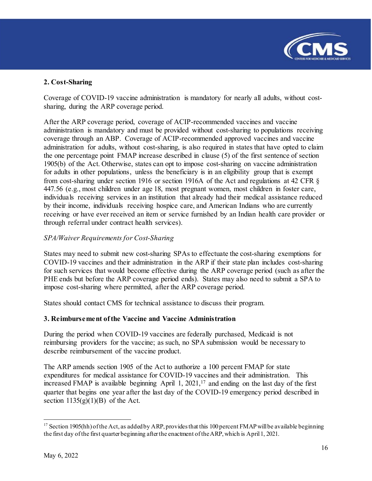

#### **2. Cost-Sharing**

Coverage of COVID-19 vaccine administration is mandatory for nearly all adults, without costsharing, during the ARP coverage period.

After the ARP coverage period, coverage of ACIP-recommended vaccines and vaccine administration is mandatory and must be provided without cost-sharing to populations receiving coverage through an ABP. Coverage of ACIP-recommended approved vaccines and vaccine administration for adults, without cost-sharing, is also required in states that have opted to claim the one percentage point FMAP increase described in clause (5) of the first sentence of section 1905(b) of the Act. Otherwise, states can opt to impose cost-sharing on vaccine administration for adults in other populations, unless the beneficiary is in an eligibility group that is exempt from cost-sharing under section 1916 or section 1916A of the Act and regulations at 42 CFR § 447.56 (e.g., most children under age 18, most pregnant women, most children in foster care, individuals receiving services in an institution that already had their medical assistance reduced by their income, individuals receiving hospice care, and American Indians who are currently receiving or have ever received an item or service furnished by an Indian health care provider or through referral under contract health services).

#### *SPA/Waiver Requirements for Cost-Sharing*

States may need to submit new cost-sharing SPAs to effectuate the cost-sharing exemptions for COVID-19 vaccines and their administration in the ARP if their state plan includes cost-sharing for such services that would become effective during the ARP coverage period (such as after the PHE ends but before the ARP coverage period ends). States may also need to submit a SPA to impose cost-sharing where permitted, after the ARP coverage period.

States should contact CMS for technical assistance to discuss their program.

#### **3. Reimbursement of the Vaccine and Vaccine Administration**

During the period when COVID-19 vaccines are federally purchased, Medicaid is not reimbursing providers for the vaccine; as such, no SPA submission would be necessary to describe reimbursement of the vaccine product.

The ARP amends section 1905 of the Act to authorize a 100 percent FMAP for state expenditures for medical assistance for COVID-19 vaccines and their administration. This increased FMAP is available beginning April 1,  $2021$ ,<sup>17</sup> and ending on the last day of the first quarter that begins one year after the last day of the COVID-19 emergency period described in section  $1135(g)(1)(B)$  of the Act.

<span id="page-15-0"></span>l <sup>17</sup> Section 1905(hh) of the Act, as added by ARP, provides that this 100 percent FMAP will be available beginning the first day of the first quarter beginning after the enactment of the ARP, which is April 1, 2021.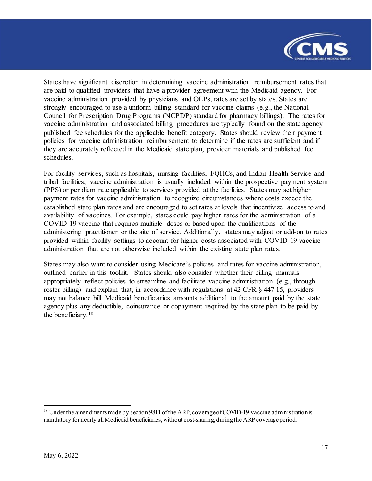

States have significant discretion in determining vaccine administration reimbursement rates that are paid to qualified providers that have a provider agreement with the Medicaid agency. For vaccine administration provided by physicians and OLPs, rates are set by states. States are strongly encouraged to use a uniform billing standard for vaccine claims (e.g., the National Council for Prescription Drug Programs (NCPDP) standard for pharmacy billings). The rates for vaccine administration and associated billing procedures are typically found on the state agency published fee schedules for the applicable benefit category. States should review their payment policies for vaccine administration reimbursement to determine if the rates are sufficient and if they are accurately reflected in the Medicaid state plan, provider materials and published fee schedules.

For facility services, such as hospitals, nursing facilities, FQHCs, and Indian Health Service and tribal facilities, vaccine administration is usually included within the prospective payment system (PPS) or per diem rate applicable to services provided at the facilities. States may set higher payment rates for vaccine administration to recognize circumstances where costs exceed the established state plan rates and are encouraged to set rates at levels that incentivize access to and availability of vaccines. For example, states could pay higher rates for the administration of a COVID-19 vaccine that requires multiple doses or based upon the qualifications of the administering practitioner or the site of service. Additionally, states may adjust or add-on to rates provided within facility settings to account for higher costs associated with COVID-19 vaccine administration that are not otherwise included within the existing state plan rates.

States may also want to consider using Medicare's policies and rates for vaccine administration, outlined earlier in this toolkit. States should also consider whether their billing manuals appropriately reflect policies to streamline and facilitate vaccine administration (e.g., through roster billing) and explain that, in accordance with regulations at 42 CFR § 447.15, providers may not balance bill Medicaid beneficiaries amounts additional to the amount paid by the state agency plus any deductible, coinsurance or copayment required by the state plan to be paid by the beneficiary.[18](#page-16-0)

<span id="page-16-0"></span> $18$  Under the amendments made by section 9811 of the ARP, coverage of COVID-19 vaccine administration is mandatory for nearly all Medicaid beneficiaries, without cost-sharing, during the ARP coverage period.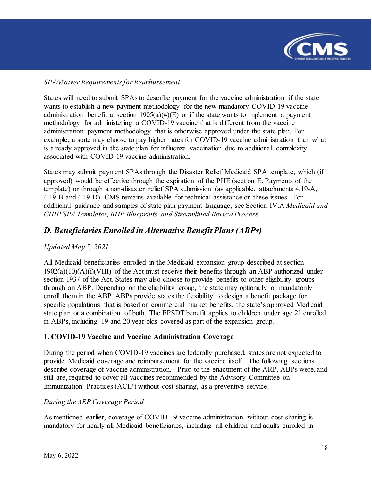

#### *SPA/Waiver Requirements for Reimbursement*

States will need to submit SPAs to describe payment for the vaccine administration if the state wants to establish a new payment methodology for the new mandatory COVID-19 vaccine administration benefit at section  $1905(a)(4)(E)$  or if the state wants to implement a payment methodology for administering a COVID-19 vaccine that is different from the vaccine administration payment methodology that is otherwise approved under the state plan. For example, a state may choose to pay higher rates for COVID-19 vaccine administration than what is already approved in the state plan for influenza vaccination due to additional complexity associated with COVID-19 vaccine administration.

States may submit payment SPAs through the Disaster Relief Medicaid SPA template, which (if approved) would be effective through the expiration of the PHE (section E. Payments of the template) or through a non-disaster relief SPA submission (as applicable, attachments 4.19-A, 4.19-B and 4.19-D). CMS remains available for technical assistance on these issues. For additional guidance and samples of state plan payment language, see Section IV.A *Medicaid and CHIP SPA Templates, BHP Blueprints, and Streamlined Review Process*.

### <span id="page-17-0"></span>*D. Beneficiaries Enrolled in Alternative Benefit Plans (ABPs)*

#### *Updated May 5, 2021*

All Medicaid beneficiaries enrolled in the Medicaid expansion group described at section  $1902(a)(10)(A)(i)(VIII)$  of the Act must receive their benefits through an ABP authorized under section 1937 of the Act. States may also choose to provide benefits to other eligibility groups through an ABP. Depending on the eligibility group, the state may optionally or mandatorily enroll them in the ABP. ABPs provide states the flexibility to design a benefit package for specific populations that is based on commercial market benefits, the state's approved Medicaid state plan or a combination of both. The EPSDT benefit applies to children under age 21 enrolled in ABPs, including 19 and 20 year olds covered as part of the expansion group.

#### **1. COVID-19 Vaccine and Vaccine Administration Coverage**

During the period when COVID-19 vaccines are federally purchased, states are not expected to provide Medicaid coverage and reimbursement for the vaccine itself. The following sections describe coverage of vaccine administration. Prior to the enactment of the ARP, ABPs were, and still are, required to cover all vaccines recommended by the Advisory Committee on Immunization Practices (ACIP) without cost-sharing, as a preventive service.

#### *During the ARP Coverage Period*

As mentioned earlier, coverage of COVID-19 vaccine administration without cost-sharing is mandatory for nearly all Medicaid beneficiaries, including all children and adults enrolled in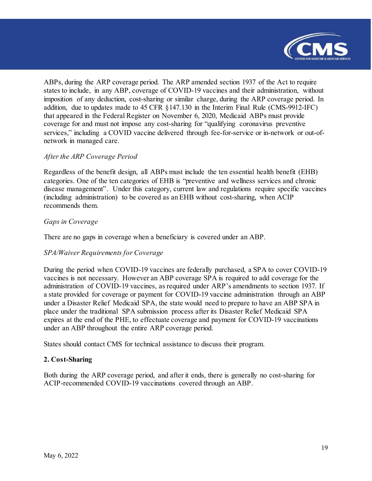

ABPs, during the ARP coverage period. The ARP amended section 1937 of the Act to require states to include, in any ABP, coverage of COVID-19 vaccines and their administration, without imposition of any deduction, cost-sharing or similar charge, during the ARP coverage period. In addition, due to updates made to 45 CFR §147.130 in the Interim Final Rule (CMS-9912-IFC) that appeared in the Federal Register on November 6, 2020, Medicaid ABPs must provide coverage for and must not impose any cost-sharing for "qualifying coronavirus preventive services," including a COVID vaccine delivered through fee-for-service or in-network or out-ofnetwork in managed care.

#### *After the ARP Coverage Period*

Regardless of the benefit design, all ABPs must include the ten essential health benefit (EHB) categories. One of the ten categories of EHB is "preventive and wellness services and chronic disease management". Under this category, current law and regulations require specific vaccines (including administration) to be covered as an EHB without cost-sharing, when ACIP recommends them.

#### *Gaps in Coverage*

There are no gaps in coverage when a beneficiary is covered under an ABP.

#### *SPA/Waiver Requirements for Coverage*

During the period when COVID-19 vaccines are federally purchased, a SPA to cover COVID-19 vaccines is not necessary. However an ABP coverage SPA is required to add coverage for the administration of COVID-19 vaccines, as required under ARP's amendments to section 1937. If a state provided for coverage or payment for COVID-19 vaccine administration through an ABP under a Disaster Relief Medicaid SPA, the state would need to prepare to have an ABP SPA in place under the traditional SPA submission process after its Disaster Relief Medicaid SPA expires at the end of the PHE, to effectuate coverage and payment for COVID-19 vaccinations under an ABP throughout the entire ARP coverage period.

States should contact CMS for technical assistance to discuss their program.

#### **2. Cost-Sharing**

Both during the ARP coverage period, and after it ends, there is generally no cost-sharing for ACIP-recommended COVID-19 vaccinations covered through an ABP.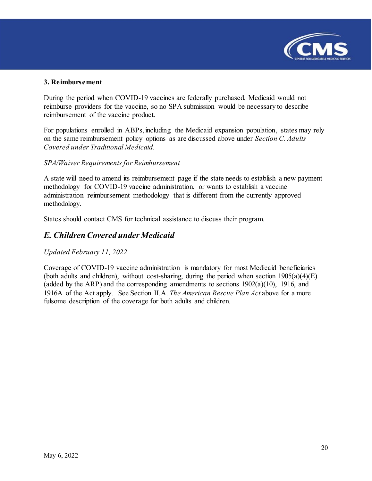

#### **3. Reimbursement**

During the period when COVID-19 vaccines are federally purchased, Medicaid would not reimburse providers for the vaccine, so no SPA submission would be necessary to describe reimbursement of the vaccine product.

For populations enrolled in ABPs, including the Medicaid expansion population, states may rely on the same reimbursement policy options as are discussed above under *Section C. Adults Covered under Traditional Medicaid.*

#### *SPA/Waiver Requirements for Reimbursement*

A state will need to amend its reimbursement page if the state needs to establish a new payment methodology for COVID-19 vaccine administration, or wants to establish a vaccine administration reimbursement methodology that is different from the currently approved methodology.

States should contact CMS for technical assistance to discuss their program.

#### <span id="page-19-0"></span>*E. Children Covered under Medicaid*

#### *Updated February 11, 2022*

Coverage of COVID-19 vaccine administration is mandatory for most Medicaid beneficiaries (both adults and children), without cost-sharing, during the period when section  $1905(a)(4)(E)$ (added by the ARP) and the corresponding amendments to sections  $1902(a)(10)$ , 1916, and 1916A of the Act apply. See Section II.A. *The American Rescue Plan Act* above for a more fulsome description of the coverage for both adults and children.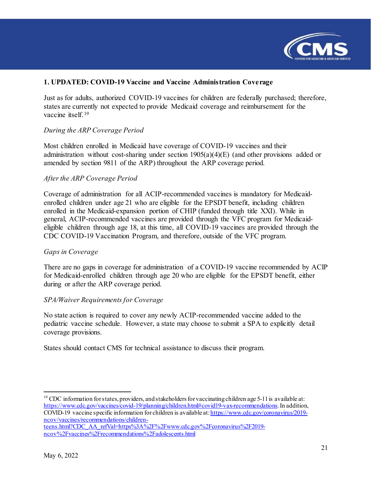

#### **1. UPDATED: COVID-19 Vaccine and Vaccine Administration Coverage**

Just as for adults, authorized COVID-19 vaccines for children are federally purchased; therefore, states are currently not expected to provide Medicaid coverage and reimbursement for the vaccine itself.<sup>[19](#page-20-0)</sup>

#### *During the ARP Coverage Period*

Most children enrolled in Medicaid have coverage of COVID-19 vaccines and their administration without cost-sharing under section 1905(a)(4)(E) (and other provisions added or amended by section 9811 of the ARP) throughout the ARP coverage period.

#### *After the ARP Coverage Period*

Coverage of administration for all ACIP-recommended vaccines is mandatory for Medicaidenrolled children under age 21 who are eligible for the EPSDT benefit, including children enrolled in the Medicaid-expansion portion of CHIP (funded through title XXI). While in general, ACIP-recommended vaccines are provided through the VFC program for Medicaideligible children through age 18, at this time, all COVID-19 vaccines are provided through the CDC COVID-19 Vaccination Program, and therefore, outside of the VFC program.

#### *Gaps in Coverage*

There are no gaps in coverage for administration of a COVID-19 vaccine recommended by ACIP for Medicaid-enrolled children through age 20 who are eligible for the EPSDT benefit, either during or after the ARP coverage period.

#### *SPA/Waiver Requirements for Coverage*

No state action is required to cover any newly ACIP-recommended vaccine added to the pediatric vaccine schedule. However, a state may choose to submit a SPA to explicitly detail coverage provisions.

States should contact CMS for technical assistance to discuss their program.

<span id="page-20-0"></span><sup>19</sup> CDC information for states, providers, and stakeholders for vaccinating children age 5-11 is available at: [https://www.cdc.gov/vaccines/covid-19/planning/children.html#covid19-vax-recommendations.](https://www.cdc.gov/vaccines/covid-19/planning/children.html#covid19-vax-recommendations) In addition, COVID-19 vaccine specific information for children is available at[: https://www.cdc.gov/coronavirus/2019](https://www.cdc.gov/coronavirus/2019-ncov/vaccines/recommendations/children-teens.html?CDC_AA_refVal=https%3A%2F%2Fwww.cdc.gov%2Fcoronavirus%2F2019-ncov%2Fvaccines%2Frecommendations%2Fadolescents.html) [ncov/vaccines/recommendations/children-](https://www.cdc.gov/coronavirus/2019-ncov/vaccines/recommendations/children-teens.html?CDC_AA_refVal=https%3A%2F%2Fwww.cdc.gov%2Fcoronavirus%2F2019-ncov%2Fvaccines%2Frecommendations%2Fadolescents.html)

[teens.html?CDC\\_AA\\_refVal=https%3A%2F%2Fwww.cdc.gov%2Fcoronavirus%2F2019](https://www.cdc.gov/coronavirus/2019-ncov/vaccines/recommendations/children-teens.html?CDC_AA_refVal=https%3A%2F%2Fwww.cdc.gov%2Fcoronavirus%2F2019-ncov%2Fvaccines%2Frecommendations%2Fadolescents.html) [ncov%2Fvaccines%2Frecommendations%2Fadolescents.html](https://www.cdc.gov/coronavirus/2019-ncov/vaccines/recommendations/children-teens.html?CDC_AA_refVal=https%3A%2F%2Fwww.cdc.gov%2Fcoronavirus%2F2019-ncov%2Fvaccines%2Frecommendations%2Fadolescents.html)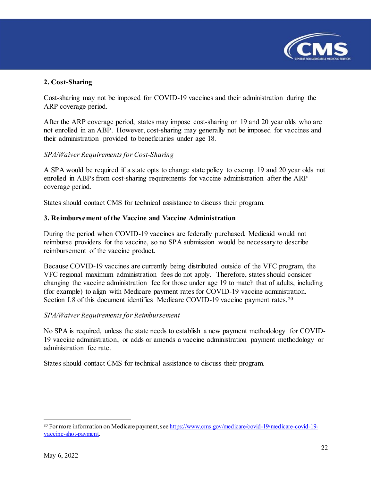

#### **2. Cost-Sharing**

Cost-sharing may not be imposed for COVID-19 vaccines and their administration during the ARP coverage period.

After the ARP coverage period, states may impose cost-sharing on 19 and 20 year olds who are not enrolled in an ABP. However, cost-sharing may generally not be imposed for vaccines and their administration provided to beneficiaries under age 18.

#### *SPA/Waiver Requirements for Cost-Sharing*

A SPA would be required if a state opts to change state policy to exempt 19 and 20 year olds not enrolled in ABPs from cost-sharing requirements for vaccine administration after the ARP coverage period.

States should contact CMS for technical assistance to discuss their program.

#### **3. Reimbursement of the Vaccine and Vaccine Administration**

During the period when COVID-19 vaccines are federally purchased, Medicaid would not reimburse providers for the vaccine, so no SPA submission would be necessary to describe reimbursement of the vaccine product.

Because COVID-19 vaccines are currently being distributed outside of the VFC program, the VFC regional maximum administration fees do not apply. Therefore, states should consider changing the vaccine administration fee for those under age 19 to match that of adults, including (for example) to align with Medicare payment rates for COVID-19 vaccine administration. Section I.8 of this document identifies Medicare COVID-19 vaccine payment rates.<sup>[20](#page-21-0)</sup>

#### *SPA/Waiver Requirements for Reimbursement*

No SPA is required, unless the state needs to establish a new payment methodology for COVID-19 vaccine administration, or adds or amends a vaccine administration payment methodology or administration fee rate.

States should contact CMS for technical assistance to discuss their program.

<span id="page-21-0"></span><sup>&</sup>lt;sup>20</sup> For more information on Medicare payment, se[e https://www.cms.gov/medicare/covid-19/medicare-covid-19](https://www.cms.gov/medicare/covid-19/medicare-covid-19-vaccine-shot-payment) [vaccine-shot-payment.](https://www.cms.gov/medicare/covid-19/medicare-covid-19-vaccine-shot-payment)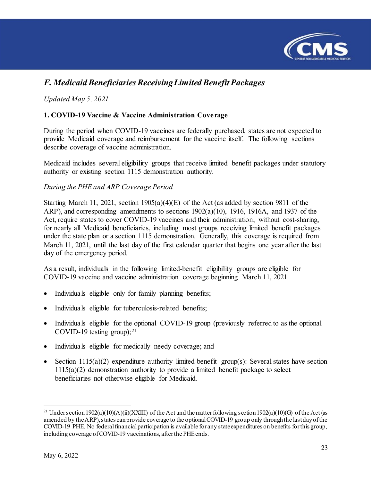

# <span id="page-22-0"></span>*F. Medicaid Beneficiaries Receiving Limited Benefit Packages*

*Updated May 5, 2021*

#### **1. COVID-19 Vaccine & Vaccine Administration Coverage**

During the period when COVID-19 vaccines are federally purchased, states are not expected to provide Medicaid coverage and reimbursement for the vaccine itself. The following sections describe coverage of vaccine administration.

Medicaid includes several eligibility groups that receive limited benefit packages under statutory authority or existing section 1115 demonstration authority.

#### *During the PHE and ARP Coverage Period*

Starting March 11, 2021, section 1905(a)(4)(E) of the Act (as added by section 9811 of the ARP), and corresponding amendments to sections 1902(a)(10), 1916, 1916A, and 1937 of the Act, require states to cover COVID-19 vaccines and their administration, without cost-sharing, for nearly all Medicaid beneficiaries, including most groups receiving limited benefit packages under the state plan or a section 1115 demonstration. Generally, this coverage is required from March 11, 2021, until the last day of the first calendar quarter that begins one year after the last day of the emergency period.

As a result, individuals in the following limited-benefit eligibility groups are eligible for COVID-19 vaccine and vaccine administration coverage beginning March 11, 2021.

- Individuals eligible only for family planning benefits;
- Individuals eligible for tuberculosis-related benefits;
- Individuals eligible for the optional COVID-19 group (previously referred to as the optional COVID-19 testing group); $^{21}$  $^{21}$  $^{21}$
- Individuals eligible for medically needy coverage; and
- Section  $1115(a)(2)$  expenditure authority limited-benefit group(s): Several states have section  $1115(a)(2)$  demonstration authority to provide a limited benefit package to select beneficiaries not otherwise eligible for Medicaid.

<span id="page-22-1"></span>l <sup>21</sup> Under section 1902(a)(10)(A)(ii)(XXIII) of the Act and the matter following section 1902(a)(10)(G) of the Act (as amended by the ARP), states can provide coverage to the optional COVID-19 group only through the last day of the COVID-19 PHE. No federal financial participation is available for any state expenditures on benefits for this group, including coverage of COVID-19 vaccinations, after the PHE ends.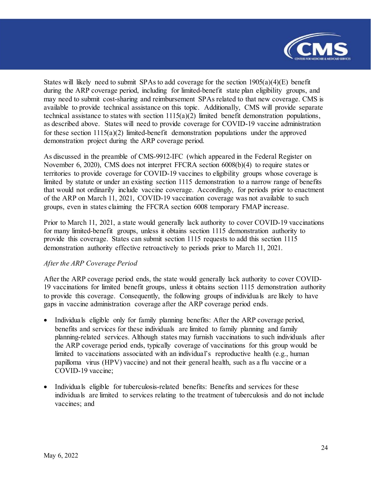

States will likely need to submit SPAs to add coverage for the section  $1905(a)(4)(E)$  benefit during the ARP coverage period, including for limited-benefit state plan eligibility groups, and may need to submit cost-sharing and reimbursement SPAs related to that new coverage. CMS is available to provide technical assistance on this topic. Additionally, CMS will provide separate technical assistance to states with section 1115(a)(2) limited benefit demonstration populations, as described above. States will need to provide coverage for COVID-19 vaccine administration for these section 1115(a)(2) limited-benefit demonstration populations under the approved demonstration project during the ARP coverage period.

As discussed in the preamble of CMS-9912-IFC (which appeared in the Federal Register on November 6, 2020), CMS does not interpret FFCRA section 6008(b)(4) to require states or territories to provide coverage for COVID-19 vaccines to eligibility groups whose coverage is limited by statute or under an existing section 1115 demonstration to a narrow range of benefits that would not ordinarily include vaccine coverage. Accordingly, for periods prior to enactment of the ARP on March 11, 2021, COVID-19 vaccination coverage was not available to such groups, even in states claiming the FFCRA section 6008 temporary FMAP increase.

Prior to March 11, 2021, a state would generally lack authority to cover COVID-19 vaccinations for many limited-benefit groups, unless it obtains section 1115 demonstration authority to provide this coverage. States can submit section 1115 requests to add this section 1115 demonstration authority effective retroactively to periods prior to March 11, 2021.

#### *After the ARP Coverage Period*

After the ARP coverage period ends, the state would generally lack authority to cover COVID-19 vaccinations for limited benefit groups, unless it obtains section 1115 demonstration authority to provide this coverage. Consequently, the following groups of individuals are likely to have gaps in vaccine administration coverage after the ARP coverage period ends.

- Individuals eligible only for family planning benefits: After the ARP coverage period, benefits and services for these individuals are limited to family planning and family planning-related services. Although states may furnish vaccinations to such individuals after the ARP coverage period ends, typically coverage of vaccinations for this group would be limited to vaccinations associated with an individual's reproductive health (e.g., human papilloma virus (HPV) vaccine) and not their general health, such as a flu vaccine or a COVID-19 vaccine;
- Individuals eligible for tuberculosis-related benefits: Benefits and services for these individuals are limited to services relating to the treatment of tuberculosis and do not include vaccines; and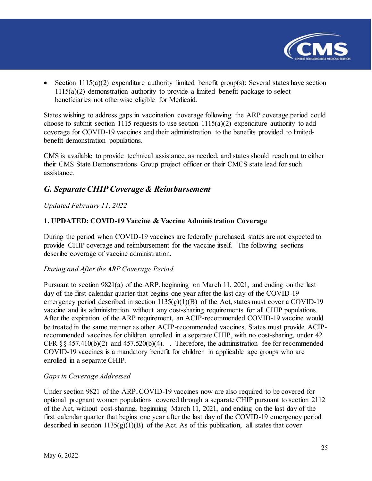

• Section  $1115(a)(2)$  expenditure authority limited benefit group(s): Several states have section 1115(a)(2) demonstration authority to provide a limited benefit package to select beneficiaries not otherwise eligible for Medicaid.

States wishing to address gaps in vaccination coverage following the ARP coverage period could choose to submit section 1115 requests to use section  $1115(a)(2)$  expenditure authority to add coverage for COVID-19 vaccines and their administration to the benefits provided to limitedbenefit demonstration populations.

CMS is available to provide technical assistance, as needed, and states should reach out to either their CMS State Demonstrations Group project officer or their CMCS state lead for such assistance.

### <span id="page-24-0"></span>*G. Separate CHIP Coverage & Reimbursement*

#### *Updated February 11, 2022*

#### **1. UPDATED: COVID-19 Vaccine & Vaccine Administration Coverage**

During the period when COVID-19 vaccines are federally purchased, states are not expected to provide CHIP coverage and reimbursement for the vaccine itself. The following sections describe coverage of vaccine administration.

#### *During and After the ARP Coverage Period*

Pursuant to section 9821(a) of the ARP, beginning on March 11, 2021, and ending on the last day of the first calendar quarter that begins one year after the last day of the COVID-19 emergency period described in section  $1135(g)(1)(B)$  of the Act, states must cover a COVID-19 vaccine and its administration without any cost-sharing requirements for all CHIP populations. After the expiration of the ARP requirement, an ACIP-recommended COVID-19 vaccine would be treated in the same manner as other ACIP-recommended vaccines. States must provide ACIPrecommended vaccines for children enrolled in a separate CHIP, with no cost-sharing, under 42 CFR  $\S$ § 457.410(b)(2) and 457.520(b)(4). Therefore, the administration fee for recommended COVID-19 vaccines is a mandatory benefit for children in applicable age groups who are enrolled in a separate CHIP.

#### *Gaps in Coverage Addressed*

Under section 9821 of the ARP, COVID-19 vaccines now are also required to be covered for optional pregnant women populations covered through a separate CHIP pursuant to section 2112 of the Act, without cost-sharing, beginning March 11, 2021, and ending on the last day of the first calendar quarter that begins one year after the last day of the COVID-19 emergency period described in section  $1135(g)(1)(B)$  of the Act. As of this publication, all states that cover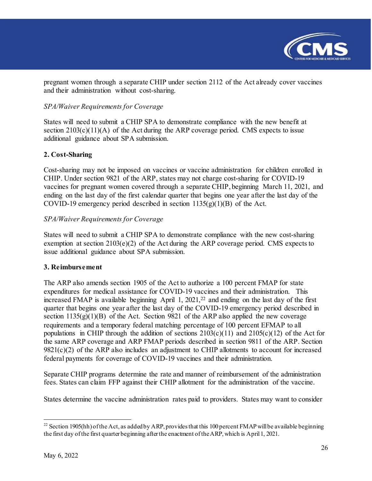

pregnant women through a separate CHIP under section 2112 of the Act already cover vaccines and their administration without cost-sharing.

#### *SPA/Waiver Requirements for Coverage*

States will need to submit a CHIP SPA to demonstrate compliance with the new benefit at section  $2103(c)(11)(A)$  of the Act during the ARP coverage period. CMS expects to issue additional guidance about SPA submission.

#### **2. Cost-Sharing**

Cost-sharing may not be imposed on vaccines or vaccine administration for children enrolled in CHIP. Under section 9821 of the ARP, states may not charge cost-sharing for COVID-19 vaccines for pregnant women covered through a separate CHIP, beginning March 11, 2021, and ending on the last day of the first calendar quarter that begins one year after the last day of the COVID-19 emergency period described in section  $1135(g)(1)(B)$  of the Act.

#### *SPA/Waiver Requirements for Coverage*

States will need to submit a CHIP SPA to demonstrate compliance with the new cost-sharing exemption at section 2103(e)(2) of the Act during the ARP coverage period. CMS expects to issue additional guidance about SPA submission.

#### **3. Reimbursement**

The ARP also amends section 1905 of the Act to authorize a 100 percent FMAP for state expenditures for medical assistance for COVID-19 vaccines and their administration. This increased FMAP is available beginning April 1,  $2021$ ,  $22$  and ending on the last day of the first quarter that begins one year after the last day of the COVID-19 emergency period described in section  $1135(g)(1)(B)$  of the Act. Section 9821 of the ARP also applied the new coverage requirements and a temporary federal matching percentage of 100 percent EFMAP to all populations in CHIP through the addition of sections  $2103(c)(11)$  and  $2105(c)(12)$  of the Act for the same ARP coverage and ARP FMAP periods described in section 9811 of the ARP. Section  $9821(c)(2)$  of the ARP also includes an adjustment to CHIP allotments to account for increased federal payments for coverage of COVID-19 vaccines and their administration.

Separate CHIP programs determine the rate and manner of reimbursement of the administration fees. States can claim FFP against their CHIP allotment for the administration of the vaccine.

States determine the vaccine administration rates paid to providers. States may want to consider

<span id="page-25-0"></span>l <sup>22</sup> Section 1905(hh) of the Act, as added by ARP, provides that this 100 percent FMAP will be available beginning the first day of the first quarter beginning after the enactment of the ARP, which is April 1, 2021.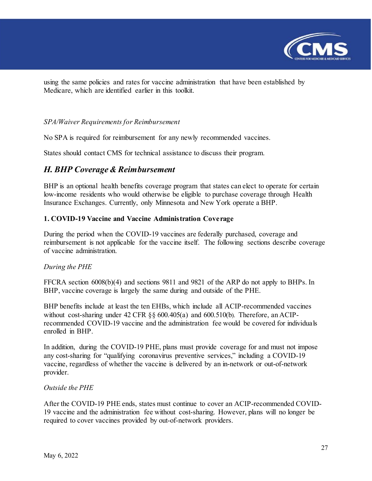

using the same policies and rates for vaccine administration that have been established by Medicare, which are identified earlier in this toolkit.

#### *SPA/Waiver Requirements for Reimbursement*

No SPA is required for reimbursement for any newly recommended vaccines.

States should contact CMS for technical assistance to discuss their program.

#### <span id="page-26-0"></span>*H. BHP Coverage & Reimbursement*

BHP is an optional health benefits coverage program that states can elect to operate for certain low-income residents who would otherwise be eligible to purchase coverage through Health Insurance Exchanges. Currently, only Minnesota and New York operate a BHP.

#### **1. COVID-19 Vaccine and Vaccine Administration Coverage**

During the period when the COVID-19 vaccines are federally purchased, coverage and reimbursement is not applicable for the vaccine itself. The following sections describe coverage of vaccine administration.

#### *During the PHE*

FFCRA section 6008(b)(4) and sections 9811 and 9821 of the ARP do not apply to BHPs. In BHP, vaccine coverage is largely the same during and outside of the PHE.

BHP benefits include at least the ten EHBs, which include all ACIP-recommended vaccines without cost-sharing under 42 CFR §§ 600.405(a) and 600.510(b). Therefore, an ACIPrecommended COVID-19 vaccine and the administration fee would be covered for individuals enrolled in BHP.

In addition, during the COVID-19 PHE, plans must provide coverage for and must not impose any cost-sharing for "qualifying coronavirus preventive services," including a COVID-19 vaccine, regardless of whether the vaccine is delivered by an in-network or out-of-network provider.

#### *Outside the PHE*

After the COVID-19 PHE ends, states must continue to cover an ACIP-recommended COVID-19 vaccine and the administration fee without cost-sharing. However, plans will no longer be required to cover vaccines provided by out-of-network providers.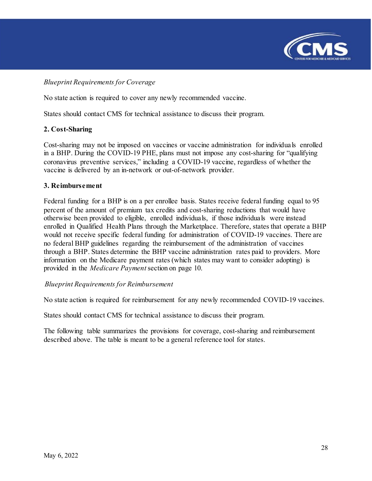

#### *Blueprint Requirements for Coverage*

No state action is required to cover any newly recommended vaccine.

States should contact CMS for technical assistance to discuss their program.

#### **2. Cost-Sharing**

Cost-sharing may not be imposed on vaccines or vaccine administration for individuals enrolled in a BHP. During the COVID-19 PHE, plans must not impose any cost-sharing for "qualifying coronavirus preventive services," including a COVID-19 vaccine, regardless of whether the vaccine is delivered by an in-network or out-of-network provider.

#### **3. Reimbursement**

Federal funding for a BHP is on a per enrollee basis. States receive federal funding equal to 95 percent of the amount of premium tax credits and cost-sharing reductions that would have otherwise been provided to eligible, enrolled individuals, if those individuals were instead enrolled in Qualified Health Plans through the Marketplace. Therefore, states that operate a BHP would not receive specific federal funding for administration of COVID-19 vaccines. There are no federal BHP guidelines regarding the reimbursement of the administration of vaccines through a BHP. States determine the BHP vaccine administration rates paid to providers. More information on the Medicare payment rates (which states may want to consider adopting) is provided in the *Medicare Payment*section on page 10.

#### *Blueprint Requirements for Reimbursement*

No state action is required for reimbursement for any newly recommended COVID-19 vaccines.

States should contact CMS for technical assistance to discuss their program.

The following table summarizes the provisions for coverage, cost-sharing and reimbursement described above. The table is meant to be a general reference tool for states.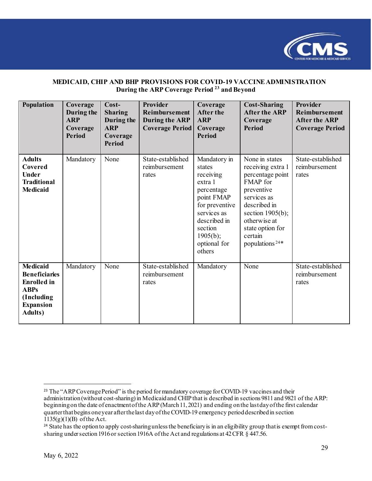

#### **MEDICAID, CHIP AND BHP PROVISIONS FOR COVID-19 VACCINE ADMINISTRATION During the ARP Coverage Period [23](#page-28-0) and Beyond**

| <b>Population</b>                                                                                                                 | Coverage<br>During the<br><b>ARP</b><br>Coverage<br><b>Period</b> | $Cost-$<br><b>Sharing</b><br>During the<br><b>ARP</b><br>Coverage<br><b>Period</b> | <b>Provider</b><br>Reimbursement<br><b>During the ARP</b><br><b>Coverage Period</b> | Coverage<br><b>After the</b><br><b>ARP</b><br>Coverage<br>Period                                                                                                             | <b>Cost-Sharing</b><br><b>After the ARP</b><br>Coverage<br><b>Period</b>                                                                                                                                             | <b>Provider</b><br>Reimbursement<br><b>After the ARP</b><br><b>Coverage Period</b> |
|-----------------------------------------------------------------------------------------------------------------------------------|-------------------------------------------------------------------|------------------------------------------------------------------------------------|-------------------------------------------------------------------------------------|------------------------------------------------------------------------------------------------------------------------------------------------------------------------------|----------------------------------------------------------------------------------------------------------------------------------------------------------------------------------------------------------------------|------------------------------------------------------------------------------------|
| <b>Adults</b><br>Covered<br><b>Under</b><br><b>Traditional</b><br><b>Medicaid</b>                                                 | Mandatory                                                         | None                                                                               | State-established<br>reimbursement<br>rates                                         | Mandatory in<br>states<br>receiving<br>extra 1<br>percentage<br>point FMAP<br>for preventive<br>services as<br>described in<br>section<br>1905(b);<br>optional for<br>others | None in states<br>receiving extra 1<br>percentage point<br>FMAP for<br>preventive<br>services as<br>described in<br>section $1905(b)$ ;<br>otherwise at<br>state option for<br>certain<br>populations <sup>24*</sup> | State-established<br>reimbursement<br>rates                                        |
| <b>Medicaid</b><br><b>Beneficiaries</b><br><b>Enrolled</b> in<br><b>ABPs</b><br>(Including<br><b>Expansion</b><br><b>Adults</b> ) | Mandatory                                                         | None                                                                               | State-established<br>reimbursement<br>rates                                         | Mandatory                                                                                                                                                                    | None                                                                                                                                                                                                                 | State-established<br>reimbursement<br>rates                                        |

<span id="page-28-0"></span><sup>&</sup>lt;sup>23</sup> The "ARP Coverage Period" is the period for mandatory coverage for COVID-19 vaccines and their administration (without cost-sharing) in Medicaid and CHIP that is described in sections 9811 and 9821 of the ARP: beginning on the date of enactment of the ARP(March 11, 2021) and ending onthe last day of the first calendar quarter that begins one year after the last day of the COVID-19 emergency period described in section  $1135(g)(1)(B)$  of the Act.

<span id="page-28-1"></span><sup>&</sup>lt;sup>24</sup> State has the option to apply cost-sharing unless the beneficiary is in an eligibility group that is exempt from costsharing under section 1916 or section 1916A of the Act and regulations at 42 CFR § 447.56.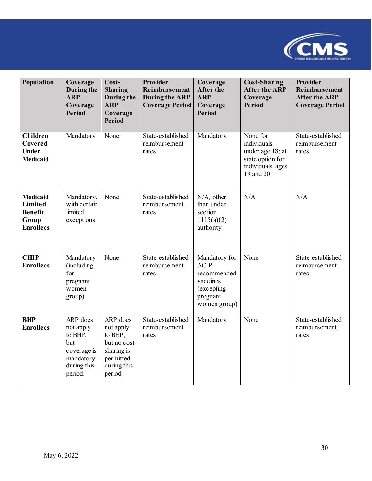

| Population                                                                | Coverage<br>During the<br><b>ARP</b><br>Coverage<br><b>Period</b>                             | Cost-<br><b>Sharing</b><br>During the<br><b>ARP</b><br>Coverage<br><b>Period</b>                     | Provider<br>Reimbursement<br><b>During the ARP</b><br><b>Coverage Period</b> | Coverage<br><b>After the</b><br><b>ARP</b><br>Coverage<br><b>Period</b>                      | <b>Cost-Sharing</b><br><b>After the ARP</b><br>Coverage<br><b>Period</b>                         | Provider<br>Reimbursement<br><b>After the ARP</b><br><b>Coverage Period</b> |
|---------------------------------------------------------------------------|-----------------------------------------------------------------------------------------------|------------------------------------------------------------------------------------------------------|------------------------------------------------------------------------------|----------------------------------------------------------------------------------------------|--------------------------------------------------------------------------------------------------|-----------------------------------------------------------------------------|
| <b>Children</b><br>Covered<br><b>Under</b><br><b>Medicaid</b>             | Mandatory                                                                                     | None                                                                                                 | State-established<br>reimbursement<br>rates                                  | Mandatory                                                                                    | None for<br>individuals<br>under age 18; at<br>state option for<br>individuals ages<br>19 and 20 | State-established<br>reimbursement<br>rates                                 |
| <b>Medicaid</b><br>Limited<br><b>Benefit</b><br>Group<br><b>Enrollees</b> | Mandatory,<br>with certain<br>limited<br>exceptions                                           | None                                                                                                 | State-established<br>reimbursement<br>rates                                  | N/A, other<br>than under<br>section<br>1115(a)(2)<br>authority                               | N/A                                                                                              | N/A                                                                         |
| <b>CHIP</b><br><b>Enrollees</b>                                           | Mandatory<br>(including<br>for<br>pregnant<br>women<br>group)                                 | None                                                                                                 | State-established<br>reimbursement<br>rates                                  | Mandatory for<br>ACIP-<br>recommended<br>vaccines<br>(excepting)<br>pregnant<br>women group) | None                                                                                             | State-established<br>reimbursement<br>rates                                 |
| <b>BHP</b><br><b>Enrollees</b>                                            | ARP does<br>not apply<br>to BHP,<br>but<br>coverage is<br>mandatory<br>during this<br>period. | ARP does<br>not apply<br>to BHP,<br>but no cost-<br>sharing is<br>permitted<br>during this<br>period | State-established<br>reimbursement<br>rates                                  | Mandatory                                                                                    | None                                                                                             | State-established<br>reimbursement<br>rates                                 |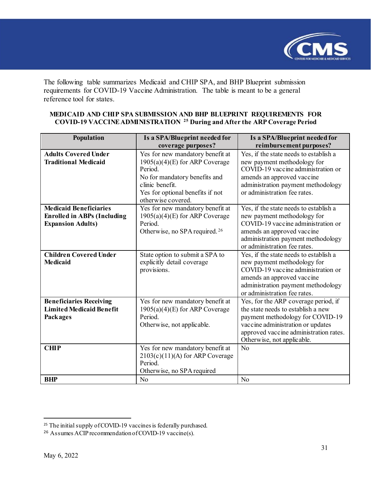

The following table summarizes Medicaid and CHIP SPA, and BHP Blueprint submission requirements for COVID-19 Vaccine Administration. The table is meant to be a general reference tool for states.

| Population                         | Is a SPA/Blueprint needed for             | Is a SPA/Blueprint needed for          |
|------------------------------------|-------------------------------------------|----------------------------------------|
|                                    | coverage purposes?                        | reimbursement purposes?                |
| <b>Adults Covered Under</b>        | Yes for new mandatory benefit at          | Yes, if the state needs to establish a |
| <b>Traditional Medicaid</b>        | $1905(a)(4)(E)$ for ARP Coverage          | new payment methodology for            |
|                                    | Period.                                   | COVID-19 vaccine administration or     |
|                                    | No for mandatory benefits and             | amends an approved vaccine             |
|                                    | clinic benefit.                           | administration payment methodology     |
|                                    | Yes for optional benefits if not          | or administration fee rates.           |
|                                    | otherwise covered.                        |                                        |
| <b>Medicaid Beneficiaries</b>      | Yes for new mandatory benefit at          | Yes, if the state needs to establish a |
| <b>Enrolled in ABPs (Including</b> | $1905(a)(4)(E)$ for ARP Coverage          | new payment methodology for            |
| <b>Expansion Adults)</b>           | Period.                                   | COVID-19 vaccine administration or     |
|                                    | Otherwise, no SPA required. <sup>26</sup> | amends an approved vaccine             |
|                                    |                                           | administration payment methodology     |
|                                    |                                           | or administration fee rates.           |
| <b>Children Covered Under</b>      | State option to submit a SPA to           | Yes, if the state needs to establish a |
| <b>Medicaid</b>                    | explicitly detail coverage                | new payment methodology for            |
|                                    | provisions.                               | COVID-19 vaccine administration or     |
|                                    |                                           | amends an approved vaccine             |
|                                    |                                           | administration payment methodology     |
|                                    |                                           | or administration fee rates.           |

Yes for new mandatory benefit at  $1905(a)(4)(E)$  for ARP Coverage

2103(c)(11)(A) for ARP Coverage

Otherwise, no SPA required

Otherwise, not applicable.

Period.

Period.

**BHP** No No

**CHIP** Yes for new mandatory benefit at

#### **MEDICAID AND CHIP SPA SUBMISSION AND BHP BLUEPRINT REQUIREMENTS FOR COVID-19 VACCINE ADMINISTRATION [25](#page-30-0) During and After the ARP Coverage Period**

**Beneficiaries Receiving Limited Medicaid Benefit** 

**Packages** 

Yes, for the ARP coverage period, if the state needs to establish a new payment methodology for COVID-19 vaccine administration or updates approved vaccine administration rates.

Otherwise, not applicable.

No

<span id="page-30-0"></span><sup>&</sup>lt;sup>25</sup> The initial supply of COVID-19 vaccines is federally purchased.

<span id="page-30-1"></span><sup>26</sup> Assumes ACIP recommendation of COVID-19 vaccine(s).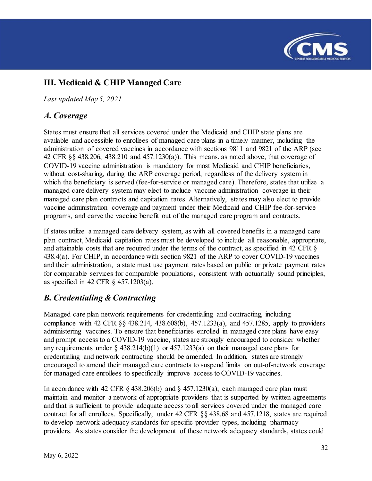

# <span id="page-31-0"></span>**III. Medicaid & CHIP Managed Care**

*Last updated May 5, 2021*

### <span id="page-31-1"></span>*A. Coverage*

States must ensure that all services covered under the Medicaid and CHIP state plans are available and accessible to enrollees of managed care plans in a timely manner, including the administration of covered vaccines in accordance with sections 9811 and 9821 of the ARP (see 42 CFR §§ 438.206, 438.210 and 457.1230(a)). This means, as noted above, that coverage of COVID-19 vaccine administration is mandatory for most Medicaid and CHIP beneficiaries, without cost-sharing, during the ARP coverage period, regardless of the delivery system in which the beneficiary is served (fee-for-service or managed care). Therefore, states that utilize a managed care delivery system may elect to include vaccine administration coverage in their managed care plan contracts and capitation rates. Alternatively, states may also elect to provide vaccine administration coverage and payment under their Medicaid and CHIP fee-for-service programs, and carve the vaccine benefit out of the managed care program and contracts.

If states utilize a managed care delivery system, as with all covered benefits in a managed care plan contract, Medicaid capitation rates must be developed to include all reasonable, appropriate, and attainable costs that are required under the terms of the contract, as specified in 42 CFR § 438.4(a). For CHIP, in accordance with section 9821 of the ARP to cover COVID-19 vaccines and their administration, a state must use payment rates based on public or private payment rates for comparable services for comparable populations, consistent with actuarially sound principles, as specified in 42 CFR § 457.1203(a).

## <span id="page-31-2"></span>*B. Credentialing & Contracting*

Managed care plan network requirements for credentialing and contracting, including compliance with 42 CFR §§ 438.214, 438.608(b), 457.1233(a), and 457.1285, apply to providers administering vaccines. To ensure that beneficiaries enrolled in managed care plans have easy and prompt access to a COVID-19 vaccine, states are strongly encouraged to consider whether any requirements under  $\S$  438.214(b)(1) or 457.1233(a) on their managed care plans for credentialing and network contracting should be amended. In addition, states are strongly encouraged to amend their managed care contracts to suspend limits on out-of-network coverage for managed care enrollees to specifically improve access to COVID-19 vaccines.

In accordance with 42 CFR  $\S$  438.206(b) and  $\S$  457.1230(a), each managed care plan must maintain and monitor a network of appropriate providers that is supported by written agreements and that is sufficient to provide adequate access to all services covered under the managed care contract for all enrollees. Specifically, under 42 CFR §§ 438.68 and 457.1218, states are required to develop network adequacy standards for specific provider types, including pharmacy providers. As states consider the development of these network adequacy standards, states could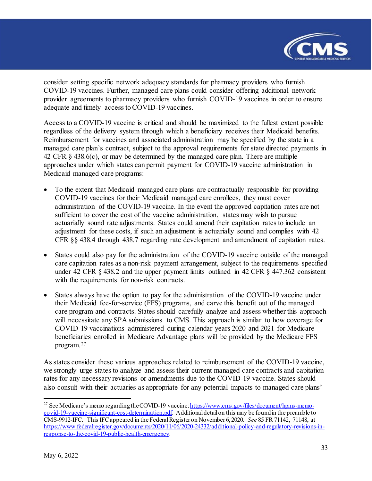

consider setting specific network adequacy standards for pharmacy providers who furnish COVID-19 vaccines. Further, managed care plans could consider offering additional network provider agreements to pharmacy providers who furnish COVID-19 vaccines in order to ensure adequate and timely access to COVID-19 vaccines.

Access to a COVID-19 vaccine is critical and should be maximized to the fullest extent possible regardless of the delivery system through which a beneficiary receives their Medicaid benefits. Reimbursement for vaccines and associated administration may be specified by the state in a managed care plan's contract, subject to the approval requirements for state directed payments in 42 CFR § 438.6(c), or may be determined by the managed care plan. There are multiple approaches under which states can permit payment for COVID-19 vaccine administration in Medicaid managed care programs:

- To the extent that Medicaid managed care plans are contractually responsible for providing COVID-19 vaccines for their Medicaid managed care enrollees, they must cover administration of the COVID-19 vaccine. In the event the approved capitation rates are not sufficient to cover the cost of the vaccine administration, states may wish to pursue actuarially sound rate adjustments. States could amend their capitation rates to include an adjustment for these costs, if such an adjustment is actuarially sound and complies with 42 CFR §§ 438.4 through 438.7 regarding rate development and amendment of capitation rates.
- States could also pay for the administration of the COVID-19 vaccine outside of the managed care capitation rates as a non-risk payment arrangement, subject to the requirements specified under 42 CFR § 438.2 and the upper payment limits outlined in 42 CFR § 447.362 consistent with the requirements for non-risk contracts.
- States always have the option to pay for the administration of the COVID-19 vaccine under their Medicaid fee-for-service (FFS) programs, and carve this benefit out of the managed care program and contracts. States should carefully analyze and assess whether this approach will necessitate any SPA submissions to CMS. This approach is similar to how coverage for COVID-19 vaccinations administered during calendar years 2020 and 2021 for Medicare beneficiaries enrolled in Medicare Advantage plans will be provided by the Medicare FFS program.[27](#page-32-0)

As states consider these various approaches related to reimbursement of the COVID-19 vaccine, we strongly urge states to analyze and assess their current managed care contracts and capitation rates for any necessary revisions or amendments due to the COVID-19 vaccine. States should also consult with their actuaries as appropriate for any potential impacts to managed care plans'

<span id="page-32-0"></span><sup>&</sup>lt;sup>27</sup> See Medicare's memo regarding the COVID-19 vaccine[: https://www.cms.gov/files/document/hpms-memo](https://www.cms.gov/files/document/hpms-memo-covid-19-vaccine-significant-cost-determination.pdf)[covid-19-vaccine-significant-cost-determination.pdf](https://www.cms.gov/files/document/hpms-memo-covid-19-vaccine-significant-cost-determination.pdf). Additional detail on this may be found in the preamble to CMS-9912-IFC. This IFC appeared in the Federal Register on November 6, 2020. *See* 85 FR 71142, 71148, at [https://www.federalregister.gov/documents/2020/11/06/2020-24332/additional-policy-and-regulatory-revisions-in](https://www.federalregister.gov/documents/2020/11/06/2020-24332/additional-policy-and-regulatory-revisions-in-response-to-the-covid-19-public-health-emergency)[response-to-the-covid-19-public-health-emergency](https://www.federalregister.gov/documents/2020/11/06/2020-24332/additional-policy-and-regulatory-revisions-in-response-to-the-covid-19-public-health-emergency).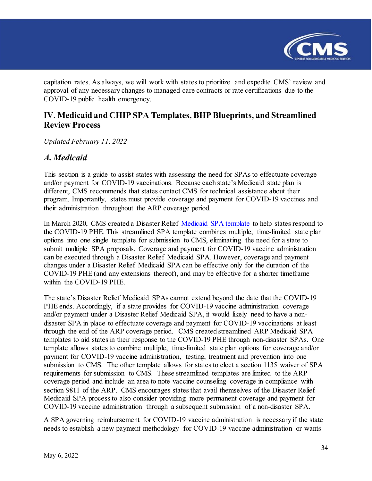

capitation rates. As always, we will work with states to prioritize and expedite CMS' review and approval of any necessary changes to managed care contracts or rate certifications due to the COVID-19 public health emergency.

### <span id="page-33-0"></span>**IV. Medicaid and CHIP SPA Templates, BHP Blueprints, and Streamlined Review Process**

*Updated February 11, 2022*

### <span id="page-33-1"></span>*A. Medicaid*

This section is a guide to assist states with assessing the need for SPAs to effectuate coverage and/or payment for COVID-19 vaccinations. Because each state's Medicaid state plan is different, CMS recommends that states contact CMS for technical assistance about their program. Importantly, states must provide coverage and payment for COVID-19 vaccines and their administration throughout the ARP coverage period.

In March 2020, CMS created a Disaster Relief [Medicaid SPA template](https://www.medicaid.gov/state-resource-center/downloads/medicaid-disaster-relief-spa-template.docx) to help states respond to the COVID-19 PHE. This streamlined SPA template combines multiple, time-limited state plan options into one single template for submission to CMS, eliminating the need for a state to submit multiple SPA proposals. Coverage and payment for COVID-19 vaccine administration can be executed through a Disaster Relief Medicaid SPA. However, coverage and payment changes under a Disaster Relief Medicaid SPA can be effective only for the duration of the COVID-19 PHE (and any extensions thereof), and may be effective for a shorter timeframe within the COVID-19 PHE.

The state's Disaster Relief Medicaid SPAs cannot extend beyond the date that the COVID-19 PHE ends. Accordingly, if a state provides for COVID-19 vaccine administration coverage and/or payment under a Disaster Relief Medicaid SPA, it would likely need to have a nondisaster SPA in place to effectuate coverage and payment for COVID-19 vaccinations at least through the end of the ARP coverage period. CMS created streamlined ARP Medicaid SPA templates to aid states in their response to the COVID-19 PHE through non-disaster SPAs. One template allows states to combine multiple, time-limited state plan options for coverage and/or payment for COVID-19 vaccine administration, testing, treatment and prevention into one submission to CMS. The other template allows for states to elect a section 1135 waiver of SPA requirements for submission to CMS. These streamlined templates are limited to the ARP coverage period and include an area to note vaccine counseling coverage in compliance with section 9811 of the ARP. CMS encourages states that avail themselves of the Disaster Relief Medicaid SPA process to also consider providing more permanent coverage and payment for COVID-19 vaccine administration through a subsequent submission of a non-disaster SPA.

A SPA governing reimbursement for COVID-19 vaccine administration is necessary if the state needs to establish a new payment methodology for COVID-19 vaccine administration or wants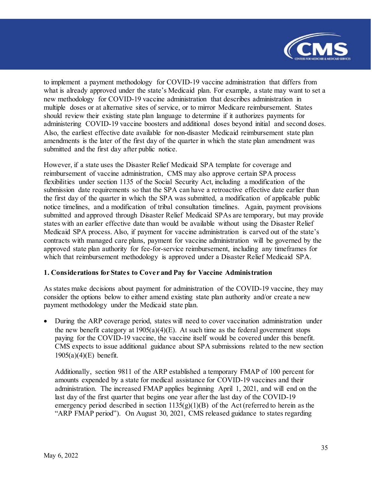

to implement a payment methodology for COVID-19 vaccine administration that differs from what is already approved under the state's Medicaid plan. For example, a state may want to set a new methodology for COVID-19 vaccine administration that describes administration in multiple doses or at alternative sites of service, or to mirror Medicare reimbursement. States should review their existing state plan language to determine if it authorizes payments for administering COVID-19 vaccine boosters and additional doses beyond initial and second doses. Also, the earliest effective date available for non-disaster Medicaid reimbursement state plan amendments is the later of the first day of the quarter in which the state plan amendment was submitted and the first day after public notice.

However, if a state uses the Disaster Relief Medicaid SPA template for coverage and reimbursement of vaccine administration, CMS may also approve certain SPA process flexibilities under section 1135 of the Social Security Act, including a modification of the submission date requirements so that the SPA can have a retroactive effective date earlier than the first day of the quarter in which the SPA was submitted, a modification of applicable public notice timelines, and a modification of tribal consultation timelines. Again, payment provisions submitted and approved through Disaster Relief Medicaid SPAs are temporary, but may provide states with an earlier effective date than would be available without using the Disaster Relief Medicaid SPA process. Also, if payment for vaccine administration is carved out of the state's contracts with managed care plans, payment for vaccine administration will be governed by the approved state plan authority for fee-for-service reimbursement, including any timeframes for which that reimbursement methodology is approved under a Disaster Relief Medicaid SPA.

#### **1. Considerations for States to Cover and Pay for Vaccine Administration**

As states make decisions about payment for administration of the COVID-19 vaccine, they may consider the options below to either amend existing state plan authority and/or create a new payment methodology under the Medicaid state plan.

• During the ARP coverage period, states will need to cover vaccination administration under the new benefit category at  $1905(a)(4)(E)$ . At such time as the federal government stops paying for the COVID-19 vaccine, the vaccine itself would be covered under this benefit. CMS expects to issue additional guidance about SPA submissions related to the new section 1905(a)(4)(E) benefit.

Additionally, section 9811 of the ARP established a temporary FMAP of 100 percent for amounts expended by a state for medical assistance for COVID-19 vaccines and their administration. The increased FMAP applies beginning April 1, 2021, and will end on the last day of the first quarter that begins one year after the last day of the COVID-19 emergency period described in section  $1135(g)(1)(B)$  of the Act (referred to herein as the "ARP FMAP period"). On August 30, 2021, CMS released guidance to states regarding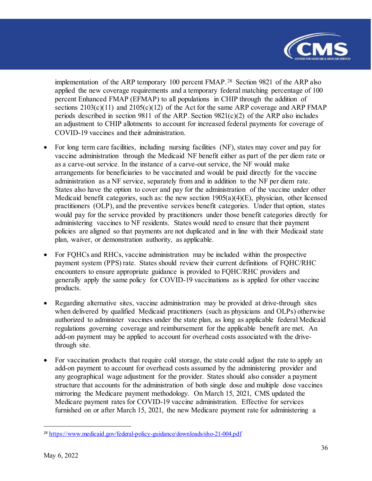

implementation of the ARP temporary 100 percent FMAP.[28](#page-35-0) Section 9821 of the ARP also applied the new coverage requirements and a temporary federal matching percentage of 100 percent Enhanced FMAP (EFMAP) to all populations in CHIP through the addition of sections  $2103(c)(11)$  and  $2105(c)(12)$  of the Act for the same ARP coverage and ARP FMAP periods described in section 9811 of the ARP. Section 9821(c)(2) of the ARP also includes an adjustment to CHIP allotments to account for increased federal payments for coverage of COVID-19 vaccines and their administration.

- For long term care facilities, including nursing facilities (NF), states may cover and pay for vaccine administration through the Medicaid NF benefit either as part of the per diem rate or as a carve-out service. In the instance of a carve-out service, the NF would make arrangements for beneficiaries to be vaccinated and would be paid directly for the vaccine administration as a NF service, separately from and in addition to the NF per diem rate. States also have the option to cover and pay for the administration of the vaccine under other Medicaid benefit categories, such as: the new section  $1905(a)(4)(E)$ , physician, other licensed practitioners (OLP), and the preventive services benefit categories. Under that option, states would pay for the service provided by practitioners under those benefit categories directly for administering vaccines to NF residents. States would need to ensure that their payment policies are aligned so that payments are not duplicated and in line with their Medicaid state plan, waiver, or demonstration authority, as applicable.
- For FQHCs and RHCs, vaccine administration may be included within the prospective payment system (PPS) rate. States should review their current definitions of FQHC/RHC encounters to ensure appropriate guidance is provided to FQHC/RHC providers and generally apply the same policy for COVID-19 vaccinations as is applied for other vaccine products.
- Regarding alternative sites, vaccine administration may be provided at drive-through sites when delivered by qualified Medicaid practitioners (such as physicians and OLPs) otherwise authorized to administer vaccines under the state plan, as long as applicable federal Medicaid regulations governing coverage and reimbursement for the applicable benefit are met. An add-on payment may be applied to account for overhead costs associated with the drivethrough site.
- For vaccination products that require cold storage, the state could adjust the rate to apply an add-on payment to account for overhead costs assumed by the administering provider and any geographical wage adjustment for the provider. States should also consider a payment structure that accounts for the administration of both single dose and multiple dose vaccines mirroring the Medicare payment methodology. On March 15, 2021, CMS updated the Medicare payment rates for COVID-19 vaccine administration. Effective for services furnished on or after March 15, 2021, the new Medicare payment rate for administering a

<span id="page-35-0"></span><sup>&</sup>lt;sup>28</sup> <https://www.medicaid.gov/federal-policy-guidance/downloads/sho-21-004.pdf>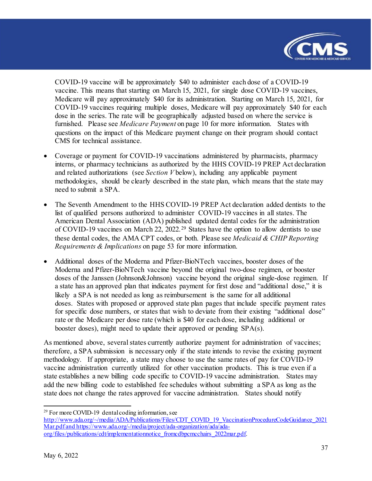

COVID-19 vaccine will be approximately \$40 to administer each dose of a COVID-19 vaccine. This means that starting on March 15, 2021, for single dose COVID-19 vaccines, Medicare will pay approximately \$40 for its administration. Starting on March 15, 2021, for COVID-19 vaccines requiring multiple doses, Medicare will pay approximately \$40 for each dose in the series. The rate will be geographically adjusted based on where the service is furnished. Please see *Medicare Payment* on page 10 for more information. States with questions on the impact of this Medicare payment change on their program should contact CMS for technical assistance.

- Coverage or payment for COVID-19 vaccinations administered by pharmacists, pharmacy interns, or pharmacy technicians as authorized by the HHS COVID-19 PREP Act declaration and related authorizations (see *Section V* below), including any applicable payment methodologies, should be clearly described in the state plan, which means that the state may need to submit a SPA.
- The Seventh Amendment to the HHS COVID-19 PREP Act declaration added dentists to the list of qualified persons authorized to administer COVID-19 vaccines in all states. The American Dental Association (ADA) published updated dental codes for the administration of COVID-19 vaccines on March 22, 2022.<sup>[29](#page-36-0)</sup> States have the option to allow dentists to use these dental codes, the AMA CPT codes, or both. Please see *Medicaid & CHIP Reporting Requirements & Implications* on page 53 for more information.
- Additional doses of the Moderna and Pfizer-BioNTech vaccines, booster doses of the Moderna and Pfizer-BioNTech vaccine beyond the original two-dose regimen, or booster doses of the Janssen (Johnson&Johnson) vaccine beyond the original single-dose regimen. If a state has an approved plan that indicates payment for first dose and "additional dose," it is likely a SPA is not needed as long as reimbursement is the same for all additional doses. States with proposed or approved state plan pages that include specific payment rates for specific dose numbers, or states that wish to deviate from their existing "additional dose" rate or the Medicare per dose rate (which is \$40 for each dose, including additional or booster doses), might need to update their approved or pending SPA(s).

As mentioned above, several states currently authorize payment for administration of vaccines; therefore, a SPA submission is necessary only if the state intends to revise the existing payment methodology. If appropriate, a state may choose to use the same rates of pay for COVID-19 vaccine administration currently utilized for other vaccination products. This is true even if a state establishes a new billing code specific to COVID-19 vaccine administration. States may add the new billing code to established fee schedules without submitting a SPA as long as the state does not change the rates approved for vaccine administration. States should notify

<span id="page-36-0"></span>l  $29$  For more COVID-19 dental coding information, see

[http://www.ada.org/~/media/ADA/Publications/Files/CDT\\_COVID\\_19\\_VaccinationProcedureCodeGuidance\\_2021](http://www.ada.org/%7E/media/ADA/Publications/Files/CDT_COVID_19_VaccinationProcedureCodeGuidance_2021Mar.pdf) [Mar.pdf](http://www.ada.org/%7E/media/ADA/Publications/Files/CDT_COVID_19_VaccinationProcedureCodeGuidance_2021Mar.pdf) an[d https://www.ada.org/-/media/project/ada-organization/ada/ada](https://www.ada.org/-/media/project/ada-organization/ada/ada-org/files/publications/cdt/implementationnotice_fromcdbpcmcchairs_2022mar.pdf)[org/files/publications/cdt/implementationnotice\\_fromcdbpcmcchairs\\_2022mar.pdf.](https://www.ada.org/-/media/project/ada-organization/ada/ada-org/files/publications/cdt/implementationnotice_fromcdbpcmcchairs_2022mar.pdf)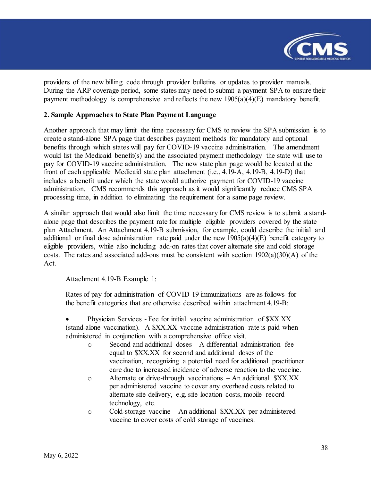

providers of the new billing code through provider bulletins or updates to provider manuals. During the ARP coverage period, some states may need to submit a payment SPA to ensure their payment methodology is comprehensive and reflects the new  $1905(a)(4)(E)$  mandatory benefit.

#### **2. Sample Approaches to State Plan Payment Language**

Another approach that may limit the time necessary for CMS to review the SPA submission is to create a stand-alone SPA page that describes payment methods for mandatory and optional benefits through which states will pay for COVID-19 vaccine administration. The amendment would list the Medicaid benefit(s) and the associated payment methodology the state will use to pay for COVID-19 vaccine administration. The new state plan page would be located at the front of each applicable Medicaid state plan attachment (i.e., 4.19-A, 4.19-B, 4.19-D) that includes a benefit under which the state would authorize payment for COVID-19 vaccine administration. CMS recommends this approach as it would significantly reduce CMS SPA processing time, in addition to eliminating the requirement for a same page review.

A similar approach that would also limit the time necessary for CMS review is to submit a standalone page that describes the payment rate for multiple eligible providers covered by the state plan Attachment. An Attachment 4.19-B submission, for example, could describe the initial and additional or final dose administration rate paid under the new  $1905(a)(4)(E)$  benefit category to eligible providers, while also including add-on rates that cover alternate site and cold storage costs. The rates and associated add-ons must be consistent with section 1902(a)(30)(A) of the Act.

Attachment 4.19-B Example 1:

Rates of pay for administration of COVID-19 immunizations are as follows for the benefit categories that are otherwise described within attachment 4.19-B:

• Physician Services - Fee for initial vaccine administration of \$XX.XX (stand-alone vaccination). A \$XX.XX vaccine administration rate is paid when administered in conjunction with a comprehensive office visit.

- o Second and additional doses A differential administration fee equal to \$XX.XX for second and additional doses of the vaccination, recognizing a potential need for additional practitioner care due to increased incidence of adverse reaction to the vaccine.
- o Alternate or drive-through vaccinations An additional \$XX.XX per administered vaccine to cover any overhead costs related to alternate site delivery, e.g. site location costs, mobile record technology, etc.
- o Cold-storage vaccine An additional \$XX.XX per administered vaccine to cover costs of cold storage of vaccines.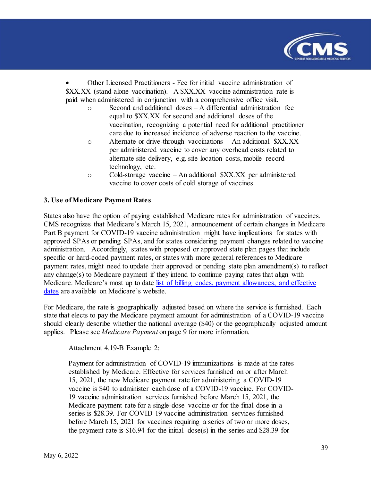

• Other Licensed Practitioners - Fee for initial vaccine administration of \$XX.XX (stand-alone vaccination). A \$XX.XX vaccine administration rate is paid when administered in conjunction with a comprehensive office visit.

- Second and additional  $\text{doses} \text{A}$  differential administration fee equal to \$XX.XX for second and additional doses of the vaccination, recognizing a potential need for additional practitioner care due to increased incidence of adverse reaction to the vaccine.
- o Alternate or drive-through vaccinations An additional \$XX.XX per administered vaccine to cover any overhead costs related to alternate site delivery, e.g. site location costs, mobile record technology, etc.
- o Cold-storage vaccine An additional \$XX.XX per administered vaccine to cover costs of cold storage of vaccines.

#### **3. Use of Medicare Payment Rates**

States also have the option of paying established Medicare rates for administration of vaccines. CMS recognizes that Medicare's March 15, 2021, announcement of certain changes in Medicare Part B payment for COVID-19 vaccine administration might have implications for states with approved SPAs or pending SPAs, and for states considering payment changes related to vaccine administration. Accordingly, states with proposed or approved state plan pages that include specific or hard-coded payment rates, or states with more general references to Medicare payment rates, might need to update their approved or pending state plan amendment(s) to reflect any change(s) to Medicare payment if they intend to continue paying rates that align with Medicare. Medicare's most up to date list of billing codes, payment allowances, and effective [dates](https://www.cms.gov/medicare/medicare-part-b-drug-average-sales-price/covid-19-vaccines-and-monoclonal-antibodies) are available on Medicare's website.

For Medicare, the rate is geographically adjusted based on where the service is furnished. Each state that elects to pay the Medicare payment amount for administration of a COVID-19 vaccine should clearly describe whether the national average (\$40) or the geographically adjusted amount applies. Please see *Medicare Payment* on page 9 for more information.

Attachment 4.19-B Example 2:

Payment for administration of COVID-19 immunizations is made at the rates established by Medicare. Effective for services furnished on or after March 15, 2021, the new Medicare payment rate for administering a COVID-19 vaccine is \$40 to administer each dose of a COVID-19 vaccine. For COVID-19 vaccine administration services furnished before March 15, 2021, the Medicare payment rate for a single-dose vaccine or for the final dose in a series is \$28.39. For COVID-19 vaccine administration services furnished before March 15, 2021 for vaccines requiring a series of two or more doses, the payment rate is  $$16.94$  for the initial dose(s) in the series and  $$28.39$  for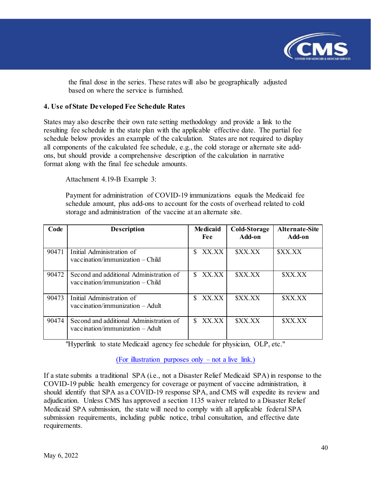

the final dose in the series. These rates will also be geographically adjusted based on where the service is furnished.

#### **4. Use of State Developed Fee Schedule Rates**

States may also describe their own rate setting methodology and provide a link to the resulting fee schedule in the state plan with the applicable effective date. The partial fee schedule below provides an example of the calculation. States are not required to display all components of the calculated fee schedule, e.g., the cold storage or alternate site addons, but should provide a comprehensive description of the calculation in narrative format along with the final fee schedule amounts.

Attachment 4.19-B Example 3:

Payment for administration of COVID-19 immunizations equals the Medicaid fee schedule amount, plus add-ons to account for the costs of overhead related to cold storage and administration of the vaccine at an alternate site.

| Code  | <b>Description</b>                                                            | <b>Medicaid</b><br>Fee | Cold-Storage<br>Add-on | <b>Alternate-Site</b><br>Add-on |
|-------|-------------------------------------------------------------------------------|------------------------|------------------------|---------------------------------|
| 90471 | Initial Administration of<br>$vaccination/immunization - Child$               | XX.XX                  | <b><i>SXX.XX</i></b>   | <b><i>SXX.XX</i></b>            |
| 90472 | Second and additional Administration of<br>$vaccination/immunization - Child$ | XX.XX                  | \$XX.XX                | <b><i>SXX.XX</i></b>            |
| 90473 | Initial Administration of<br>$vaccination/immunization - Adult$               | XX.XX                  | <b>SXX.XX</b>          | <b><i>SXX.XX</i></b>            |
| 90474 | Second and additional Administration of<br>$vaccination/immunization - Adult$ | XX.XX                  | <b><i>SXX.XX</i></b>   | <b>SXX.XX</b>                   |

"Hyperlink to state Medicaid agency fee schedule for physician, OLP, etc."

(For illustration purposes only  $-$  not a live link.)

If a state submits a traditional SPA (i.e., not a Disaster Relief Medicaid SPA) in response to the COVID-19 public health emergency for coverage or payment of vaccine administration, it should identify that SPA as a COVID-19 response SPA, and CMS will expedite its review and adjudication. Unless CMS has approved a section 1135 waiver related to a Disaster Relief Medicaid SPA submission, the state will need to comply with all applicable federal SPA submission requirements, including public notice, tribal consultation, and effective date requirements.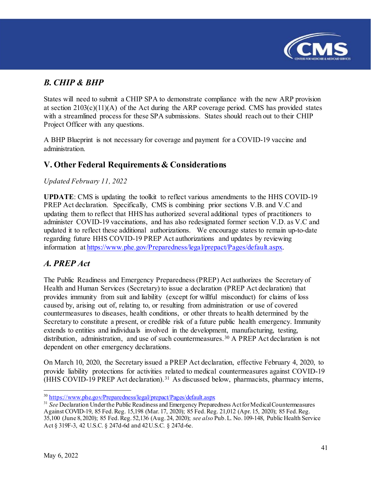

# <span id="page-40-0"></span>*B. CHIP & BHP*

States will need to submit a CHIP SPA to demonstrate compliance with the new ARP provision at section  $2103(c)(11)(A)$  of the Act during the ARP coverage period. CMS has provided states with a streamlined process for these SPA submissions. States should reach out to their CHIP Project Officer with any questions.

A BHP Blueprint is not necessary for coverage and payment for a COVID-19 vaccine and administration.

# <span id="page-40-1"></span>**V. Other Federal Requirements & Considerations**

#### *Updated February 11, 2022*

**UPDATE**: CMS is updating the toolkit to reflect various amendments to the HHS COVID-19 PREP Act declaration. Specifically, CMS is combining prior sections V.B. and V.C and updating them to reflect that HHS has authorized several additional types of practitioners to administer COVID-19 vaccinations, and has also redesignated former section V.D. as V.C and updated it to reflect these additional authorizations. We encourage states to remain up-to-date regarding future HHS COVID-19 PREP Act authorizations and updates by reviewing information at [https://www.phe.gov/Preparedness/legal/prepact/Pages/default.aspx.](https://www.phe.gov/Preparedness/legal/prepact/Pages/default.aspx)

### <span id="page-40-2"></span>*A. PREP Act*

The Public Readiness and Emergency Preparedness (PREP) Act authorizes the Secretary of Health and Human Services (Secretary) to issue a declaration (PREP Act declaration) that provides immunity from suit and liability (except for willful misconduct) for claims of loss caused by, arising out of, relating to, or resulting from administration or use of covered countermeasures to diseases, health conditions, or other threats to health determined by the Secretary to constitute a present, or credible risk of a future public health emergency. Immunity extends to entities and individuals involved in the development, manufacturing, testing, distribution, administration, and use of such countermeasures.<sup>[30](#page-40-3)</sup> A PREP Act declaration is not dependent on other emergency declarations.

On March 10, 2020, the Secretary issued a PREP Act declaration, effective February 4, 2020, to provide liability protections for activities related to medical countermeasures against COVID-19 (HHS COVID-19 PREP Act declaration).[31](#page-40-4) As discussed below, pharmacists, pharmacy interns,

l <sup>30</sup> <https://www.phe.gov/Preparedness/legal/prepact/Pages/default.aspx>

<span id="page-40-4"></span><span id="page-40-3"></span><sup>&</sup>lt;sup>31</sup> See Declaration Under the Public Readiness and Emergency Preparedness Act for Medical Countermeasures Against COVID-19, 85 Fed. Reg. 15,198 (Mar. 17, 2020); 85 Fed. Reg. 21,012 (Apr. 15, 2020); 85 Fed. Reg. 35,100 (June 8, 2020); 85 Fed. Reg. 52,136 (Aug. 24, 2020); *see also* Pub. L. No. 109-148, Public Health Service Act § 319F-3, 42 U.S.C. § 247d-6d and 42 U.S.C. § 247d-6e.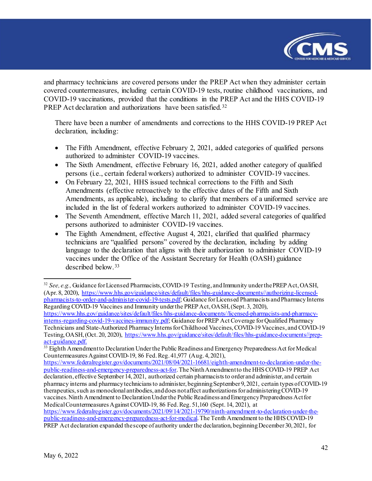

and pharmacy technicians are covered persons under the PREP Act when they administer certain covered countermeasures, including certain COVID-19 tests, routine childhood vaccinations, and COVID-19 vaccinations, provided that the conditions in the PREP Act and the HHS COVID-19 PREP Act declaration and authorizations have been satisfied.<sup>[32](#page-41-0)</sup>

There have been a number of amendments and corrections to the HHS COVID-19 PREP Act declaration, including:

- The Fifth Amendment, effective February 2, 2021, added categories of qualified persons authorized to administer COVID-19 vaccines.
- The Sixth Amendment, effective February 16, 2021, added another category of qualified persons (i.e., certain federal workers) authorized to administer COVID-19 vaccines.
- On February 22, 2021, HHS issued technical corrections to the Fifth and Sixth Amendments (effective retroactively to the effective dates of the Fifth and Sixth Amendments, as applicable), including to clarify that members of a uniformed service are included in the list of federal workers authorized to administer COVID-19 vaccines.
- The Seventh Amendment, effective March 11, 2021, added several categories of qualified persons authorized to administer COVID-19 vaccines.
- The Eighth Amendment, effective August 4, 2021, clarified that qualified pharmacy technicians are "qualified persons" covered by the declaration, including by adding language to the declaration that aligns with their authorization to administer COVID-19 vaccines under the Office of the Assistant Secretary for Health (OASH) guidance described below.[33](#page-41-1)

<span id="page-41-0"></span> $\overline{a}$ <sup>32</sup> *See, e.g.,* Guidance for Licensed Pharmacists, COVID-19 Testing, and Immunity under the PREP Act, OASH, (Apr. 8, 2020), [https://www.hhs.gov/guidance/sites/default/files/hhs-guidance-documents//authorizing-licensed](https://www.hhs.gov/guidance/sites/default/files/hhs-guidance-documents/authorizing-licensed-pharmacists-to-order-and-administer-covid-19-tests.pdf)[pharmacists-to-order-and-administer-covid-19-tests.pdf;](https://www.hhs.gov/guidance/sites/default/files/hhs-guidance-documents/authorizing-licensed-pharmacists-to-order-and-administer-covid-19-tests.pdf) Guidance for Licensed Pharmacists and Pharmacy Interns Regarding COVID-19 Vaccines and Immunity under the PREP Act, OASH, (Sept. 3, 2020),

[https://www.hhs.gov/guidance/sites/default/files/hhs-guidance-documents//licensed-pharmacists-and-pharmacy](https://www.hhs.gov/guidance/sites/default/files/hhs-guidance-documents/licensed-pharmacists-and-pharmacy-interns-regarding-covid-19-vaccines-immunity.pdf)[interns-regarding-covid-19-vaccines-immunity.pdf;](https://www.hhs.gov/guidance/sites/default/files/hhs-guidance-documents/licensed-pharmacists-and-pharmacy-interns-regarding-covid-19-vaccines-immunity.pdf) Guidance for PREP Act Coverage for Qualified Pharmacy Technicians and State-Authorized Pharmacy Interns for Childhood Vaccines, COVID-19 Vaccines, and COVID-19 Testing, OASH, (Oct. 20, 2020), [https://www.hhs.gov/guidance/sites/default/files/hhs-guidance-documents//prep](https://www.hhs.gov/guidance/sites/default/files/hhs-guidance-documents/prep-act-guidance.pdf)[act-guidance.pdf.](https://www.hhs.gov/guidance/sites/default/files/hhs-guidance-documents/prep-act-guidance.pdf)

<span id="page-41-1"></span><sup>&</sup>lt;sup>33</sup> Eighth Amendment to Declaration Under the Public Readiness and Emergency Preparedness Act for Medical Countermeasures Against COVID-19, 86 Fed. Reg. 41,977 (Aug. 4, 2021),

[https://www.federalregister.gov/documents/2021/08/04/2021-16681/eighth-amendment-to-declaration-under-the](https://www.federalregister.gov/documents/2021/08/04/2021-16681/eighth-amendment-to-declaration-under-the-public-readiness-and-emergency-preparedness-act-for)[public-readiness-and-emergency-preparedness-act-for](https://www.federalregister.gov/documents/2021/08/04/2021-16681/eighth-amendment-to-declaration-under-the-public-readiness-and-emergency-preparedness-act-for). The Ninth Amendment to the HHS COVID-19 PREP Act declaration, effective September 14, 2021, authorized certain pharmaciststo order and administer, and certain pharmacy interns and pharmacy technicians to administer, beginning September 9, 2021, certain types of COVID-19 therapeutics, such as monoclonal antibodies, and does not affect authorizations for administering COVID-19 vaccines. Ninth Amendment to Declaration Under the Public Readiness and Emergency Preparedness Act for Medical Countermeasures Against COVID-19, 86 Fed. Reg. 51,160 (Sept. 14, 2021), at [https://www.federalregister.gov/documents/2021/09/14/2021-19790/ninth-amendment-to-declaration-under-the](https://www.federalregister.gov/documents/2021/09/14/2021-19790/ninth-amendment-to-declaration-under-the-public-readiness-and-emergency-preparedness-act-for-medical)[public-readiness-and-emergency-preparedness-act-for-medical.](https://www.federalregister.gov/documents/2021/09/14/2021-19790/ninth-amendment-to-declaration-under-the-public-readiness-and-emergency-preparedness-act-for-medical) The Tenth Amendment to the HHS COVID-19 PREP Act declaration expanded the scope of authority under the declaration, beginning December 30, 2021, for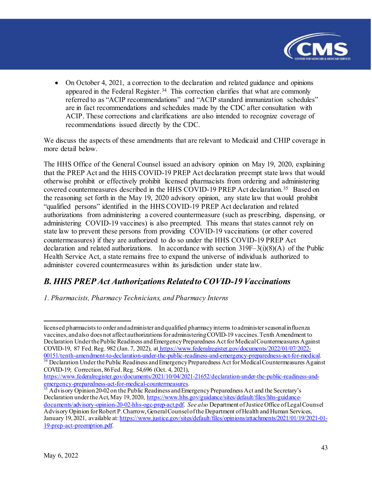

• On October 4, 2021, a correction to the declaration and related guidance and opinions appeared in the Federal Register.<sup>[34](#page-42-1)</sup> This correction clarifies that what are commonly referred to as "ACIP recommendations" and "ACIP standard immunization schedules" are in fact recommendations and schedules made by the CDC after consultation with ACIP. These corrections and clarifications are also intended to recognize coverage of recommendations issued directly by the CDC.

We discuss the aspects of these amendments that are relevant to Medicaid and CHIP coverage in more detail below.

The HHS Office of the General Counsel issued an advisory opinion on May 19, 2020, explaining that the PREP Act and the HHS COVID-19 PREP Act declaration preempt state laws that would otherwise prohibit or effectively prohibit licensed pharmacists from ordering and administering covered countermeasures described in the HHS COVID-19 PREP Act declaration.<sup>[35](#page-42-2)</sup> Based on the reasoning set forth in the May 19, 2020 advisory opinion, any state law that would prohibit "qualified persons" identified in the HHS COVID-19 PREP Act declaration and related authorizations from administering a covered countermeasure (such as prescribing, dispensing, or administering COVID-19 vaccines) is also preempted. This means that states cannot rely on state law to prevent these persons from providing COVID-19 vaccinations (or other covered countermeasures) if they are authorized to do so under the HHS COVID-19 PREP Act declaration and related authorizations. In accordance with section  $319F-3(i)(8)(A)$  of the Public Health Service Act, a state remains free to expand the universe of individuals authorized to administer covered countermeasures within its jurisdiction under state law.

## <span id="page-42-0"></span>*B. HHS PREP Act Authorizations Related to COVID-19 Vaccinations*

*1. Pharmacists, Pharmacy Technicians, and Pharmacy Interns*

l licensed pharmacists to order and administer and qualified pharmacy interns to administer seasonal influenza vaccines, and also does not affect authorizations for administering COVID-19 vaccines. Tenth Amendment to Declaration Under the Public Readiness and Emergency Preparedness Act for Medical Countermeasures Against COVID-19, 87 Fed. Reg. 982 (Jan. 7, 2022), at [https://www.federalregister.gov/documents/2022/01/07/2022-](https://www.federalregister.gov/documents/2022/01/07/2022-00151/tenth-amendment-to-declaration-under-the-public-readiness-and-emergency-preparedness-act-for-medical)00151/tenth-amendment-to-declaration-under-the-public-readiness-and-emergency-preparedness-act-for-medical. <sup>[34](https://www.federalregister.gov/documents/2022/01/07/2022-00151/tenth-amendment-to-declaration-under-the-public-readiness-and-emergency-preparedness-act-for-medical)</sup> Declaration Under the Public Readiness and Emergency Preparedness Act for Medical Countermeasures Against

<span id="page-42-1"></span>COVID-19; Correction, 86 Fed. Reg. 54,696 (Oct. 4, 2021), https://www.federalregister.gov/documents/2021/10/04/2021-21652/declaration-under-the-public-readiness-and-<br>emergency-preparedness-act-for-medical-countermeasures.

<span id="page-42-2"></span> $\frac{35}{35}$  $\frac{35}{35}$  $\frac{35}{35}$  Advisory Opinion 20-02 on the Public Readiness and Emergency Preparedness Act and the Secretary's Declaration under the Act, May 19, 2020, [https://www.hhs.gov/guidance/sites/default/files/hhs-guidance](https://www.hhs.gov/guidance/sites/default/files/hhs-guidance-documents/advisory-opinion-20-02-hhs-ogc-prep-act.pdf)[documents/advisory-opinion-20-02-hhs-ogc-prep-act.pdf](https://www.hhs.gov/guidance/sites/default/files/hhs-guidance-documents/advisory-opinion-20-02-hhs-ogc-prep-act.pdf). *See also* Department ofJustice Office of Legal Counsel Advisory Opinion for Robert P. Charrow, General Counsel of the Department of Health and Human Services, January 19, 2021, available at[: https://www.justice.gov/sites/default/files/opinions/attachments/2021/01/19/2021-01-](https://www.justice.gov/sites/default/files/opinions/attachments/2021/01/19/2021-01-19-prep-act-preemption.pdf) [19-prep-act-preemption.pdf.](https://www.justice.gov/sites/default/files/opinions/attachments/2021/01/19/2021-01-19-prep-act-preemption.pdf)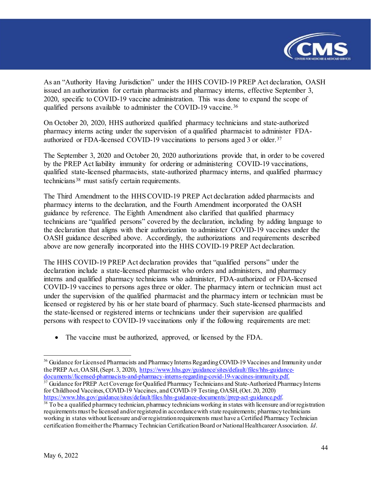

As an "Authority Having Jurisdiction" under the HHS COVID-19 PREP Act declaration, OASH issued an authorization for certain pharmacists and pharmacy interns, effective September 3, 2020, specific to COVID-19 vaccine administration. This was done to expand the scope of qualified persons available to administer the COVID-19 vaccine. [36](#page-43-0)

On October 20, 2020, HHS authorized qualified pharmacy technicians and state-authorized pharmacy interns acting under the supervision of a qualified pharmacist to administer FDAauthorized or FDA-licensed COVID-19 vaccinations to persons aged 3 or older.[37](#page-43-1)

The September 3, 2020 and October 20, 2020 authorizations provide that, in order to be covered by the PREP Act liability immunity for ordering or administering COVID-19 vaccinations, qualified state-licensed pharmacists, state-authorized pharmacy interns, and qualified pharmacy technicians<sup>[38](#page-43-2)</sup> must satisfy certain requirements.

The Third Amendment to the HHS COVID-19 PREP Act declaration added pharmacists and pharmacy interns to the declaration, and the Fourth Amendment incorporated the OASH guidance by reference. The Eighth Amendment also clarified that qualified pharmacy technicians are "qualified persons" covered by the declaration, including by adding language to the declaration that aligns with their authorization to administer COVID-19 vaccines under the OASH guidance described above. Accordingly, the authorizations and requirements described above are now generally incorporated into the HHS COVID-19 PREP Act declaration.

The HHS COVID-19 PREP Act declaration provides that "qualified persons" under the declaration include a state-licensed pharmacist who orders and administers, and pharmacy interns and qualified pharmacy technicians who administer, FDA-authorized or FDA-licensed COVID-19 vaccines to persons ages three or older. The pharmacy intern or technician must act under the supervision of the qualified pharmacist and the pharmacy intern or technician must be licensed or registered by his or her state board of pharmacy. Such state-licensed pharmacists and the state-licensed or registered interns or technicians under their supervision are qualified persons with respect to COVID-19 vaccinations only if the following requirements are met:

• The vaccine must be authorized, approved, or licensed by the FDA.

<span id="page-43-1"></span> $37$  Guidance for PREP Act Coverage for Qualified Pharmacy Technicians and State-Authorized Pharmacy Interns for Childhood Vaccines, COVID-19 Vaccines, and COVID-19 Testing, OASH, (Oct. 20, 2020)<br>https://www.hhs.gov/guidance/sites/default/files/hhs-guidance-documents//prep-act-guidance.pdf.

<span id="page-43-0"></span><sup>&</sup>lt;sup>36</sup> Guidance for Licensed Pharmacists and Pharmacy Interns Regarding COVID-19 Vaccines and Immunity under the PREP Act, OASH, (Sept. 3, 2020), https://www.hhs.gov/guidance/sites/default/files/hhs-guidance-<br>documents//licensed-pharmacists-and-pharmacy-interns-regarding-covid-19-vaccines-immunity.pdf.

<span id="page-43-2"></span> $\frac{38}{10}$  $\frac{38}{10}$  $\frac{38}{10}$  To be a qualified pharmacy technician, pharmacy technicians working in states with licensure and/or registration requirements must be licensed and/or registered in accordance with state requirements; pharmacy technicians working in states without licensure and/or registration requirements must have a Certified Pharmacy Technician certification from either the Pharmacy Technician Certification Board or National Healthcareer Association. *Id*.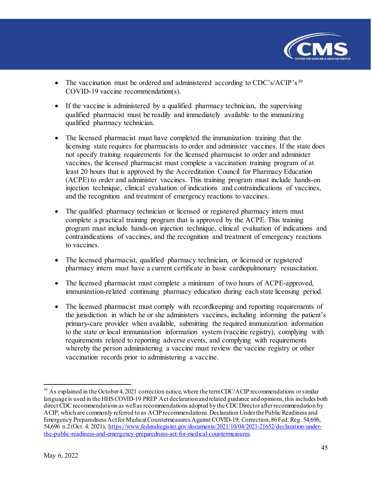

- The vaccination must be ordered and administered according to CDC's/ACIP's<sup>[39](#page-44-0)</sup> COVID-19 vaccine recommendation(s).
- If the vaccine is administered by a qualified pharmacy technician, the supervising qualified pharmacist must be readily and immediately available to the immunizing qualified pharmacy technician.
- The licensed pharmacist must have completed the immunization training that the licensing state requires for pharmacists to order and administer vaccines. If the state does not specify training requirements for the licensed pharmacist to order and administer vaccines, the licensed pharmacist must complete a vaccination training program of at least 20 hours that is approved by the Accreditation Council for Pharmacy Education (ACPE) to order and administer vaccines. This training program must include hands-on injection technique, clinical evaluation of indications and contraindications of vaccines, and the recognition and treatment of emergency reactions to vaccines.
- The qualified pharmacy technician or licensed or registered pharmacy intern must complete a practical training program that is approved by the ACPE. This training program must include hands-on injection technique, clinical evaluation of indications and contraindications of vaccines, and the recognition and treatment of emergency reactions to vaccines.
- The licensed pharmacist, qualified pharmacy technician, or licensed or registered pharmacy intern must have a current certificate in basic cardiopulmonary resuscitation.
- The licensed pharmacist must complete a minimum of two hours of ACPE-approved, immunization-related continuing pharmacy education during each state licensing period.
- The licensed pharmacist must comply with recordkeeping and reporting requirements of the jurisdiction in which he or she administers vaccines, including informing the patient's primary-care provider when available, submitting the required immunization information to the state or local immunization information system (vaccine registry), complying with requirements related to reporting adverse events, and complying with requirements whereby the person administering a vaccine must review the vaccine registry or other vaccination records prior to administering a vaccine.

<span id="page-44-0"></span> $\overline{a}$  $39$  As explained in the October 4, 2021 correction notice, where the term CDC/ACIP recommendations or similar language is used in the HHS COVID-19 PREP Act declaration and related guidance and opinions, this includes both direct CDC recommendations as well as recommendations adopted by the CDC Director after recommendation by ACIP, which are commonly referred to as ACIP recommendations. Declaration Under the Public Readiness and Emergency Preparedness Act for Medical Countermeasures Against COVID-19; Correction, 86 Fed. Reg. 54,696, 54,696 n.2 (Oct. 4, 2021), [https://www.federalregister.gov/documents/2021/10/04/2021-21652/declaration-under](https://www.federalregister.gov/documents/2021/10/04/2021-21652/declaration-under-the-public-readiness-and-emergency-preparedness-act-for-medical-countermeasures)[the-public-readiness-and-emergency-preparedness-act-for-medical-countermeasures](https://www.federalregister.gov/documents/2021/10/04/2021-21652/declaration-under-the-public-readiness-and-emergency-preparedness-act-for-medical-countermeasures).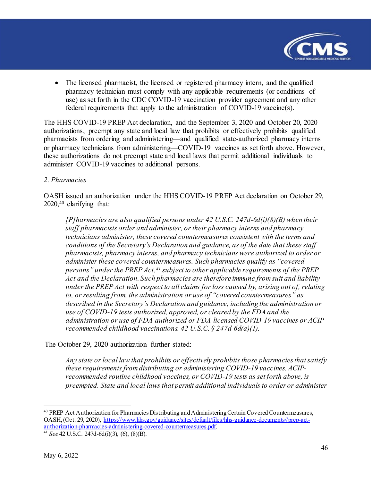

• The licensed pharmacist, the licensed or registered pharmacy intern, and the qualified pharmacy technician must comply with any applicable requirements (or conditions of use) as set forth in the CDC COVID-19 vaccination provider agreement and any other federal requirements that apply to the administration of COVID-19 vaccine(s).

The HHS COVID-19 PREP Act declaration, and the September 3, 2020 and October 20, 2020 authorizations, preempt any state and local law that prohibits or effectively prohibits qualified pharmacists from ordering and administering—and qualified state-authorized pharmacy interns or pharmacy technicians from administering—COVID-19 vaccines as set forth above. However, these authorizations do not preempt state and local laws that permit additional individuals to administer COVID-19 vaccines to additional persons.

#### *2. Pharmacies*

OASH issued an authorization under the HHS COVID-19 PREP Act declaration on October 29, 2020,[40](#page-45-0) clarifying that:

*[P]harmacies are also qualified persons under 42 U.S.C. 247d-6d(i)(8)(B) when their staff pharmacists order and administer, or their pharmacy interns and pharmacy technicians administer, these covered countermeasures consistent with the terms and conditions of the Secretary's Declaration and guidance, as of the date that these staff pharmacists, pharmacy interns, and pharmacy technicians were authorized to order or administer these covered countermeasures. Such pharmacies qualify as "covered persons" under the PREP Act,[41](#page-45-1) subject to other applicable requirements of the PREP Act and the Declaration. Such pharmacies are therefore immune from suit and liability under the PREP Act with respect to all claims for loss caused by, arising out of, relating to, or resulting from, the administration or use of "covered countermeasures" as described in the Secretary's Declaration and guidance, including the administration or use of COVID-19 tests authorized, approved, or cleared by the FDA and the administration or use of FDA-authorized or FDA-licensed COVID-19 vaccines or ACIPrecommended childhood vaccinations. 42 U.S.C. § 247d-6d(a)(1).* 

The October 29, 2020 authorization further stated:

*Any state or local law that prohibits or effectively prohibits those pharmacies that satisfy these requirements from distributing or administering COVID-19 vaccines, ACIPrecommended routine childhood vaccines, or COVID-19 tests as set forth above, is preempted. State and local laws that permit additional individuals to order or administer* 

<span id="page-45-0"></span><sup>&</sup>lt;sup>40</sup> PREP Act Authorization for Pharmacies Distributing and Administering Certain Covered Countermeasures, OASH, (Oct. 29, 2020), [https://www.hhs.gov/guidance/sites/default/files/hhs-guidance-documents//prep-act](https://www.hhs.gov/guidance/sites/default/files/hhs-guidance-documents/prep-act-authorization-pharmacies-administering-covered-countermeasures.pdf)[authorization-pharmacies-administering-covered-countermeasures.pdf.](https://www.hhs.gov/guidance/sites/default/files/hhs-guidance-documents/prep-act-authorization-pharmacies-administering-covered-countermeasures.pdf) [41](https://www.hhs.gov/guidance/sites/default/files/hhs-guidance-documents/prep-act-authorization-pharmacies-administering-covered-countermeasures.pdf) *See* 42 U.S.C. 247d-6d(i)(3), (6), (8)(B).

<span id="page-45-1"></span>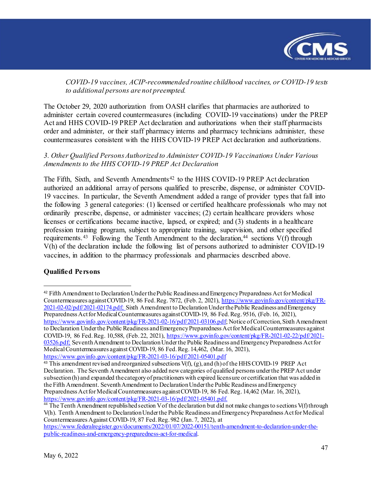

*COVID-19 vaccines, ACIP-recommended routine childhood vaccines, or COVID-19 tests to additional persons are not preempted.*

The October 29, 2020 authorization from OASH clarifies that pharmacies are authorized to administer certain covered countermeasures (including COVID-19 vaccinations) under the PREP Act and HHS COVID-19 PREP Act declaration and authorizations when their staff pharmacists order and administer, or their staff pharmacy interns and pharmacy technicians administer, these countermeasures consistent with the HHS COVID-19 PREP Act declaration and authorizations.

#### *3. Other Qualified Persons Authorized to Administer COVID-19 Vaccinations Under Various Amendments to the HHS COVID-19 PREP Act Declaration*

The Fifth, Sixth, and Seventh Amendments<sup>[42](#page-46-0)</sup> to the HHS COVID-19 PREP Act declaration authorized an additional array of persons qualified to prescribe, dispense, or administer COVID-19 vaccines. In particular, the Seventh Amendment added a range of provider types that fall into the following 3 general categories: (1) licensed or certified healthcare professionals who may not ordinarily prescribe, dispense, or administer vaccines; (2) certain healthcare providers whose licenses or certifications became inactive, lapsed, or expired; and (3) students in a healthcare profession training program, subject to appropriate training, supervision, and other specified requirements.<sup>43</sup> Following the Tenth Amendment to the declaration,<sup>[44](#page-46-2)</sup> sections  $V(f)$  through V(h) of the declaration include the following list of persons authorized to administer COVID-19 vaccines, in addition to the pharmacy professionals and pharmacies described above.

#### **Qualified Persons**

<span id="page-46-0"></span><sup>42</sup> Fifth Amendment to Declaration Underthe Public Readiness and Emergency Preparedness Act for Medical Countermeasures against COVID-19, 86 Fed. Reg. 7872, (Feb. 2, 2021), [https://www.govinfo.gov/content/pkg/FR-](https://www.govinfo.gov/content/pkg/FR-2021-02-02/pdf/2021-02174.pdf)[2021-02-02/pdf/2021-02174.pdf;](https://www.govinfo.gov/content/pkg/FR-2021-02-02/pdf/2021-02174.pdf) Sixth Amendment to Declaration Under the Public Readiness and Emergency Preparedness Act for Medical Countermeasures against COVID-19, 86 Fed. Reg. 9516, (Feb. 16, 2021), [https://www.govinfo.gov/content/pkg/FR-2021-02-16/pdf/2021-03106.pdf;](https://www.govinfo.gov/content/pkg/FR-2021-02-16/pdf/2021-03106.pdf) Notice of Correction, Sixth Amendment to Declaration Under the Public Readiness and Emergency Preparedness Act for Medical Countermeasures against COVID-19, 86 Fed. Reg. 10,588, (Feb. 22, 2021), [https://www.govinfo.gov/content/pkg/FR-2021-02-22/pdf/2021-](https://www.govinfo.gov/content/pkg/FR-2021-02-22/pdf/2021-03526.pdf) [03526.pdf;](https://www.govinfo.gov/content/pkg/FR-2021-02-22/pdf/2021-03526.pdf) Seventh Amendment to Declaration Under the Public Readiness and Emergency Preparedness Act for Medical Countermeasures against COVID-19, 86 Fed. Reg. 14,462, (Mar. 16, 2021), <https://www.govinfo.gov/content/pkg/FR-2021-03-16/pdf/2021-05401.pdf>

<span id="page-46-1"></span><sup>&</sup>lt;sup>43</sup> This amendment revised and reorganized subsections  $V(f)$ , (g), and (h) of the HHS COVID-19 PREP Act Declaration. The Seventh Amendment also added newcategories of qualified persons under the PREP Act under subsection (h) and expanded the category of practitioners with expired licensure or certification that was added in the Fifth Amendment. Seventh Amendment to Declaration Under the Public Readiness and Emergency Preparedness Act for Medical Countermeasures against COVID-19, 86 Fed. Reg. 14,462 (Mar. 16, 2021), https://www.govinfo.gov/content/pkg/FR-2021-03-16/pdf/2021-05401.pdf.

<span id="page-46-2"></span><sup>&</sup>lt;sup>[44](https://www.govinfo.gov/content/pkg/FR-2021-03-16/pdf/2021-05401.pdf)</sup> The Tenth Amendment republished section V of the declaration but did not make changes to sections V(f) through V(h). Tenth Amendment to Declaration Under the Public Readiness and Emergency Preparedness Act for Medical Countermeasures Against COVID-19, 87 Fed. Reg. 982 (Jan. 7, 2022), at

[https://www.federalregister.gov/documents/2022/01/07/2022-00151/tenth-amendment-to-declaration-under-the](https://www.federalregister.gov/documents/2022/01/07/2022-00151/tenth-amendment-to-declaration-under-the-public-readiness-and-emergency-preparedness-act-for-medical)[public-readiness-and-emergency-preparedness-act-for-medical.](https://www.federalregister.gov/documents/2022/01/07/2022-00151/tenth-amendment-to-declaration-under-the-public-readiness-and-emergency-preparedness-act-for-medical)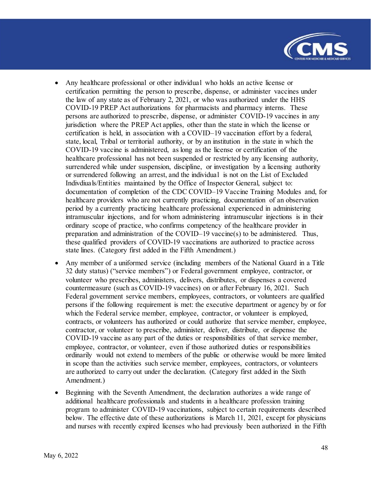

- Any healthcare professional or other individual who holds an active license or certification permitting the person to prescribe, dispense, or administer vaccines under the law of any state as of February 2, 2021, or who was authorized under the HHS COVID-19 PREP Act authorizations for pharmacists and pharmacy interns. These persons are authorized to prescribe, dispense, or administer COVID-19 vaccines in any jurisdiction where the PREP Act applies, other than the state in which the license or certification is held, in association with a COVID–19 vaccination effort by a federal, state, local, Tribal or territorial authority, or by an institution in the state in which the COVID-19 vaccine is administered, as long as the license or certification of the healthcare professional has not been suspended or restricted by any licensing authority, surrendered while under suspension, discipline, or investigation by a licensing authority or surrendered following an arrest, and the individual is not on the List of Excluded Indivdiuals/Entities maintained by the Office of Inspector General, subject to: documentation of completion of the CDC COVID–19 Vaccine Training Modules and, for healthcare providers who are not currently practicing, documentation of an observation period by a currently practicing healthcare professional experienced in administering intramuscular injections, and for whom administering intramuscular injections is in their ordinary scope of practice, who confirms competency of the healthcare provider in preparation and administration of the COVID–19 vaccine(s) to be administered. Thus, these qualified providers of COVID-19 vaccinations are authorized to practice across state lines. (Category first added in the Fifth Amendment.)
- Any member of a uniformed service (including members of the National Guard in a Title 32 duty status) ("service members") or Federal government employee, contractor, or volunteer who prescribes, administers, delivers, distributes, or dispenses a covered countermeasure (such as COVID-19 vaccines) on or after February 16, 2021. Such Federal government service members, employees, contractors, or volunteers are qualified persons if the following requirement is met: the executive department or agency by or for which the Federal service member, employee, contractor, or volunteer is employed, contracts, or volunteers has authorized or could authorize that service member, employee, contractor, or volunteer to prescribe, administer, deliver, distribute, or dispense the COVID-19 vaccine as any part of the duties or responsibilities of that service member, employee, contractor, or volunteer, even if those authorized duties or responsibilities ordinarily would not extend to members of the public or otherwise would be more limited in scope than the activities such service member, employees, contractors, or volunteers are authorized to carry out under the declaration. (Category first added in the Sixth Amendment.)
- Beginning with the Seventh Amendment, the declaration authorizes a wide range of additional healthcare professionals and students in a healthcare profession training program to administer COVID-19 vaccinations, subject to certain requirements described below. The effective date of these authorizations is March 11, 2021, except for physicians and nurses with recently expired licenses who had previously been authorized in the Fifth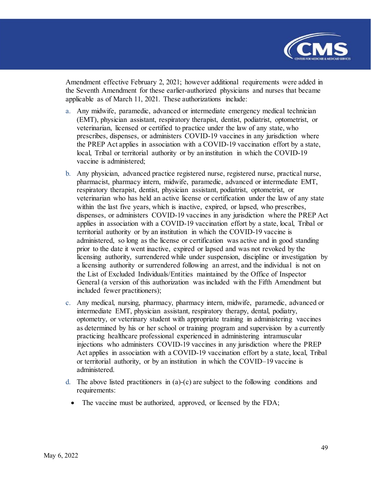

Amendment effective February 2, 2021; however additional requirements were added in the Seventh Amendment for these earlier-authorized physicians and nurses that became applicable as of March 11, 2021. These authorizations include:

- a. Any midwife, paramedic, advanced or intermediate emergency medical technician (EMT), physician assistant, respiratory therapist, dentist, podiatrist, optometrist, or veterinarian, licensed or certified to practice under the law of any state, who prescribes, dispenses, or administers COVID-19 vaccines in any jurisdiction where the PREP Act applies in association with a COVID-19 vaccination effort by a state, local, Tribal or territorial authority or by an institution in which the COVID-19 vaccine is administered;
- b. Any physician, advanced practice registered nurse, registered nurse, practical nurse, pharmacist, pharmacy intern, midwife, paramedic, advanced or intermediate EMT, respiratory therapist, dentist, physician assistant, podiatrist, optometrist, or veterinarian who has held an active license or certification under the law of any state within the last five years, which is inactive, expired, or lapsed, who prescribes, dispenses, or administers COVID-19 vaccines in any jurisdiction where the PREP Act applies in association with a COVID-19 vaccination effort by a state, local, Tribal or territorial authority or by an institution in which the COVID-19 vaccine is administered, so long as the license or certification was active and in good standing prior to the date it went inactive, expired or lapsed and was not revoked by the licensing authority, surrendered while under suspension, discipline or investigation by a licensing authority or surrendered following an arrest, and the individual is not on the List of Excluded Individuals/Entities maintained by the Office of Inspector General (a version of this authorization was included with the Fifth Amendment but included fewer practitioners);
- c. Any medical, nursing, pharmacy, pharmacy intern, midwife, paramedic, advanced or intermediate EMT, physician assistant, respiratory therapy, dental, podiatry, optometry, or veterinary student with appropriate training in administering vaccines as determined by his or her school or training program and supervision by a currently practicing healthcare professional experienced in administering intramuscular injections who administers COVID-19 vaccines in any jurisdiction where the PREP Act applies in association with a COVID-19 vaccination effort by a state, local, Tribal or territorial authority, or by an institution in which the COVID–19 vaccine is administered.
- d. The above listed practitioners in  $(a)-(c)$  are subject to the following conditions and requirements:
	- The vaccine must be authorized, approved, or licensed by the FDA;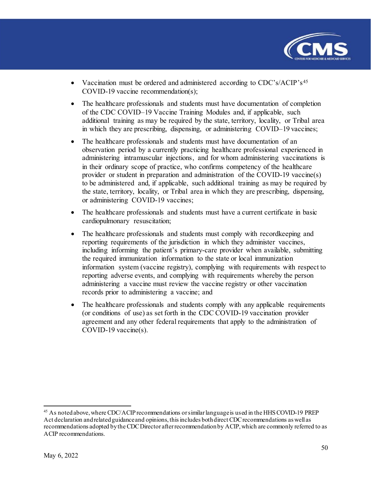

- Vaccination must be ordered and administered according to CDC's/ACIP's<sup>[45](#page-49-0)</sup> COVID-19 vaccine recommendation(s);
- The healthcare professionals and students must have documentation of completion of the CDC COVID–19 Vaccine Training Modules and, if applicable, such additional training as may be required by the state, territory, locality, or Tribal area in which they are prescribing, dispensing, or administering COVID–19 vaccines;
- The healthcare professionals and students must have documentation of an observation period by a currently practicing healthcare professional experienced in administering intramuscular injections, and for whom administering vaccinations is in their ordinary scope of practice, who confirms competency of the healthcare provider or student in preparation and administration of the COVID-19 vaccine(s) to be administered and, if applicable, such additional training as may be required by the state, territory, locality, or Tribal area in which they are prescribing, dispensing, or administering COVID-19 vaccines;
- The healthcare professionals and students must have a current certificate in basic cardiopulmonary resuscitation;
- The healthcare professionals and students must comply with recordkeeping and reporting requirements of the jurisdiction in which they administer vaccines, including informing the patient's primary-care provider when available, submitting the required immunization information to the state or local immunization information system (vaccine registry), complying with requirements with respect to reporting adverse events, and complying with requirements whereby the person administering a vaccine must review the vaccine registry or other vaccination records prior to administering a vaccine; and
- The healthcare professionals and students comply with any applicable requirements (or conditions of use) as set forth in the CDC COVID-19 vaccination provider agreement and any other federal requirements that apply to the administration of COVID-19 vaccine(s).

<span id="page-49-0"></span><sup>&</sup>lt;sup>45</sup> As noted above, where CDC/ACIP recommendations or similar language is used in the HHS COVID-19 PREP Act declaration and related guidance and opinions, this includes both direct CDC recommendations as well as recommendations adopted by the CDC Director after recommendation by ACIP, which are commonly referred to as ACIP recommendations.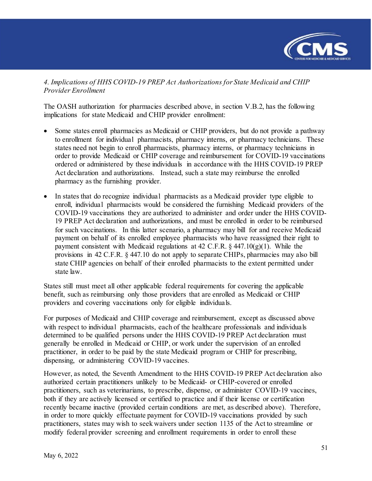

*4. Implications of HHS COVID-19 PREP Act Authorizations for State Medicaid and CHIP Provider Enrollment*

The OASH authorization for pharmacies described above, in section V.B.2, has the following implications for state Medicaid and CHIP provider enrollment:

- Some states enroll pharmacies as Medicaid or CHIP providers, but do not provide a pathway to enrollment for individual pharmacists, pharmacy interns, or pharmacy technicians. These states need not begin to enroll pharmacists, pharmacy interns, or pharmacy technicians in order to provide Medicaid or CHIP coverage and reimbursement for COVID-19 vaccinations ordered or administered by these individuals in accordance with the HHS COVID-19 PREP Act declaration and authorizations. Instead, such a state may reimburse the enrolled pharmacy as the furnishing provider.
- In states that do recognize individual pharmacists as a Medicaid provider type eligible to enroll, individual pharmacists would be considered the furnishing Medicaid providers of the COVID-19 vaccinations they are authorized to administer and order under the HHS COVID-19 PREP Act declaration and authorizations, and must be enrolled in order to be reimbursed for such vaccinations. In this latter scenario, a pharmacy may bill for and receive Medicaid payment on behalf of its enrolled employee pharmacists who have reassigned their right to payment consistent with Medicaid regulations at 42 C.F.R.  $\S$  447.10(g)(1). While the provisions in 42 C.F.R. § 447.10 do not apply to separate CHIPs, pharmacies may also bill state CHIP agencies on behalf of their enrolled pharmacists to the extent permitted under state law.

States still must meet all other applicable federal requirements for covering the applicable benefit, such as reimbursing only those providers that are enrolled as Medicaid or CHIP providers and covering vaccinations only for eligible individuals.

For purposes of Medicaid and CHIP coverage and reimbursement, except as discussed above with respect to individual pharmacists, each of the healthcare professionals and individuals determined to be qualified persons under the HHS COVID-19 PREP Act declaration must generally be enrolled in Medicaid or CHIP, or work under the supervision of an enrolled practitioner, in order to be paid by the state Medicaid program or CHIP for prescribing, dispensing, or administering COVID-19 vaccines.

However, as noted, the Seventh Amendment to the HHS COVID-19 PREP Act declaration also authorized certain practitioners unlikely to be Medicaid- or CHIP-covered or enrolled practitioners, such as veterinarians, to prescribe, dispense, or administer COVID-19 vaccines, both if they are actively licensed or certified to practice and if their license or certification recently became inactive (provided certain conditions are met, as described above). Therefore, in order to more quickly effectuate payment for COVID-19 vaccinations provided by such practitioners, states may wish to seek waivers under section 1135 of the Act to streamline or modify federal provider screening and enrollment requirements in order to enroll these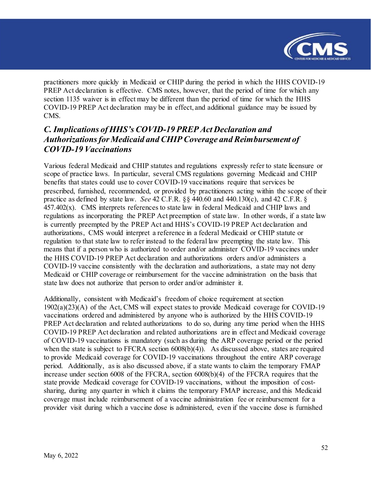

practitioners more quickly in Medicaid or CHIP during the period in which the HHS COVID-19 PREP Act declaration is effective. CMS notes, however, that the period of time for which any section 1135 waiver is in effect may be different than the period of time for which the HHS COVID-19 PREP Act declaration may be in effect, and additional guidance may be issued by CMS.

# <span id="page-51-0"></span>*C. Implications of HHS's COVID-19 PREP Act Declaration and Authorizationsfor Medicaid and CHIP Coverage and Reimbursement of COVID-19 Vaccinations*

Various federal Medicaid and CHIP statutes and regulations expressly refer to state licensure or scope of practice laws. In particular, several CMS regulations governing Medicaid and CHIP benefits that states could use to cover COVID-19 vaccinations require that services be prescribed, furnished, recommended, or provided by practitioners acting within the scope of their practice as defined by state law. *See* 42 C.F.R. §§ 440.60 and 440.130(c), and 42 C.F.R. §  $457.402(x)$ . CMS interprets references to state law in federal Medicaid and CHIP laws and regulations as incorporating the PREP Act preemption of state law. In other words, if a state law is currently preempted by the PREP Act and HHS's COVID-19 PREP Act declaration and authorizations, CMS would interpret a reference in a federal Medicaid or CHIP statute or regulation to that state law to refer instead to the federal law preempting the state law. This means that if a person who is authorized to order and/or administer COVID-19 vaccines under the HHS COVID-19 PREP Act declaration and authorizations orders and/or administers a COVID-19 vaccine consistently with the declaration and authorizations, a state may not deny Medicaid or CHIP coverage or reimbursement for the vaccine administration on the basis that state law does not authorize that person to order and/or administer it.

Additionally, consistent with Medicaid's freedom of choice requirement at section 1902(a)(23)(A) of the Act, CMS will expect states to provide Medicaid coverage for COVID-19 vaccinations ordered and administered by anyone who is authorized by the HHS COVID-19 PREP Act declaration and related authorizations to do so, during any time period when the HHS COVID-19 PREP Act declaration and related authorizations are in effect and Medicaid coverage of COVID-19 vaccinations is mandatory (such as during the ARP coverage period or the period when the state is subject to FFCRA section  $6008(b)(4)$ ). As discussed above, states are required to provide Medicaid coverage for COVID-19 vaccinations throughout the entire ARP coverage period. Additionally, as is also discussed above, if a state wants to claim the temporary FMAP increase under section 6008 of the FFCRA, section 6008(b)(4) of the FFCRA requires that the state provide Medicaid coverage for COVID-19 vaccinations, without the imposition of costsharing, during any quarter in which it claims the temporary FMAP increase, and this Medicaid coverage must include reimbursement of a vaccine administration fee or reimbursement for a provider visit during which a vaccine dose is administered, even if the vaccine dose is furnished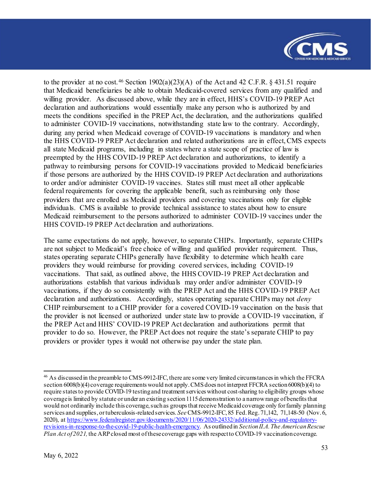

to the provider at no cost. [46](#page-52-0) Section  $1902(a)(23)(A)$  of the Act and 42 C.F.R. § 431.51 require that Medicaid beneficiaries be able to obtain Medicaid-covered services from any qualified and willing provider. As discussed above, while they are in effect, HHS's COVID-19 PREP Act declaration and authorizations would essentially make any person who is authorized by and meets the conditions specified in the PREP Act, the declaration, and the authorizations qualified to administer COVID-19 vaccinations, notwithstanding state law to the contrary. Accordingly, during any period when Medicaid coverage of COVID-19 vaccinations is mandatory and when the HHS COVID-19 PREP Act declaration and related authorizations are in effect, CMS expects all state Medicaid programs, including in states where a state scope of practice of law is preempted by the HHS COVID-19 PREP Act declaration and authorizations, to identify a pathway to reimbursing persons for COVID-19 vaccinations provided to Medicaid beneficiaries if those persons are authorized by the HHS COVID-19 PREP Act declaration and authorizations to order and/or administer COVID-19 vaccines. States still must meet all other applicable federal requirements for covering the applicable benefit, such as reimbursing only those providers that are enrolled as Medicaid providers and covering vaccinations only for eligible individuals. CMS is available to provide technical assistance to states about how to ensure Medicaid reimbursement to the persons authorized to administer COVID-19 vaccines under the HHS COVID-19 PREP Act declaration and authorizations.

The same expectations do not apply, however, to separate CHIPs. Importantly, separate CHIPs are not subject to Medicaid's free choice of willing and qualified provider requirement. Thus, states operating separate CHIPs generally have flexibility to determine which health care providers they would reimburse for providing covered services, including COVID-19 vaccinations. That said, as outlined above, the HHS COVID-19 PREP Act declaration and authorizations establish that various individuals may order and/or administer COVID-19 vaccinations, if they do so consistently with the PREP Act and the HHS COVID-19 PREP Act declaration and authorizations. Accordingly, states operating separate CHIPs may not *deny* CHIP reimbursement to a CHIP provider for a covered COVID-19 vaccination on the basis that the provider is not licensed or authorized under state law to provide a COVID-19 vaccination, if the PREP Act and HHS' COVID-19 PREP Act declaration and authorizations permit that provider to do so. However, the PREP Act does not require the state's separate CHIP to pay providers or provider types it would not otherwise pay under the state plan.

<span id="page-52-0"></span><sup>&</sup>lt;sup>46</sup> As discussed in the preamble to CMS-9912-IFC, there are some very limited circumstances in which the FFCRA section 6008(b)(4) coverage requirements would not apply. CMS does not interpret FFCRA section 6008(b)(4) to require states to provide COVID-19 testing and treatment services without cost-sharing to eligibility groups whose coverage is limited by statute or under an existing section 1115 demonstration to a narrow range of benefits that would not ordinarily include this coverage, such as groups that receive Medicaid coverage only for family planning services and supplies, or tuberculosis-related services. *See* CMS-9912-IFC, 85 Fed. Reg. 71,142, 71,148-50 (Nov. 6, 2020), at [https://www.federalregister.gov/documents/2020/11/06/2020-24332/additional-policy-and-regulatory](https://www.federalregister.gov/documents/2020/11/06/2020-24332/additional-policy-and-regulatory-revisions-in-response-to-the-covid-19-public-health-emergency)[revisions-in-response-to-the-covid-19-public-health-emergency.](https://www.federalregister.gov/documents/2020/11/06/2020-24332/additional-policy-and-regulatory-revisions-in-response-to-the-covid-19-public-health-emergency) As outlined in *Section II.A. The American Rescue Plan Act of 2021*, the ARP closed most of these coverage gaps with respect to COVID-19 vaccination coverage.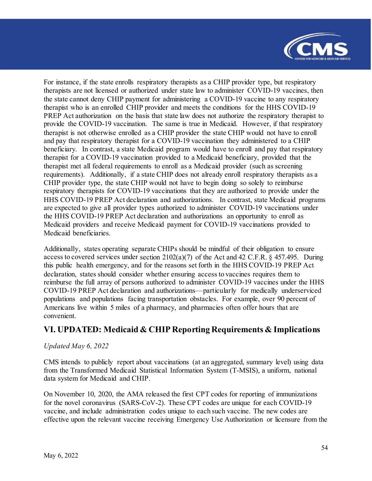

For instance, if the state enrolls respiratory therapists as a CHIP provider type, but respiratory therapists are not licensed or authorized under state law to administer COVID-19 vaccines, then the state cannot deny CHIP payment for administering a COVID-19 vaccine to any respiratory therapist who is an enrolled CHIP provider and meets the conditions for the HHS COVID-19 PREP Act authorization on the basis that state law does not authorize the respiratory therapist to provide the COVID-19 vaccination. The same is true in Medicaid. However, if that respiratory therapist is not otherwise enrolled as a CHIP provider the state CHIP would not have to enroll and pay that respiratory therapist for a COVID-19 vaccination they administered to a CHIP beneficiary. In contrast, a state Medicaid program would have to enroll and pay that respiratory therapist for a COVID-19 vaccination provided to a Medicaid beneficiary, provided that the therapist met all federal requirements to enroll as a Medicaid provider (such as screening requirements). Additionally, if a state CHIP does not already enroll respiratory therapists as a CHIP provider type, the state CHIP would not have to begin doing so solely to reimburse respiratory therapists for COVID-19 vaccinations that they are authorized to provide under the HHS COVID-19 PREP Act declaration and authorizations. In contrast, state Medicaid programs are expected to give all provider types authorized to administer COVID-19 vaccinations under the HHS COVID-19 PREP Act declaration and authorizations an opportunity to enroll as Medicaid providers and receive Medicaid payment for COVID-19 vaccinations provided to Medicaid beneficiaries.

Additionally, states operating separate CHIPs should be mindful of their obligation to ensure access to covered services under section 2102(a)(7) of the Act and 42 C.F.R. § 457.495. During this public health emergency, and for the reasons set forth in the HHS COVID-19 PREP Act declaration, states should consider whether ensuring access to vaccines requires them to reimburse the full array of persons authorized to administer COVID-19 vaccines under the HHS COVID-19 PREP Act declaration and authorizations—particularly for medically underserviced populations and populations facing transportation obstacles. For example, over 90 percent of Americans live within 5 miles of a pharmacy, and pharmacies often offer hours that are convenient.

### <span id="page-53-0"></span>**VI. UPDATED: Medicaid & CHIP Reporting Requirements & Implications**

#### *Updated May 6, 2022*

CMS intends to publicly report about vaccinations (at an aggregated, summary level) using data from the Transformed Medicaid Statistical Information System (T-MSIS), a uniform, national data system for Medicaid and CHIP.

On November 10, 2020, the AMA released the first CPT codes for reporting of immunizations for the novel coronavirus (SARS-CoV-2). These CPT codes are unique for each COVID-19 vaccine, and include administration codes unique to each such vaccine. The new codes are effective upon the relevant vaccine receiving Emergency Use Authorization or licensure from the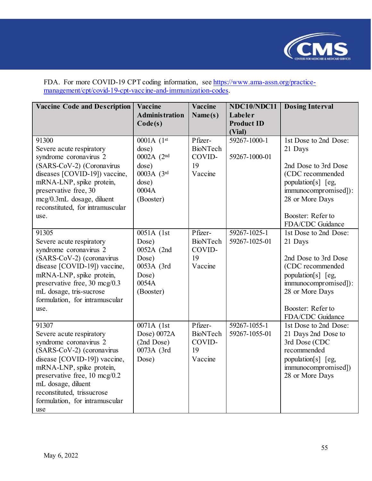

FDA. For more COVID-19 CPT coding information, see [https://www.ama-assn.org/practice](https://www.ama-assn.org/practice-management/cpt/covid-19-cpt-vaccine-and-immunization-codes)[management/cpt/covid-19-cpt-vaccine-and-immunization-codes.](https://www.ama-assn.org/practice-management/cpt/covid-19-cpt-vaccine-and-immunization-codes) 

| <b>Vaccine Code and Description</b>                                                                                                                                                                                                                                                | Vaccine                                                                                 | <b>Vaccine</b>                                        | NDC10/NDC11                            | <b>Dosing Interval</b>                                                                                                                                                                 |
|------------------------------------------------------------------------------------------------------------------------------------------------------------------------------------------------------------------------------------------------------------------------------------|-----------------------------------------------------------------------------------------|-------------------------------------------------------|----------------------------------------|----------------------------------------------------------------------------------------------------------------------------------------------------------------------------------------|
|                                                                                                                                                                                                                                                                                    | <b>Administration</b><br>Code(s)                                                        | Name(s)                                               | Labeler<br><b>Product ID</b><br>(Vial) |                                                                                                                                                                                        |
| 91300<br>Severe acute respiratory<br>syndrome coronavirus 2<br>(SARS-CoV-2) (Coronavirus<br>diseases [COVID-19]) vaccine,<br>mRNA-LNP, spike protein,<br>preservative free, 30<br>mcg/0.3mL dosage, diluent<br>reconstituted, for intramuscular<br>use.                            | 0001A (1st<br>dose)<br>0002A (2nd<br>dose)<br>0003A (3rd<br>dose)<br>0004A<br>(Booster) | Pfizer-<br><b>BioNTech</b><br>COVID-<br>19<br>Vaccine | 59267-1000-1<br>59267-1000-01          | 1st Dose to 2nd Dose:<br>21 Days<br>2nd Dose to 3rd Dose<br>(CDC recommended<br>population[s] [eg,<br>immunocompromised]):<br>28 or More Days<br>Booster: Refer to<br>FDA/CDC Guidance |
| 91305<br>Severe acute respiratory<br>syndrome coronavirus 2<br>(SARS-CoV-2) (coronavirus<br>disease [COVID-19]) vaccine,<br>mRNA-LNP, spike protein,<br>preservative free, 30 mcg/0.3<br>mL dosage, tris-sucrose<br>formulation, for intramuscular<br>use.                         | 0051A (1st<br>Dose)<br>0052A (2nd<br>Dose)<br>0053A (3rd<br>Dose)<br>0054A<br>(Booster) | Pfizer-<br><b>BioNTech</b><br>COVID-<br>19<br>Vaccine | $59267 - 1025 - 1$<br>59267-1025-01    | 1st Dose to 2nd Dose:<br>21 Days<br>2nd Dose to 3rd Dose<br>(CDC recommended<br>population[s] [eg,<br>immunocompromised]):<br>28 or More Days<br>Booster: Refer to<br>FDA/CDC Guidance |
| 91307<br>Severe acute respiratory<br>syndrome coronavirus 2<br>(SARS-CoV-2) (coronavirus<br>disease [COVID-19]) vaccine,<br>mRNA-LNP, spike protein,<br>preservative free, 10 mcg/0.2<br>mL dosage, diluent<br>reconstituted, trissucrose<br>formulation, for intramuscular<br>use | 0071A (1st<br>Dose) 0072A<br>(2nd Dose)<br>0073A (3rd<br>Dose)                          | Pfizer-<br><b>BioNTech</b><br>COVID-<br>19<br>Vaccine | 59267-1055-1<br>59267-1055-01          | 1st Dose to 2nd Dose:<br>21 Days 2nd Dose to<br>3rd Dose (CDC<br>recommended<br>population[s] [eg,<br>immunocompromised])<br>28 or More Days                                           |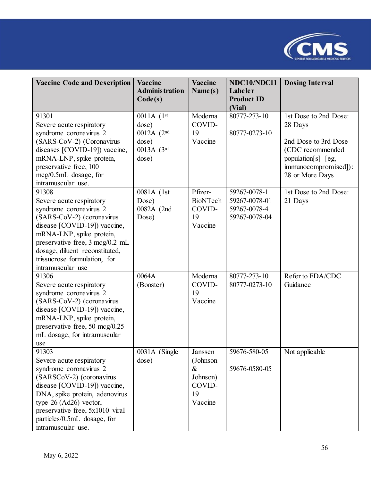

| <b>Vaccine Code and Description</b> | <b>Vaccine</b>        | <b>Vaccine</b>  | NDC10/NDC11                 | <b>Dosing Interval</b> |
|-------------------------------------|-----------------------|-----------------|-----------------------------|------------------------|
|                                     | <b>Administration</b> | Name(s)         | Labeler                     |                        |
|                                     | Code(s)               |                 | <b>Product ID</b><br>(Vial) |                        |
| 91301                               | 0011A (1st            | Moderna         | 80777-273-10                | 1st Dose to 2nd Dose:  |
| Severe acute respiratory            | dose)                 | COVID-          |                             | 28 Days                |
| syndrome coronavirus 2              | 0012A (2nd            | 19              | 80777-0273-10               |                        |
| (SARS-CoV-2) (Coronavirus           | dose)                 | Vaccine         |                             | 2nd Dose to 3rd Dose   |
| diseases [COVID-19]) vaccine,       | 0013A (3rd            |                 |                             | (CDC recommended       |
| mRNA-LNP, spike protein,            | dose)                 |                 |                             | population[s] [eg,     |
| preservative free, 100              |                       |                 |                             | immunocompromised]):   |
| $mcg/0.5mL$ dosage, for             |                       |                 |                             | 28 or More Days        |
| intramuscular use.                  |                       |                 |                             |                        |
| 91308                               | 0081A (1st            | Pfizer-         | 59267-0078-1                | 1st Dose to 2nd Dose:  |
| Severe acute respiratory            | Dose)                 | <b>BioNTech</b> | 59267-0078-01               | 21 Days                |
| syndrome coronavirus 2              | 0082A (2nd            | COVID-          | 59267-0078-4                |                        |
| (SARS-CoV-2) (coronavirus           | Dose)                 | 19              | 59267-0078-04               |                        |
| disease [COVID-19]) vaccine,        |                       | Vaccine         |                             |                        |
| mRNA-LNP, spike protein,            |                       |                 |                             |                        |
| preservative free, 3 mcg/0.2 mL     |                       |                 |                             |                        |
| dosage, diluent reconstituted,      |                       |                 |                             |                        |
| trissucrose formulation, for        |                       |                 |                             |                        |
| intramuscular use                   |                       |                 |                             |                        |
| 91306                               | 0064A                 | Moderna         | 80777-273-10                | Refer to FDA/CDC       |
| Severe acute respiratory            | (Booster)             | COVID-          | 80777-0273-10               | Guidance               |
| syndrome coronavirus 2              |                       | 19              |                             |                        |
| (SARS-CoV-2) (coronavirus           |                       | Vaccine         |                             |                        |
| disease [COVID-19]) vaccine,        |                       |                 |                             |                        |
| mRNA-LNP, spike protein,            |                       |                 |                             |                        |
| preservative free, 50 mcg/0.25      |                       |                 |                             |                        |
| mL dosage, for intramuscular        |                       |                 |                             |                        |
| use                                 |                       |                 |                             |                        |
| 91303                               | 0031A (Single         | Janssen         | 59676-580-05                | Not applicable         |
| Severe acute respiratory            | dose)                 | (Johnson        |                             |                        |
| syndrome coronavirus 2              |                       | $\&$            | 59676-0580-05               |                        |
| (SARSCoV-2) (coronavirus            |                       | Johnson)        |                             |                        |
| disease [COVID-19]) vaccine,        |                       | COVID-          |                             |                        |
| DNA, spike protein, adenovirus      |                       | 19              |                             |                        |
| type $26$ (Ad26) vector,            |                       | Vaccine         |                             |                        |
| preservative free, 5x1010 viral     |                       |                 |                             |                        |
| particles/0.5mL dosage, for         |                       |                 |                             |                        |
| intramuscular use.                  |                       |                 |                             |                        |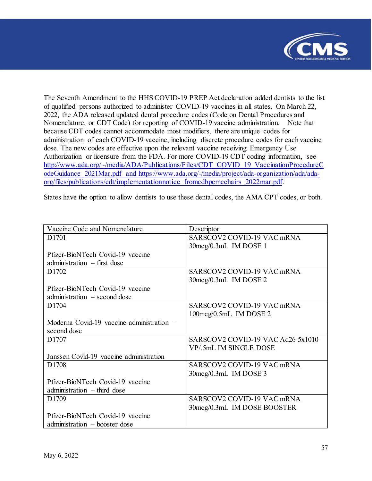

The Seventh Amendment to the HHS COVID-19 PREP Act declaration added dentists to the list of qualified persons authorized to administer COVID-19 vaccines in all states. On March 22, 2022, the ADA released updated dental procedure codes (Code on Dental Procedures and Nomenclature, or CDT Code) for reporting of COVID-19 vaccine administration. Note that because CDT codes cannot accommodate most modifiers, there are unique codes for administration of each COVID-19 vaccine, including discrete procedure codes for each vaccine dose. The new codes are effective upon the relevant vaccine receiving Emergency Use Authorization or licensure from the FDA. For more COVID-19 CDT coding information, see [http://www.ada.org/~/media/ADA/Publications/Files/CDT\\_COVID\\_19\\_VaccinationProcedureC](http://www.ada.org/%7E/media/ADA/Publications/Files/CDT_COVID_19_VaccinationProcedureCodeGuidance_2021Mar.pdf) [odeGuidance\\_2021Mar.pdf](http://www.ada.org/%7E/media/ADA/Publications/Files/CDT_COVID_19_VaccinationProcedureCodeGuidance_2021Mar.pdf) and [https://www.ada.org/-/media/project/ada-organization/ada/ada](https://www.ada.org/-/media/project/ada-organization/ada/ada-org/files/publications/cdt/implementationnotice_fromcdbpcmcchairs_2022mar.pdf)[org/files/publications/cdt/implementationnotice\\_fromcdbpcmcchairs\\_2022mar.pdf.](https://www.ada.org/-/media/project/ada-organization/ada/ada-org/files/publications/cdt/implementationnotice_fromcdbpcmcchairs_2022mar.pdf) 

States have the option to allow dentists to use these dental codes, the AMA CPT codes, or both.

| Vaccine Code and Nomenclature             | Descriptor                               |
|-------------------------------------------|------------------------------------------|
| D1701                                     | SARSCOV2 COVID-19 VAC mRNA               |
|                                           | 30mcg/0.3mL IM DOSE 1                    |
| Pfizer-BioNTech Covid-19 vaccine          |                                          |
| $adminisation$ – first dose               |                                          |
| D <sub>1702</sub>                         | SARSCOV2 COVID-19 VAC mRNA               |
|                                           | 30mcg/0.3mL IM DOSE 2                    |
| Pfizer-BioNTech Covid-19 vaccine          |                                          |
| administration $-$ second dose            |                                          |
| D1704                                     | SARSCOV2 COVID-19 VAC mRNA               |
|                                           | $100 \text{mcg}/0.5 \text{mL}$ IM DOSE 2 |
| Moderna Covid-19 vaccine administration – |                                          |
| second dose                               |                                          |
| D <sub>1707</sub>                         | SARSCOV2 COVID-19 VAC Ad26 5x1010        |
|                                           | VP/.5mL IM SINGLE DOSE                   |
| Janssen Covid-19 vaccine administration   |                                          |
| D <sub>1708</sub>                         | SARSCOV2 COVID-19 VAC mRNA               |
|                                           | $30 \text{mcg}/0.3 \text{mL}$ IM DOSE 3  |
| Pfizer-BioNTech Covid-19 vaccine          |                                          |
| administration $-$ third dose             |                                          |
| D1709                                     | SARSCOV2 COVID-19 VAC mRNA               |
|                                           | 30mcg/0.3mL IM DOSE BOOSTER              |
| Pfizer-BioNTech Covid-19 vaccine          |                                          |
| administration – booster dose             |                                          |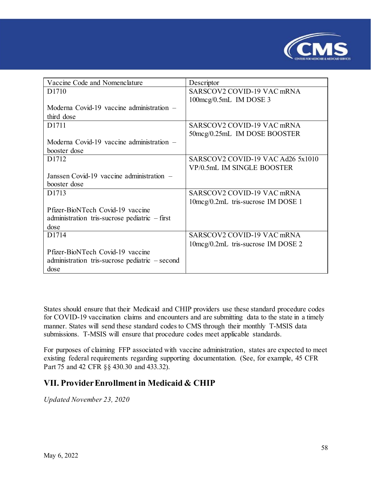

| Vaccine Code and Nomenclature                    | Descriptor                               |
|--------------------------------------------------|------------------------------------------|
| D <sub>1710</sub>                                | SARSCOV2 COVID-19 VAC mRNA               |
|                                                  | $100 \text{mcg}/0.5 \text{mL}$ IM DOSE 3 |
| Moderna Covid-19 vaccine administration $-$      |                                          |
| third dose                                       |                                          |
| D <sub>1711</sub>                                | SARSCOV2 COVID-19 VAC mRNA               |
|                                                  | 50mcg/0.25mL IM DOSE BOOSTER             |
| Moderna Covid-19 vaccine administration $-$      |                                          |
| booster dose                                     |                                          |
| D <sub>1712</sub>                                | SARSCOV2 COVID-19 VAC Ad26 5x1010        |
|                                                  | VP/0.5mL IM SINGLE BOOSTER               |
| Janssen Covid-19 vaccine administration –        |                                          |
| booster dose                                     |                                          |
| D1713                                            | SARSCOV2 COVID-19 VAC mRNA               |
|                                                  | 10 mcg/0.2mL tris-sucrose IM DOSE 1      |
| Pfizer-BioNTech Covid-19 vaccine                 |                                          |
| administration tris-sucrose pediatric $-$ first  |                                          |
| dose                                             |                                          |
| D1714                                            | SARSCOV2 COVID-19 VAC mRNA               |
|                                                  | 10mcg/0.2mL tris-sucrose IM DOSE 2       |
| Pfizer-BioNTech Covid-19 vaccine                 |                                          |
| administration tris-sucrose pediatric $-$ second |                                          |
| dose                                             |                                          |

States should ensure that their Medicaid and CHIP providers use these standard procedure codes for COVID-19 vaccination claims and encounters and are submitting data to the state in a timely manner. States will send these standard codes to CMS through their monthly T-MSIS data submissions. T-MSIS will ensure that procedure codes meet applicable standards.

For purposes of claiming FFP associated with vaccine administration, states are expected to meet existing federal requirements regarding supporting documentation. (See, for example, 45 CFR Part 75 and 42 CFR §§ 430.30 and 433.32).

### <span id="page-57-0"></span>**VII. Provider Enrollment in Medicaid & CHIP**

*Updated November 23, 2020*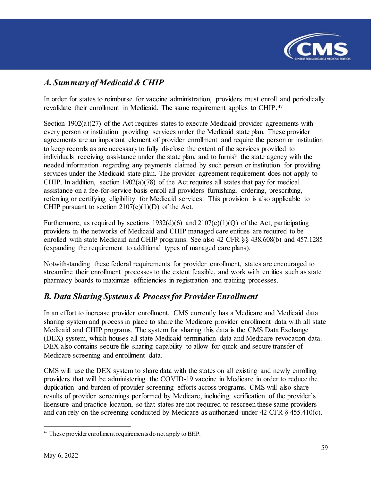

# <span id="page-58-0"></span>*A. Summary of Medicaid & CHIP*

In order for states to reimburse for vaccine administration, providers must enroll and periodically revalidate their enrollment in Medicaid. The same requirement applies to CHIP.[47](#page-58-2)

Section 1902(a)(27) of the Act requires states to execute Medicaid provider agreements with every person or institution providing services under the Medicaid state plan. These provider agreements are an important element of provider enrollment and require the person or institution to keep records as are necessary to fully disclose the extent of the services provided to individuals receiving assistance under the state plan, and to furnish the state agency with the needed information regarding any payments claimed by such person or institution for providing services under the Medicaid state plan. The provider agreement requirement does not apply to CHIP. In addition, section  $1902(a)(78)$  of the Act requires all states that pay for medical assistance on a fee-for-service basis enroll all providers furnishing, ordering, prescribing, referring or certifying eligibility for Medicaid services. This provision is also applicable to CHIP pursuant to section  $2107(e)(1)(D)$  of the Act.

Furthermore, as required by sections  $1932(d)(6)$  and  $2107(e)(1)(Q)$  of the Act, participating providers in the networks of Medicaid and CHIP managed care entities are required to be enrolled with state Medicaid and CHIP programs. See also 42 CFR §§ 438.608(b) and 457.1285 (expanding the requirement to additional types of managed care plans).

Notwithstanding these federal requirements for provider enrollment, states are encouraged to streamline their enrollment processes to the extent feasible, and work with entities such as state pharmacy boards to maximize efficiencies in registration and training processes.

## <span id="page-58-1"></span>*B. Data Sharing Systems & Process for Provider Enrollment*

In an effort to increase provider enrollment, CMS currently has a Medicare and Medicaid data sharing system and process in place to share the Medicare provider enrollment data with all state Medicaid and CHIP programs. The system for sharing this data is the CMS Data Exchange (DEX) system, which houses all state Medicaid termination data and Medicare revocation data. DEX also contains secure file sharing capability to allow for quick and secure transfer of Medicare screening and enrollment data.

CMS will use the DEX system to share data with the states on all existing and newly enrolling providers that will be administering the COVID-19 vaccine in Medicare in order to reduce the duplication and burden of provider-screening efforts across programs. CMS will also share results of provider screenings performed by Medicare, including verification of the provider's licensure and practice location, so that states are not required to rescreen these same providers and can rely on the screening conducted by Medicare as authorized under 42 CFR  $\S$  455.410(c).

<span id="page-58-2"></span>l <sup>47</sup> These provider enrollment requirements do not apply to BHP.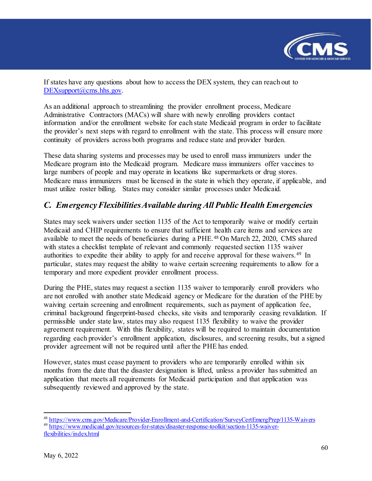

If states have any questions about how to access the DEX system, they can reach out to DEXsupport@cms.hhs.gov.

As an additional approach to streamlining the provider enrollment process, Medicare Administrative Contractors (MACs) will share with newly enrolling providers contact information and/or the enrollment website for each state Medicaid program in order to facilitate the provider's next steps with regard to enrollment with the state. This process will ensure more continuity of providers across both programs and reduce state and provider burden.

These data sharing systems and processes may be used to enroll mass immunizers under the Medicare program into the Medicaid program. Medicare mass immunizers offer vaccines to large numbers of people and may operate in locations like supermarkets or drug stores. Medicare mass immunizers must be licensed in the state in which they operate, if applicable, and must utilize roster billing. States may consider similar processes under Medicaid.

### <span id="page-59-0"></span>*C. Emergency Flexibilities Available during All Public Health Emergencies*

States may seek waivers under section 1135 of the Act to temporarily waive or modify certain Medicaid and CHIP requirements to ensure that sufficient health care items and services are available to meet the needs of beneficiaries during a PHE.<sup>[48](#page-59-1)</sup> On March 22, 2020, CMS shared with states a checklist template of relevant and commonly requested section 1135 waiver authorities to expedite their ability to apply for and receive approval for these waivers.<sup>[49](#page-59-2)</sup> In particular, states may request the ability to waive certain screening requirements to allow for a temporary and more expedient provider enrollment process.

During the PHE, states may request a section 1135 waiver to temporarily enroll providers who are not enrolled with another state Medicaid agency or Medicare for the duration of the PHE by waiving certain screening and enrollment requirements, such as payment of application fee, criminal background fingerprint-based checks, site visits and temporarily ceasing revalidation. If permissible under state law, states may also request 1135 flexibility to waive the provider agreement requirement. With this flexibility, states will be required to maintain documentation regarding each provider's enrollment application, disclosures, and screening results, but a signed provider agreement will not be required until after the PHE has ended.

However, states must cease payment to providers who are temporarily enrolled within six months from the date that the disaster designation is lifted, unless a provider has submitted an application that meets all requirements for Medicaid participation and that application was subsequently reviewed and approved by the state.

<span id="page-59-1"></span><sup>&</sup>lt;sup>48</sup> <https://www.cms.gov/Medicare/Provider-Enrollment-and-Certification/SurveyCertEmergPrep/1135-Waivers> 49 [https://www.medicaid.gov/resources-for-states/disaster-response-toolkit/section-1135-waiver-](https://www.medicaid.gov/resources-for-states/disaster-response-toolkit/section-1135-waiver-flexibilities/index.html)

<span id="page-59-2"></span>[flexibilities/index.html](https://www.medicaid.gov/resources-for-states/disaster-response-toolkit/section-1135-waiver-flexibilities/index.html)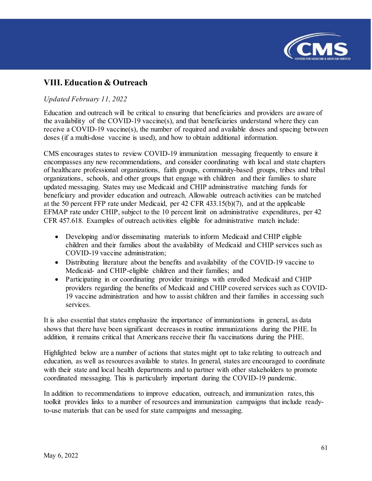

# <span id="page-60-0"></span>**VIII. Education & Outreach**

#### *Updated February 11, 2022*

Education and outreach will be critical to ensuring that beneficiaries and providers are aware of the availability of the COVID-19 vaccine(s), and that beneficiaries understand where they can receive a COVID-19 vaccine(s), the number of required and available doses and spacing between doses (if a multi-dose vaccine is used), and how to obtain additional information.

CMS encourages states to review COVID-19 immunization messaging frequently to ensure it encompasses any new recommendations, and consider coordinating with local and state chapters of healthcare professional organizations, faith groups, community-based groups, tribes and tribal organizations, schools, and other groups that engage with children and their families to share updated messaging. States may use Medicaid and CHIP administrative matching funds for beneficiary and provider education and outreach. Allowable outreach activities can be matched at the 50 percent FFP rate under Medicaid, per 42 CFR 433.15(b)(7), and at the applicable EFMAP rate under CHIP, subject to the 10 percent limit on administrative expenditures, per 42 CFR 457.618. Examples of outreach activities eligible for administrative match include:

- Developing and/or disseminating materials to inform Medicaid and CHIP eligible children and their families about the availability of Medicaid and CHIP services such as COVID-19 vaccine administration;
- Distributing literature about the benefits and availability of the COVID-19 vaccine to Medicaid- and CHIP-eligible children and their families; and
- Participating in or coordinating provider trainings with enrolled Medicaid and CHIP providers regarding the benefits of Medicaid and CHIP covered services such as COVID-19 vaccine administration and how to assist children and their families in accessing such services.

It is also essential that states emphasize the importance of immunizations in general, as data shows that there have been significant decreases in routine immunizations during the PHE. In addition, it remains critical that Americans receive their flu vaccinations during the PHE.

Highlighted below are a number of actions that states might opt to take relating to outreach and education, as well as resources available to states. In general, states are encouraged to coordinate with their state and local health departments and to partner with other stakeholders to promote coordinated messaging. This is particularly important during the COVID-19 pandemic.

In addition to recommendations to improve education, outreach, and immunization rates, this toolkit provides links to a number of resources and immunization campaigns that include readyto-use materials that can be used for state campaigns and messaging.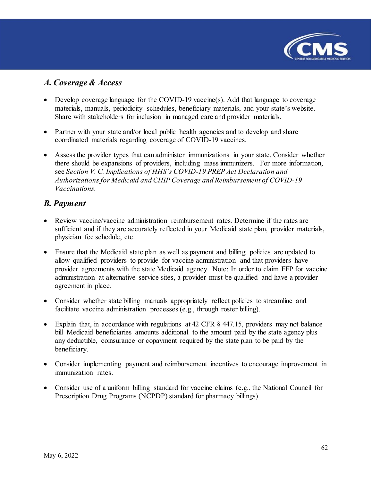

### <span id="page-61-0"></span>*A. Coverage & Access*

- Develop coverage language for the COVID-19 vaccine(s). Add that language to coverage materials, manuals, periodicity schedules, beneficiary materials, and your state's website. Share with stakeholders for inclusion in managed care and provider materials.
- Partner with your state and/or local public health agencies and to develop and share coordinated materials regarding coverage of COVID-19 vaccines.
- Assess the provider types that can administer immunizations in your state. Consider whether there should be expansions of providers, including mass immunizers. For more information, see *Section V. C. Implications of HHS's COVID-19 PREP Act Declaration and Authorizations for Medicaid and CHIP Coverage and Reimbursement of COVID-19 Vaccinations.*

### <span id="page-61-1"></span>*B. Payment*

- Review vaccine/vaccine administration reimbursement rates. Determine if the rates are sufficient and if they are accurately reflected in your Medicaid state plan, provider materials, physician fee schedule, etc.
- Ensure that the Medicaid state plan as well as payment and billing policies are updated to allow qualified providers to provide for vaccine administration and that providers have provider agreements with the state Medicaid agency. Note: In order to claim FFP for vaccine administration at alternative service sites, a provider must be qualified and have a provider agreement in place.
- Consider whether state billing manuals appropriately reflect policies to streamline and facilitate vaccine administration processes (e.g., through roster billing).
- Explain that, in accordance with regulations at 42 CFR  $\S$  447.15, providers may not balance bill Medicaid beneficiaries amounts additional to the amount paid by the state agency plus any deductible, coinsurance or copayment required by the state plan to be paid by the beneficiary.
- Consider implementing payment and reimbursement incentives to encourage improvement in immunization rates.
- Consider use of a uniform billing standard for vaccine claims (e.g., the National Council for Prescription Drug Programs (NCPDP) standard for pharmacy billings).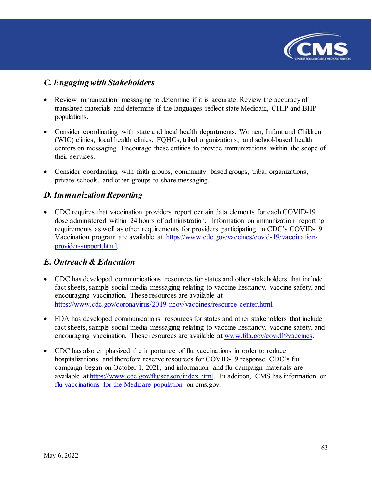

### <span id="page-62-0"></span>*C. Engaging with Stakeholders*

- Review immunization messaging to determine if it is accurate. Review the accuracy of translated materials and determine if the languages reflect state Medicaid, CHIP and BHP populations.
- Consider coordinating with state and local health departments, Women, Infant and Children (WIC) clinics, local health clinics, FQHCs, tribal organizations, and school-based health centers on messaging. Encourage these entities to provide immunizations within the scope of their services.
- Consider coordinating with faith groups, community based groups, tribal organizations, private schools, and other groups to share messaging.

### <span id="page-62-1"></span>*D. Immunization Reporting*

• CDC requires that vaccination providers report certain data elements for each COVID-19 dose administered within 24 hours of administration. Information on immunization reporting requirements as well as other requirements for providers participating in CDC's COVID-19 Vaccination program are available at [https://www.cdc.gov/vaccines/covid-19/vaccination](https://www.cdc.gov/vaccines/covid-19/vaccination-provider-support.html)[provider-support.html.](https://www.cdc.gov/vaccines/covid-19/vaccination-provider-support.html) 

### <span id="page-62-2"></span>*E. Outreach & Education*

- CDC has developed communications resources for states and other stakeholders that include fact sheets, sample social media messaging relating to vaccine hesitancy, vaccine safety, and encouraging vaccination. These resources are available at [https://www.cdc.gov/coronavirus/2019-ncov/vaccines/resource-center.html.](https://www.cdc.gov/coronavirus/2019-ncov/vaccines/resource-center.html)
- FDA has developed communications resources for states and other stakeholders that include fact sheets, sample social media messaging relating to vaccine hesitancy, vaccine safety, and encouraging vaccination. These resources are available at [www.fda.gov/covid19vaccines.](http://www.fda.gov/covid19vaccines)
- CDC has also emphasized the importance of flu vaccinations in order to reduce hospitalizations and therefore reserve resources for COVID-19 response. CDC's flu campaign began on October 1, 2021, and information and flu campaign materials are available at [https://www.cdc.gov/flu/season/index.html.](https://www.cdc.gov/flu/season/index.html) In addition, CMS has information on [flu vaccinations for the Medicare population](https://www.cms.gov/flu) on cms.gov.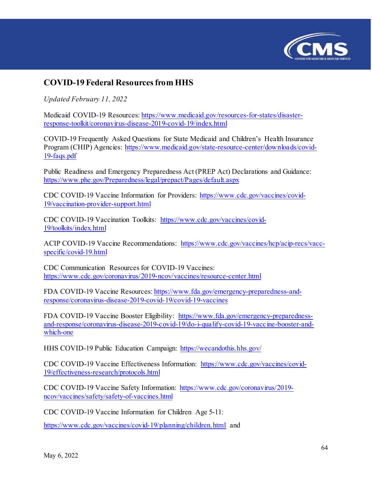

# <span id="page-63-0"></span>**COVID-19 Federal Resources from HHS**

*Updated February 11, 2022* 

Medicaid COVID-19 Resources: [https://www.medicaid.gov/resources-for-states/disaster](https://www.medicaid.gov/resources-for-states/disaster-response-toolkit/coronavirus-disease-2019-covid-19/index.html)[response-toolkit/coronavirus-disease-2019-covid-19/index.html](https://www.medicaid.gov/resources-for-states/disaster-response-toolkit/coronavirus-disease-2019-covid-19/index.html) 

COVID-19 Frequently Asked Questions for State Medicaid and Children's Health Insurance Program (CHIP) Agencies: [https://www.medicaid.gov/state-resource-center/downloads/covid-](https://www.medicaid.gov/state-resource-center/downloads/covid-19-faqs.pdf)[19-faqs.pdf](https://www.medicaid.gov/state-resource-center/downloads/covid-19-faqs.pdf) 

Public Readiness and Emergency Preparedness Act (PREP Act) Declarations and Guidance: <https://www.phe.gov/Preparedness/legal/prepact/Pages/default.aspx>

CDC COVID-19 Vaccine Information for Providers: [https://www.cdc.gov/vaccines/covid-](https://www.cdc.gov/vaccines/covid-19/vaccination-provider-support.html)[19/vaccination-provider-support.html](https://www.cdc.gov/vaccines/covid-19/vaccination-provider-support.html) 

CDC COVID-19 Vaccination Toolkits: [https://www.cdc.gov/vaccines/covid-](https://www.cdc.gov/vaccines/covid-19/toolkits/index.html)[19/toolkits/index.html](https://www.cdc.gov/vaccines/covid-19/toolkits/index.html) 

ACIP COVID-19 Vaccine Recommendations: [https://www.cdc.gov/vaccines/hcp/acip-recs/vacc](https://www.cdc.gov/vaccines/hcp/acip-recs/vacc-specific/covid-19.html)[specific/covid-19.html](https://www.cdc.gov/vaccines/hcp/acip-recs/vacc-specific/covid-19.html) 

CDC Communication Resources for COVID-19 Vaccines: <https://www.cdc.gov/coronavirus/2019-ncov/vaccines/resource-center.html>

FDA COVID-19 Vaccine Resources: [https://www.fda.gov/emergency-preparedness-and](https://www.fda.gov/emergency-preparedness-and-response/coronavirus-disease-2019-covid-19/covid-19-vaccines)[response/coronavirus-disease-2019-covid-19/covid-19-vaccines](https://www.fda.gov/emergency-preparedness-and-response/coronavirus-disease-2019-covid-19/covid-19-vaccines) 

FDA COVID-19 Vaccine Booster Eligibility: [https://www.fda.gov/emergency-preparedness](https://www.fda.gov/emergency-preparedness-and-response/coronavirus-disease-2019-covid-19/do-i-qualify-covid-19-vaccine-booster-and-which-one)[and-response/coronavirus-disease-2019-covid-19/do-i-qualify-covid-19-vaccine-booster-and](https://www.fda.gov/emergency-preparedness-and-response/coronavirus-disease-2019-covid-19/do-i-qualify-covid-19-vaccine-booster-and-which-one)[which-one](https://www.fda.gov/emergency-preparedness-and-response/coronavirus-disease-2019-covid-19/do-i-qualify-covid-19-vaccine-booster-and-which-one) 

HHS COVID-19 Public Education Campaign: <https://wecandothis.hhs.gov/>

CDC COVID-19 Vaccine Effectiveness Information: [https://www.cdc.gov/vaccines/covid-](https://www.cdc.gov/vaccines/covid-19/effectiveness-research/protocols.html)[19/effectiveness-research/protocols.html](https://www.cdc.gov/vaccines/covid-19/effectiveness-research/protocols.html)

CDC COVID-19 Vaccine Safety Information: [https://www.cdc.gov/coronavirus/2019](https://www.cdc.gov/coronavirus/2019-ncov/vaccines/safety/safety-of-vaccines.html) [ncov/vaccines/safety/safety-of-vaccines.html](https://www.cdc.gov/coronavirus/2019-ncov/vaccines/safety/safety-of-vaccines.html)

CDC COVID-19 Vaccine Information for Children Age 5-11:

<https://www.cdc.gov/vaccines/covid-19/planning/children.html> and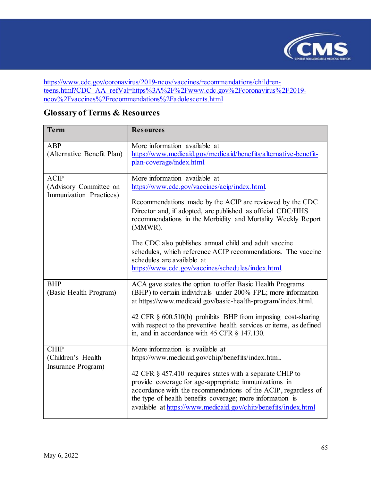

[https://www.cdc.gov/coronavirus/2019-ncov/vaccines/recommendations/children](https://www.cdc.gov/coronavirus/2019-ncov/vaccines/recommendations/children-teens.html?CDC_AA_refVal=https%3A%2F%2Fwww.cdc.gov%2Fcoronavirus%2F2019-ncov%2Fvaccines%2Frecommendations%2Fadolescents.html)[teens.html?CDC\\_AA\\_refVal=https%3A%2F%2Fwww.cdc.gov%2Fcoronavirus%2F2019](https://www.cdc.gov/coronavirus/2019-ncov/vaccines/recommendations/children-teens.html?CDC_AA_refVal=https%3A%2F%2Fwww.cdc.gov%2Fcoronavirus%2F2019-ncov%2Fvaccines%2Frecommendations%2Fadolescents.html) [ncov%2Fvaccines%2Frecommendations%2Fadolescents.html](https://www.cdc.gov/coronavirus/2019-ncov/vaccines/recommendations/children-teens.html?CDC_AA_refVal=https%3A%2F%2Fwww.cdc.gov%2Fcoronavirus%2F2019-ncov%2Fvaccines%2Frecommendations%2Fadolescents.html)

| Term                                                             | <b>Resources</b>                                                                                                                                                                                                                                                                                                                                                                                                                                                                                  |
|------------------------------------------------------------------|---------------------------------------------------------------------------------------------------------------------------------------------------------------------------------------------------------------------------------------------------------------------------------------------------------------------------------------------------------------------------------------------------------------------------------------------------------------------------------------------------|
| ABP<br>(Alternative Benefit Plan)                                | More information available at<br>https://www.medicaid.gov/medicaid/benefits/alternative-benefit-<br>plan-coverage/index.html                                                                                                                                                                                                                                                                                                                                                                      |
| <b>ACIP</b><br>(Advisory Committee on<br>Immunization Practices) | More information available at<br>https://www.cdc.gov/vaccines/acip/index.html.<br>Recommendations made by the ACIP are reviewed by the CDC<br>Director and, if adopted, are published as official CDC/HHS<br>recommendations in the Morbidity and Mortality Weekly Report<br>(MMWR).<br>The CDC also publishes annual child and adult vaccine<br>schedules, which reference ACIP recommendations. The vaccine<br>schedules are available at<br>https://www.cdc.gov/vaccines/schedules/index.html. |
| <b>BHP</b><br>(Basic Health Program)                             | ACA gave states the option to offer Basic Health Programs<br>(BHP) to certain individuals under 200% FPL; more information<br>at https://www.medicaid.gov/basic-health-program/index.html.<br>42 CFR § 600.510(b) prohibits BHP from imposing cost-sharing<br>with respect to the preventive health services or items, as defined<br>in, and in accordance with $45$ CFR $\S$ 147.130.                                                                                                            |
| <b>CHIP</b><br>(Children's Health<br>Insurance Program)          | More information is available at<br>https://www.medicaid.gov/chip/benefits/index.html.<br>42 CFR § 457.410 requires states with a separate CHIP to<br>provide coverage for age-appropriate immunizations in<br>accordance with the recommendations of the ACIP, regardless of<br>the type of health benefits coverage; more information is<br>available at https://www.medicaid.gov/chip/benefits/index.html                                                                                      |

# <span id="page-64-0"></span>**Glossary of Terms & Resources**